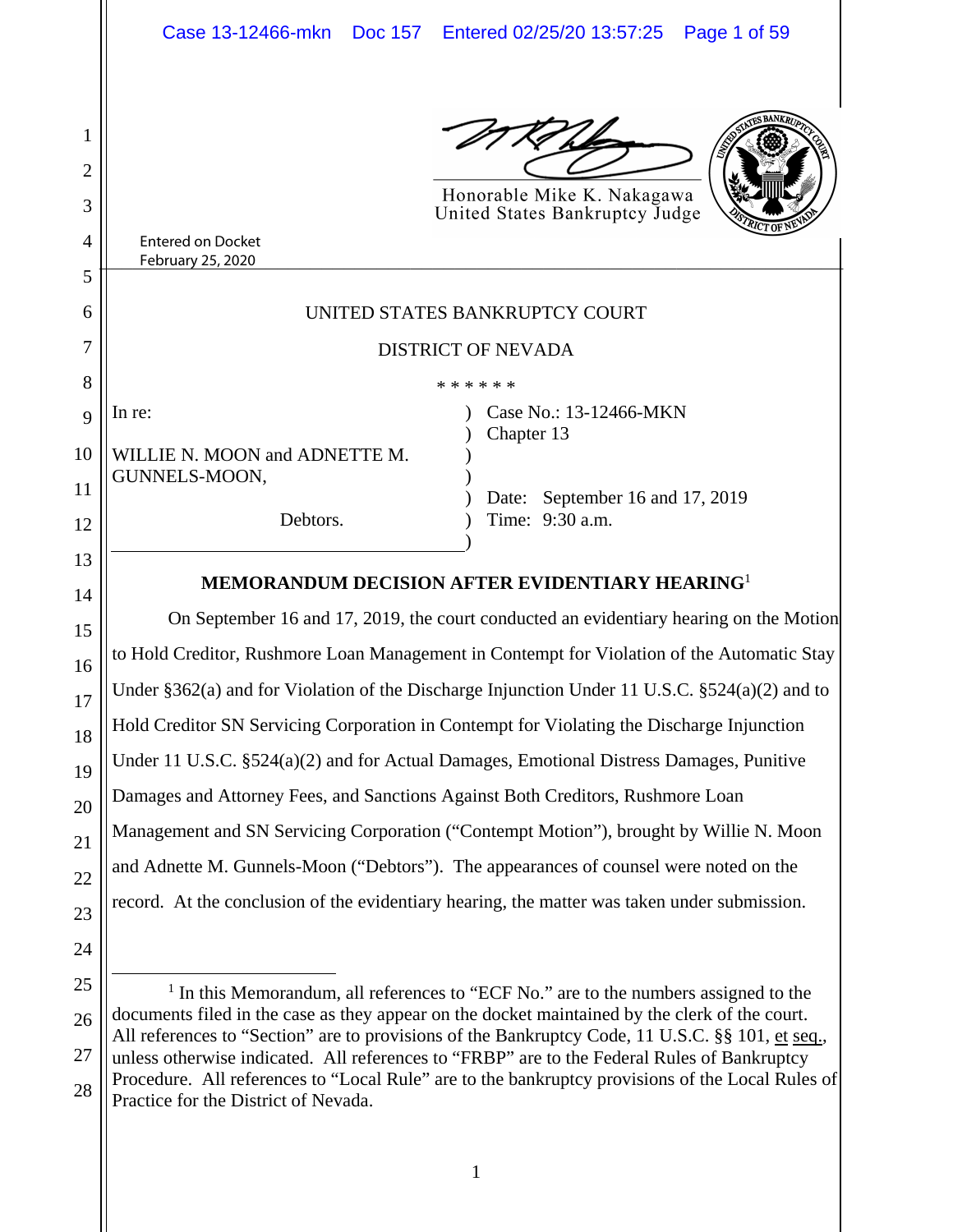

Honorable Mike K. Nakagawa United States Bankruptcy Judge

| ,,,,<br>ĸe.<br>$-$<br>. |  |
|-------------------------|--|
| $\sim$<br>.<br>__       |  |

1

2

3

4

5

6

7

8

9

In re:

10

11

12

13

14

15

16

17

18

19

20

21

22

23

24

# UNITED STATES BANKRUPTCY COURT

## DISTRICT OF NEVADA

) ) )  $\overline{)}$ ) ) )

| * * * * * * |  |  |  |  |  |  |  |
|-------------|--|--|--|--|--|--|--|
|-------------|--|--|--|--|--|--|--|

WILLIE N. MOON and ADNETTE M. GUNNELS-MOON,

Debtors.

Case No.: 13-12466-MKN Chapter 13

Date: September 16 and 17, 2019 Time: 9:30 a.m.

# **MEMORANDUM DECISION AFTER EVIDENTIARY HEARING**<sup>1</sup>

 On September 16 and 17, 2019, the court conducted an evidentiary hearing on the Motion to Hold Creditor, Rushmore Loan Management in Contempt for Violation of the Automatic Stay Under §362(a) and for Violation of the Discharge Injunction Under 11 U.S.C. §524(a)(2) and to Hold Creditor SN Servicing Corporation in Contempt for Violating the Discharge Injunction Under 11 U.S.C. §524(a)(2) and for Actual Damages, Emotional Distress Damages, Punitive Damages and Attorney Fees, and Sanctions Against Both Creditors, Rushmore Loan Management and SN Servicing Corporation ("Contempt Motion"), brought by Willie N. Moon and Adnette M. Gunnels-Moon ("Debtors"). The appearances of counsel were noted on the record. At the conclusion of the evidentiary hearing, the matter was taken under submission.

<sup>25</sup> 26 27 28  $\overline{\phantom{a}}$  $<sup>1</sup>$  In this Memorandum, all references to "ECF No." are to the numbers assigned to the</sup> documents filed in the case as they appear on the docket maintained by the clerk of the court. All references to "Section" are to provisions of the Bankruptcy Code, 11 U.S.C. §§ 101, et seq., unless otherwise indicated. All references to "FRBP" are to the Federal Rules of Bankruptcy Procedure. All references to "Local Rule" are to the bankruptcy provisions of the Local Rules of Practice for the District of Nevada.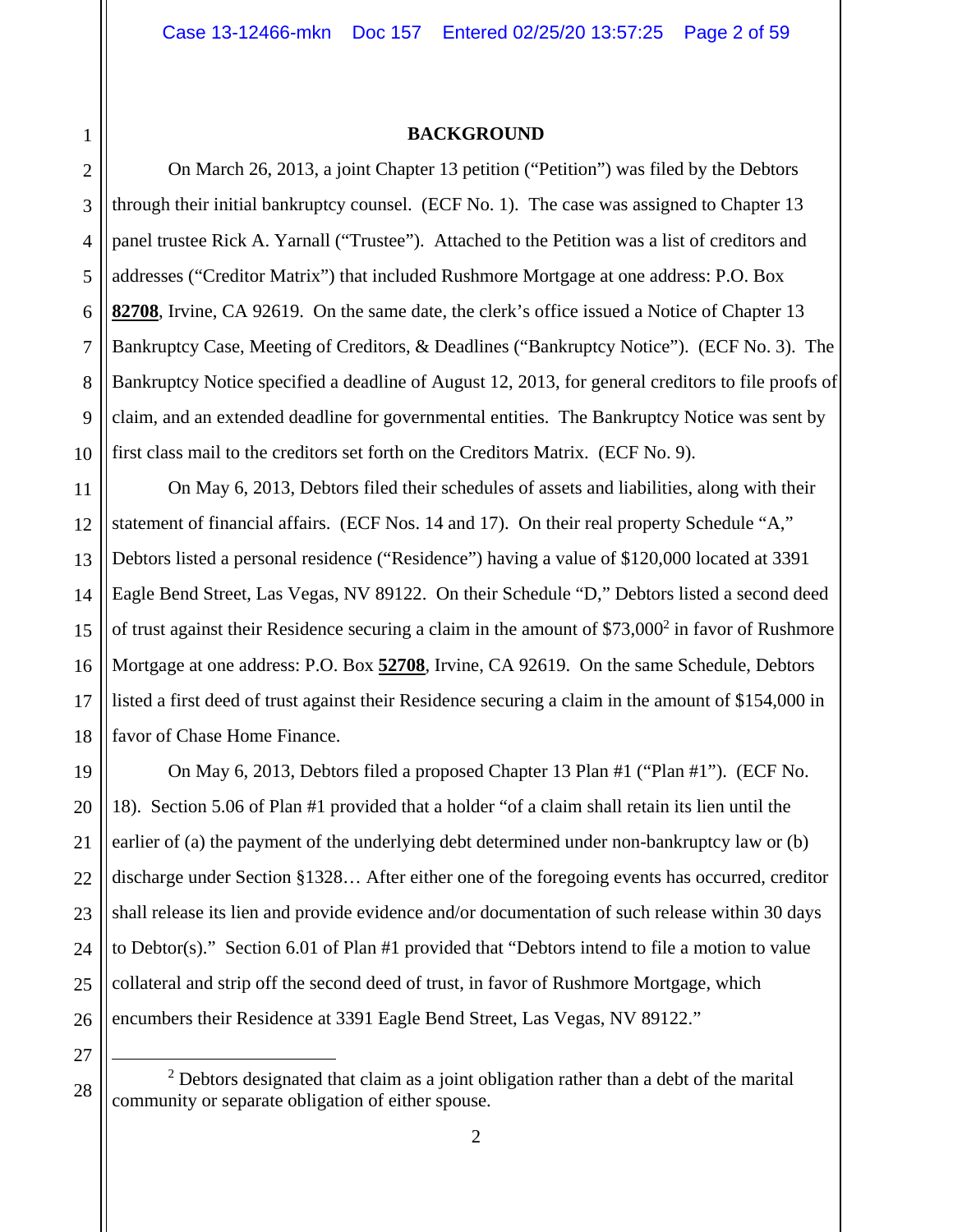#### **BACKGROUND**

1

2

3

4

5

6

7

8

9

10

27

28

 On March 26, 2013, a joint Chapter 13 petition ("Petition") was filed by the Debtors through their initial bankruptcy counsel. (ECF No. 1). The case was assigned to Chapter 13 panel trustee Rick A. Yarnall ("Trustee"). Attached to the Petition was a list of creditors and addresses ("Creditor Matrix") that included Rushmore Mortgage at one address: P.O. Box **82708**, Irvine, CA 92619. On the same date, the clerk's office issued a Notice of Chapter 13 Bankruptcy Case, Meeting of Creditors, & Deadlines ("Bankruptcy Notice"). (ECF No. 3). The Bankruptcy Notice specified a deadline of August 12, 2013, for general creditors to file proofs of claim, and an extended deadline for governmental entities. The Bankruptcy Notice was sent by first class mail to the creditors set forth on the Creditors Matrix. (ECF No. 9).

11 12 13 14 15 16 17 18 On May 6, 2013, Debtors filed their schedules of assets and liabilities, along with their statement of financial affairs. (ECF Nos. 14 and 17). On their real property Schedule "A," Debtors listed a personal residence ("Residence") having a value of \$120,000 located at 3391 Eagle Bend Street, Las Vegas, NV 89122. On their Schedule "D," Debtors listed a second deed of trust against their Residence securing a claim in the amount of  $$73,000^2$  in favor of Rushmore Mortgage at one address: P.O. Box **52708**, Irvine, CA 92619. On the same Schedule, Debtors listed a first deed of trust against their Residence securing a claim in the amount of \$154,000 in favor of Chase Home Finance.

19 20 21 22 23 24 25 26 On May 6, 2013, Debtors filed a proposed Chapter 13 Plan #1 ("Plan #1"). (ECF No. 18). Section 5.06 of Plan #1 provided that a holder "of a claim shall retain its lien until the earlier of (a) the payment of the underlying debt determined under non-bankruptcy law or (b) discharge under Section §1328… After either one of the foregoing events has occurred, creditor shall release its lien and provide evidence and/or documentation of such release within 30 days to Debtor(s)." Section 6.01 of Plan #1 provided that "Debtors intend to file a motion to value collateral and strip off the second deed of trust, in favor of Rushmore Mortgage, which encumbers their Residence at 3391 Eagle Bend Street, Las Vegas, NV 89122."

 2  $2$  Debtors designated that claim as a joint obligation rather than a debt of the marital community or separate obligation of either spouse.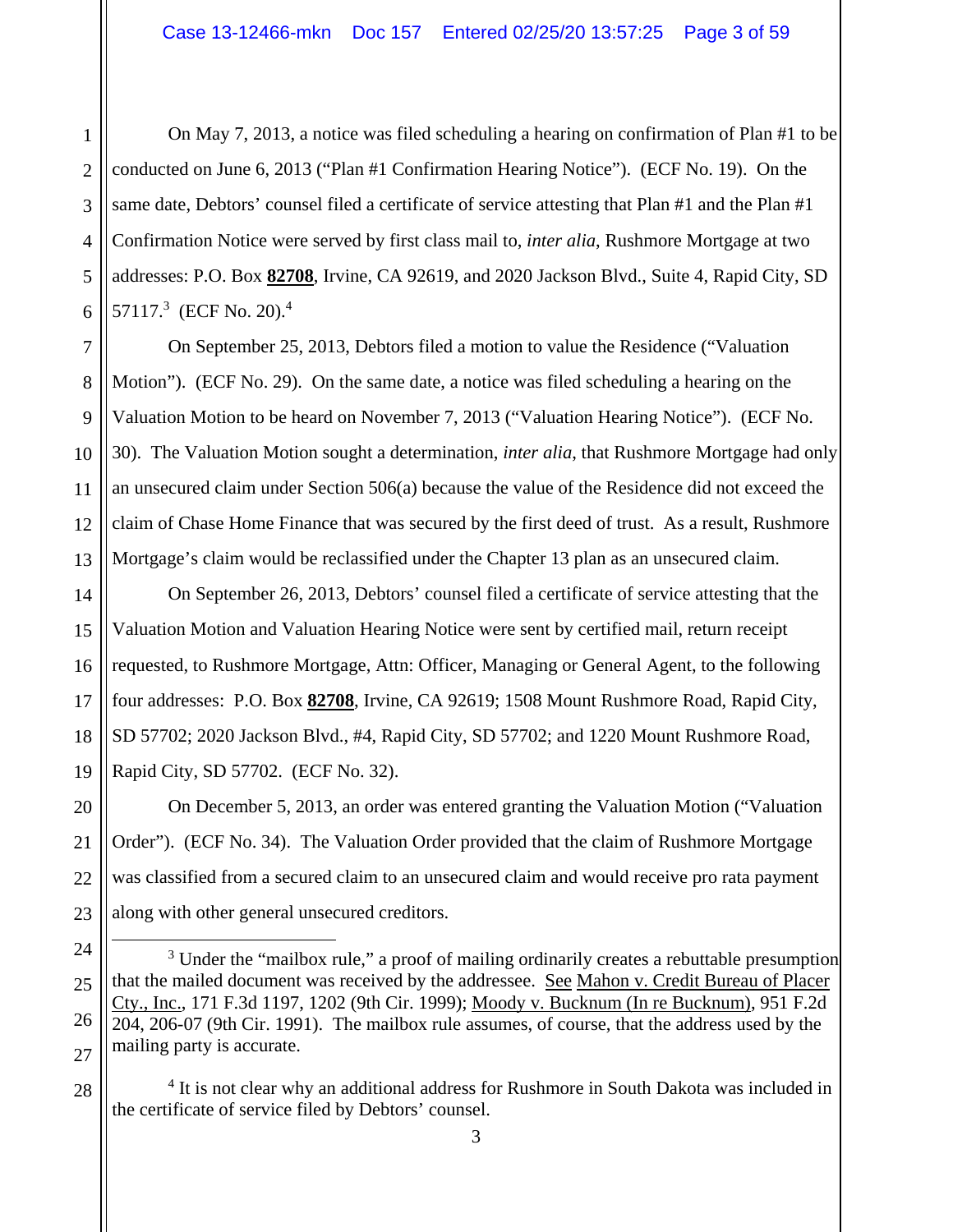1 2 3 5 6 On May 7, 2013, a notice was filed scheduling a hearing on confirmation of Plan #1 to be conducted on June 6, 2013 ("Plan #1 Confirmation Hearing Notice"). (ECF No. 19). On the same date, Debtors' counsel filed a certificate of service attesting that Plan #1 and the Plan #1 Confirmation Notice were served by first class mail to, *inter alia*, Rushmore Mortgage at two addresses: P.O. Box **82708**, Irvine, CA 92619, and 2020 Jackson Blvd., Suite 4, Rapid City, SD 57117.<sup>3</sup> (ECF No. 20).<sup>4</sup>

7 8 9 10 11 12 13 On September 25, 2013, Debtors filed a motion to value the Residence ("Valuation Motion"). (ECF No. 29). On the same date, a notice was filed scheduling a hearing on the Valuation Motion to be heard on November 7, 2013 ("Valuation Hearing Notice"). (ECF No. 30). The Valuation Motion sought a determination, *inter alia*, that Rushmore Mortgage had only an unsecured claim under Section 506(a) because the value of the Residence did not exceed the claim of Chase Home Finance that was secured by the first deed of trust. As a result, Rushmore Mortgage's claim would be reclassified under the Chapter 13 plan as an unsecured claim.

14 15 16 17 18 19 On September 26, 2013, Debtors' counsel filed a certificate of service attesting that the Valuation Motion and Valuation Hearing Notice were sent by certified mail, return receipt requested, to Rushmore Mortgage, Attn: Officer, Managing or General Agent, to the following four addresses: P.O. Box **82708**, Irvine, CA 92619; 1508 Mount Rushmore Road, Rapid City, SD 57702; 2020 Jackson Blvd., #4, Rapid City, SD 57702; and 1220 Mount Rushmore Road, Rapid City, SD 57702. (ECF No. 32).

20 23 On December 5, 2013, an order was entered granting the Valuation Motion ("Valuation Order"). (ECF No. 34). The Valuation Order provided that the claim of Rushmore Mortgage was classified from a secured claim to an unsecured claim and would receive pro rata payment along with other general unsecured creditors.

<sup>4</sup> It is not clear why an additional address for Rushmore in South Dakota was included in the certificate of service filed by Debtors' counsel.

21

22

28

<sup>24</sup> 25 26 27  $\frac{1}{3}$ <sup>3</sup> Under the "mailbox rule," a proof of mailing ordinarily creates a rebuttable presumption that the mailed document was received by the addressee. See Mahon v. Credit Bureau of Placer Cty., Inc., 171 F.3d 1197, 1202 (9th Cir. 1999); Moody v. Bucknum (In re Bucknum), 951 F.2d 204, 206-07 (9th Cir. 1991). The mailbox rule assumes, of course, that the address used by the mailing party is accurate.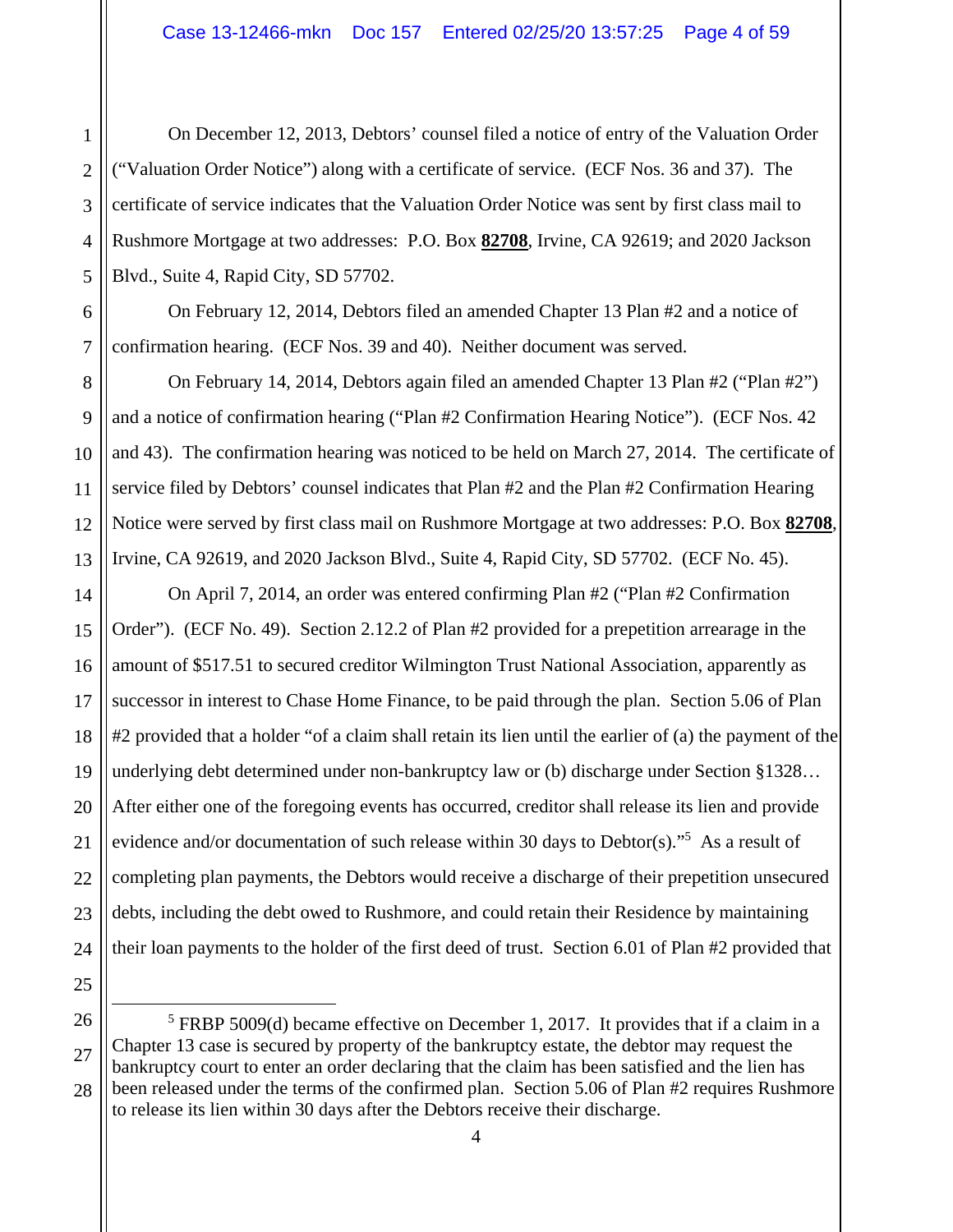On December 12, 2013, Debtors' counsel filed a notice of entry of the Valuation Order ("Valuation Order Notice") along with a certificate of service. (ECF Nos. 36 and 37). The certificate of service indicates that the Valuation Order Notice was sent by first class mail to Rushmore Mortgage at two addresses: P.O. Box **82708**, Irvine, CA 92619; and 2020 Jackson Blvd., Suite 4, Rapid City, SD 57702.

 On February 12, 2014, Debtors filed an amended Chapter 13 Plan #2 and a notice of confirmation hearing. (ECF Nos. 39 and 40). Neither document was served.

 On February 14, 2014, Debtors again filed an amended Chapter 13 Plan #2 ("Plan #2") and a notice of confirmation hearing ("Plan #2 Confirmation Hearing Notice"). (ECF Nos. 42 and 43). The confirmation hearing was noticed to be held on March 27, 2014. The certificate of service filed by Debtors' counsel indicates that Plan #2 and the Plan #2 Confirmation Hearing Notice were served by first class mail on Rushmore Mortgage at two addresses: P.O. Box **82708**, Irvine, CA 92619, and 2020 Jackson Blvd., Suite 4, Rapid City, SD 57702. (ECF No. 45).

 On April 7, 2014, an order was entered confirming Plan #2 ("Plan #2 Confirmation Order"). (ECF No. 49). Section 2.12.2 of Plan #2 provided for a prepetition arrearage in the amount of \$517.51 to secured creditor Wilmington Trust National Association, apparently as successor in interest to Chase Home Finance, to be paid through the plan. Section 5.06 of Plan #2 provided that a holder "of a claim shall retain its lien until the earlier of (a) the payment of the underlying debt determined under non-bankruptcy law or (b) discharge under Section §1328… After either one of the foregoing events has occurred, creditor shall release its lien and provide evidence and/or documentation of such release within 30 days to Debtor(s)."<sup>5</sup> As a result of completing plan payments, the Debtors would receive a discharge of their prepetition unsecured debts, including the debt owed to Rushmore, and could retain their Residence by maintaining their loan payments to the holder of the first deed of trust. Section 6.01 of Plan #2 provided that

26

1

2

<sup>27</sup>  $\frac{1}{5}$  FRBP 5009(d) became effective on December 1, 2017. It provides that if a claim in a Chapter 13 case is secured by property of the bankruptcy estate, the debtor may request the bankruptcy court to enter an order declaring that the claim has been satisfied and the lien has been released under the terms of the confirmed plan. Section 5.06 of Plan #2 requires Rushmore to release its lien within 30 days after the Debtors receive their discharge.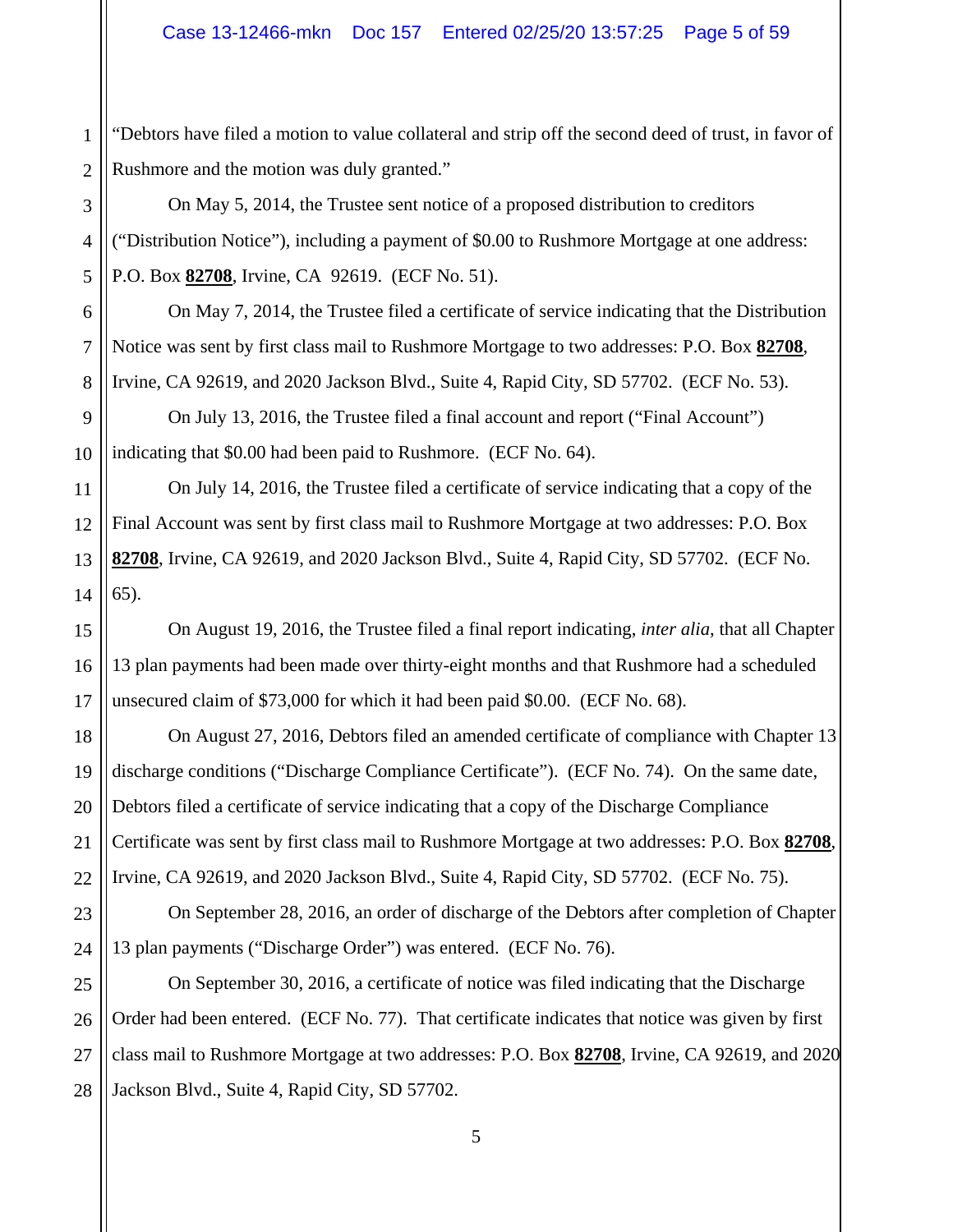1 2 "Debtors have filed a motion to value collateral and strip off the second deed of trust, in favor of Rushmore and the motion was duly granted."

 On May 5, 2014, the Trustee sent notice of a proposed distribution to creditors ("Distribution Notice"), including a payment of \$0.00 to Rushmore Mortgage at one address: P.O. Box **82708**, Irvine, CA 92619. (ECF No. 51).

 On May 7, 2014, the Trustee filed a certificate of service indicating that the Distribution Notice was sent by first class mail to Rushmore Mortgage to two addresses: P.O. Box **82708**, Irvine, CA 92619, and 2020 Jackson Blvd., Suite 4, Rapid City, SD 57702. (ECF No. 53).

 On July 13, 2016, the Trustee filed a final account and report ("Final Account") indicating that \$0.00 had been paid to Rushmore. (ECF No. 64).

 On July 14, 2016, the Trustee filed a certificate of service indicating that a copy of the Final Account was sent by first class mail to Rushmore Mortgage at two addresses: P.O. Box **82708**, Irvine, CA 92619, and 2020 Jackson Blvd., Suite 4, Rapid City, SD 57702. (ECF No. 65).

 On August 19, 2016, the Trustee filed a final report indicating, *inter alia*, that all Chapter 13 plan payments had been made over thirty-eight months and that Rushmore had a scheduled unsecured claim of \$73,000 for which it had been paid \$0.00. (ECF No. 68).

On August 27, 2016, Debtors filed an amended certificate of compliance with Chapter 13 discharge conditions ("Discharge Compliance Certificate"). (ECF No. 74). On the same date, Debtors filed a certificate of service indicating that a copy of the Discharge Compliance Certificate was sent by first class mail to Rushmore Mortgage at two addresses: P.O. Box **82708**, Irvine, CA 92619, and 2020 Jackson Blvd., Suite 4, Rapid City, SD 57702. (ECF No. 75).

 On September 28, 2016, an order of discharge of the Debtors after completion of Chapter 13 plan payments ("Discharge Order") was entered. (ECF No. 76).

 On September 30, 2016, a certificate of notice was filed indicating that the Discharge Order had been entered. (ECF No. 77). That certificate indicates that notice was given by first class mail to Rushmore Mortgage at two addresses: P.O. Box **82708**, Irvine, CA 92619, and 2020 Jackson Blvd., Suite 4, Rapid City, SD 57702.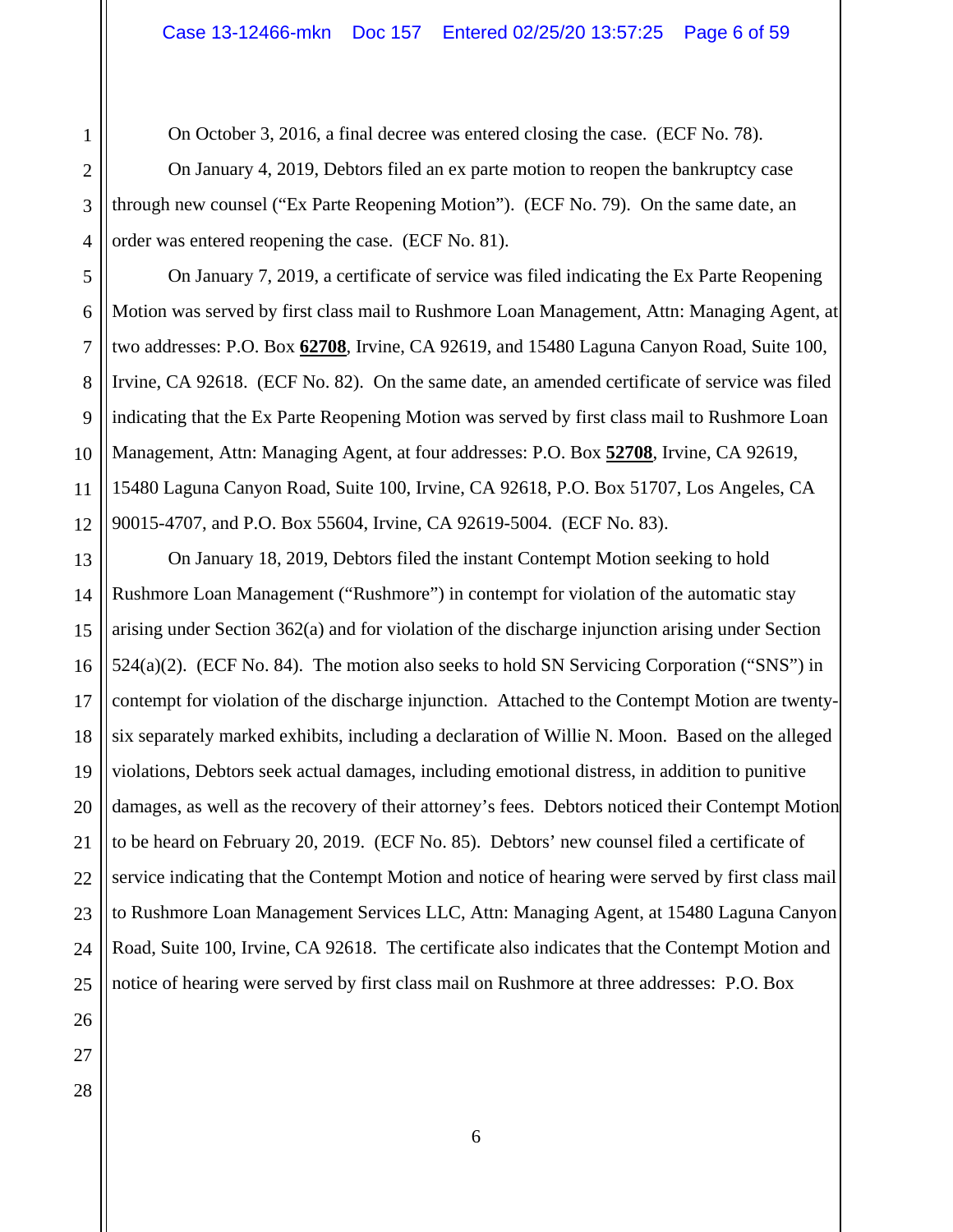On October 3, 2016, a final decree was entered closing the case. (ECF No. 78).

 On January 4, 2019, Debtors filed an ex parte motion to reopen the bankruptcy case through new counsel ("Ex Parte Reopening Motion"). (ECF No. 79). On the same date, an order was entered reopening the case. (ECF No. 81).

5 6 7 8 9 On January 7, 2019, a certificate of service was filed indicating the Ex Parte Reopening Motion was served by first class mail to Rushmore Loan Management, Attn: Managing Agent, at two addresses: P.O. Box **62708**, Irvine, CA 92619, and 15480 Laguna Canyon Road, Suite 100, Irvine, CA 92618. (ECF No. 82). On the same date, an amended certificate of service was filed indicating that the Ex Parte Reopening Motion was served by first class mail to Rushmore Loan Management, Attn: Managing Agent, at four addresses: P.O. Box **52708**, Irvine, CA 92619, 15480 Laguna Canyon Road, Suite 100, Irvine, CA 92618, P.O. Box 51707, Los Angeles, CA 90015-4707, and P.O. Box 55604, Irvine, CA 92619-5004. (ECF No. 83).

 On January 18, 2019, Debtors filed the instant Contempt Motion seeking to hold Rushmore Loan Management ("Rushmore") in contempt for violation of the automatic stay arising under Section 362(a) and for violation of the discharge injunction arising under Section 524(a)(2). (ECF No. 84). The motion also seeks to hold SN Servicing Corporation ("SNS") in contempt for violation of the discharge injunction. Attached to the Contempt Motion are twentysix separately marked exhibits, including a declaration of Willie N. Moon. Based on the alleged violations, Debtors seek actual damages, including emotional distress, in addition to punitive damages, as well as the recovery of their attorney's fees. Debtors noticed their Contempt Motion to be heard on February 20, 2019. (ECF No. 85). Debtors' new counsel filed a certificate of service indicating that the Contempt Motion and notice of hearing were served by first class mail to Rushmore Loan Management Services LLC, Attn: Managing Agent, at 15480 Laguna Canyon Road, Suite 100, Irvine, CA 92618. The certificate also indicates that the Contempt Motion and notice of hearing were served by first class mail on Rushmore at three addresses: P.O. Box

1

2

3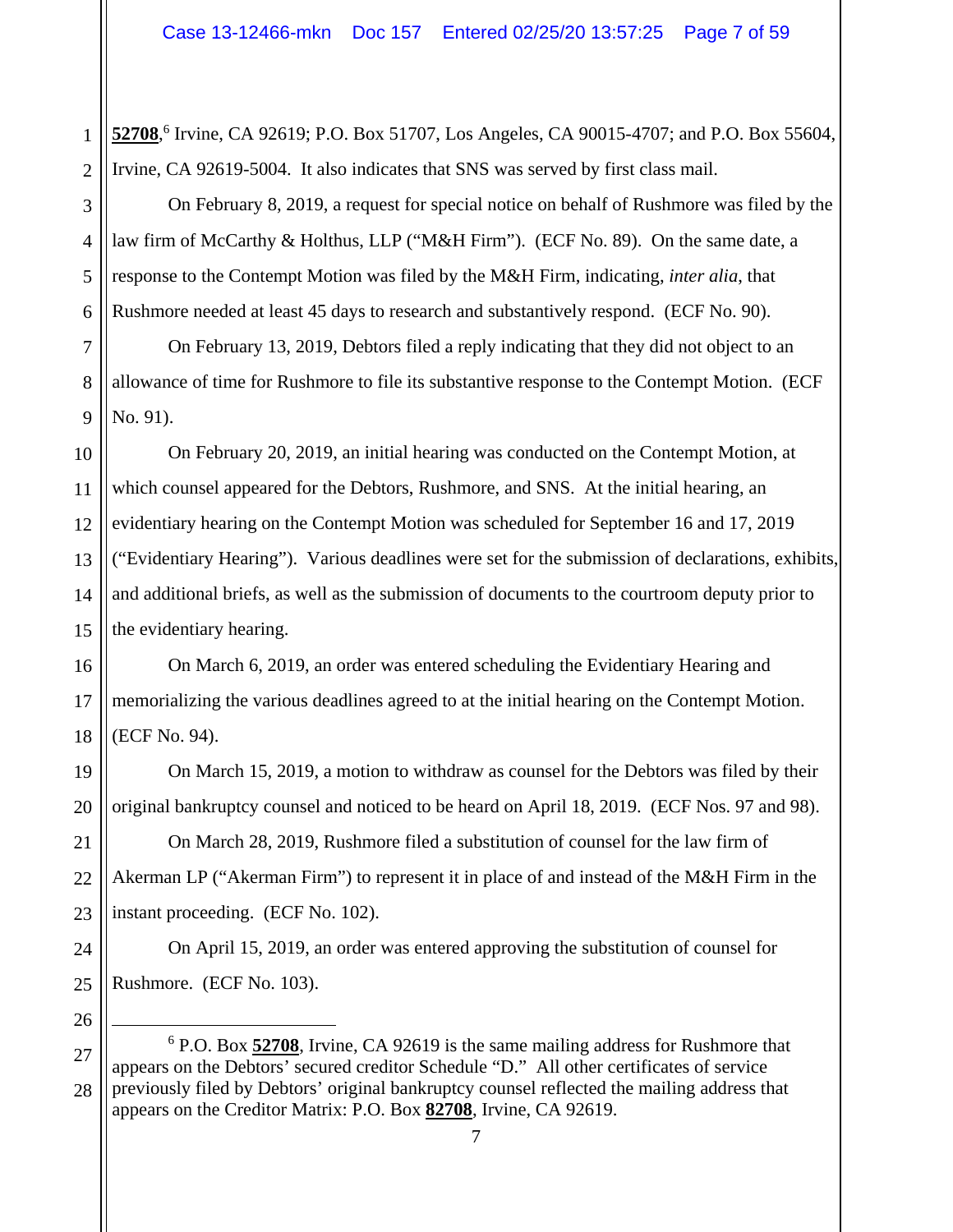1 2 52708,<sup>6</sup> Irvine, CA 92619; P.O. Box 51707, Los Angeles, CA 90015-4707; and P.O. Box 55604, Irvine, CA 92619-5004. It also indicates that SNS was served by first class mail.

 On February 8, 2019, a request for special notice on behalf of Rushmore was filed by the law firm of McCarthy & Holthus, LLP ("M&H Firm"). (ECF No. 89). On the same date, a response to the Contempt Motion was filed by the M&H Firm, indicating, *inter alia*, that Rushmore needed at least 45 days to research and substantively respond. (ECF No. 90).

 On February 13, 2019, Debtors filed a reply indicating that they did not object to an allowance of time for Rushmore to file its substantive response to the Contempt Motion. (ECF No. 91).

 On February 20, 2019, an initial hearing was conducted on the Contempt Motion, at which counsel appeared for the Debtors, Rushmore, and SNS. At the initial hearing, an evidentiary hearing on the Contempt Motion was scheduled for September 16 and 17, 2019 ("Evidentiary Hearing"). Various deadlines were set for the submission of declarations, exhibits, and additional briefs, as well as the submission of documents to the courtroom deputy prior to the evidentiary hearing.

 On March 6, 2019, an order was entered scheduling the Evidentiary Hearing and memorializing the various deadlines agreed to at the initial hearing on the Contempt Motion. (ECF No. 94).

 On March 15, 2019, a motion to withdraw as counsel for the Debtors was filed by their original bankruptcy counsel and noticed to be heard on April 18, 2019. (ECF Nos. 97 and 98).

 On March 28, 2019, Rushmore filed a substitution of counsel for the law firm of Akerman LP ("Akerman Firm") to represent it in place of and instead of the M&H Firm in the instant proceeding. (ECF No. 102).

 On April 15, 2019, an order was entered approving the substitution of counsel for Rushmore. (ECF No. 103).

3

 <sup>6</sup> P.O. Box **52708**, Irvine, CA 92619 is the same mailing address for Rushmore that appears on the Debtors' secured creditor Schedule "D." All other certificates of service previously filed by Debtors' original bankruptcy counsel reflected the mailing address that appears on the Creditor Matrix: P.O. Box **82708**, Irvine, CA 92619.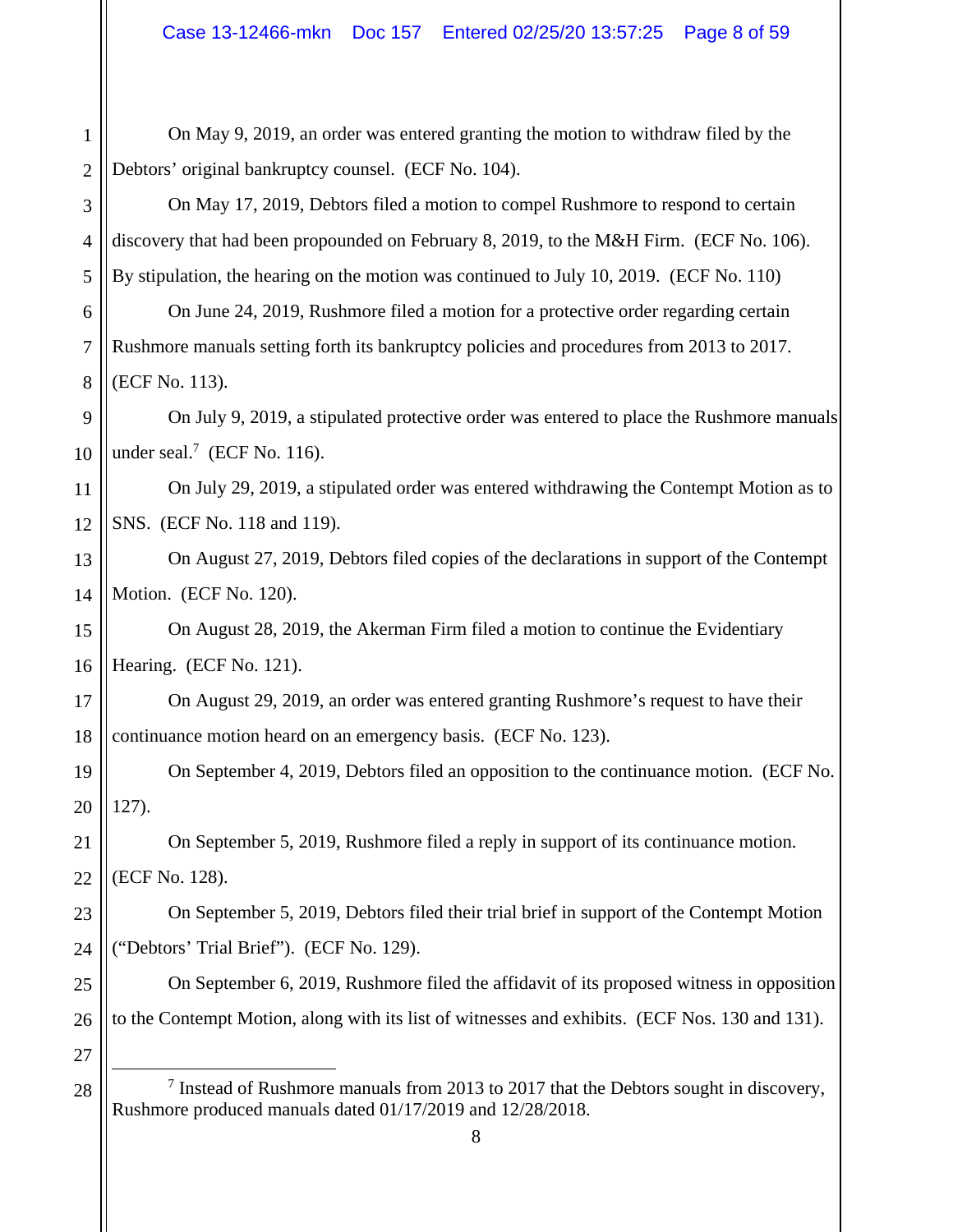| 1              | On May 9, 2019, an order was entered granting the motion to withdraw filed by the                                                                     |
|----------------|-------------------------------------------------------------------------------------------------------------------------------------------------------|
| $\overline{2}$ | Debtors' original bankruptcy counsel. (ECF No. 104).                                                                                                  |
| 3              | On May 17, 2019, Debtors filed a motion to compel Rushmore to respond to certain                                                                      |
| $\overline{4}$ | discovery that had been propounded on February 8, 2019, to the M&H Firm. (ECF No. 106).                                                               |
| 5              | By stipulation, the hearing on the motion was continued to July 10, 2019. (ECF No. 110)                                                               |
| 6              | On June 24, 2019, Rushmore filed a motion for a protective order regarding certain                                                                    |
| $\overline{7}$ | Rushmore manuals setting forth its bankruptcy policies and procedures from 2013 to 2017.                                                              |
| 8              | (ECF No. 113).                                                                                                                                        |
| 9              | On July 9, 2019, a stipulated protective order was entered to place the Rushmore manuals                                                              |
| 10             | under seal. $7$ (ECF No. 116).                                                                                                                        |
| 11             | On July 29, 2019, a stipulated order was entered withdrawing the Contempt Motion as to                                                                |
| 12             | SNS. (ECF No. 118 and 119).                                                                                                                           |
| 13             | On August 27, 2019, Debtors filed copies of the declarations in support of the Contempt                                                               |
| 14             | Motion. (ECF No. 120).                                                                                                                                |
| 15             | On August 28, 2019, the Akerman Firm filed a motion to continue the Evidentiary                                                                       |
| 16             | Hearing. (ECF No. 121).                                                                                                                               |
| 17             | On August 29, 2019, an order was entered granting Rushmore's request to have their                                                                    |
| 18             | continuance motion heard on an emergency basis. (ECF No. 123).                                                                                        |
| 19             | On September 4, 2019, Debtors filed an opposition to the continuance motion. (ECF No.                                                                 |
| 20             | 127).                                                                                                                                                 |
| 21             | On September 5, 2019, Rushmore filed a reply in support of its continuance motion.                                                                    |
| 22             | (ECF No. 128).                                                                                                                                        |
| 23             | On September 5, 2019, Debtors filed their trial brief in support of the Contempt Motion                                                               |
| 24             | ("Debtors' Trial Brief"). (ECF No. 129).                                                                                                              |
| 25             | On September 6, 2019, Rushmore filed the affidavit of its proposed witness in opposition                                                              |
| 26             | to the Contempt Motion, along with its list of witnesses and exhibits. (ECF Nos. 130 and 131).                                                        |
| 27             |                                                                                                                                                       |
| 28             | $7$ Instead of Rushmore manuals from 2013 to 2017 that the Debtors sought in discovery,<br>Rushmore produced manuals dated 01/17/2019 and 12/28/2018. |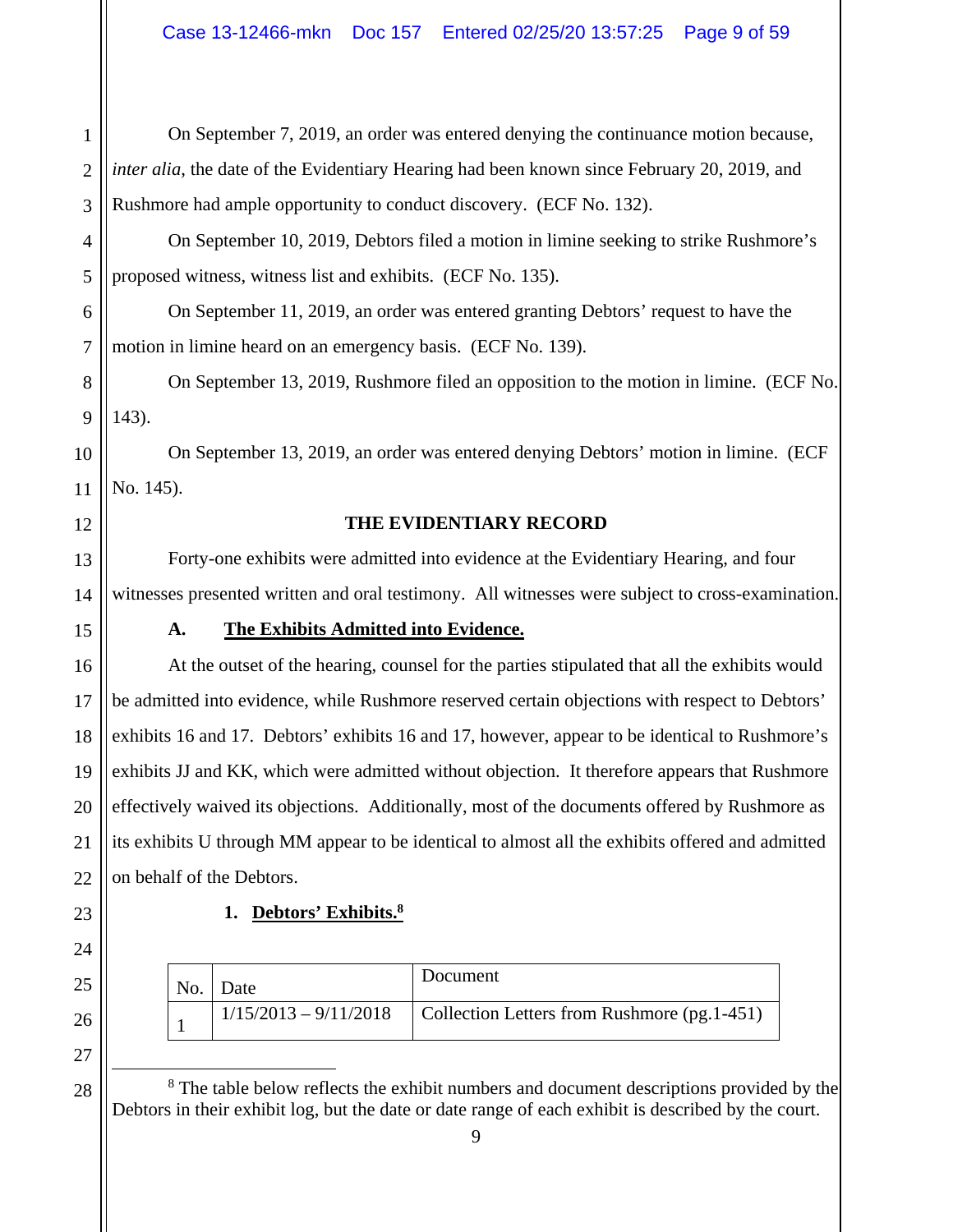| 1              | On September 7, 2019, an order was entered denying the continuance motion because,               |
|----------------|--------------------------------------------------------------------------------------------------|
| $\overline{2}$ | inter alia, the date of the Evidentiary Hearing had been known since February 20, 2019, and      |
| 3              | Rushmore had ample opportunity to conduct discovery. (ECF No. 132).                              |
| 4              | On September 10, 2019, Debtors filed a motion in limine seeking to strike Rushmore's             |
| 5              | proposed witness, witness list and exhibits. (ECF No. 135).                                      |
| 6              | On September 11, 2019, an order was entered granting Debtors' request to have the                |
| 7              | motion in limine heard on an emergency basis. (ECF No. 139).                                     |
| 8              | On September 13, 2019, Rushmore filed an opposition to the motion in limine. (ECF No.            |
| 9              | 143).                                                                                            |
| 10             | On September 13, 2019, an order was entered denying Debtors' motion in limine. (ECF              |
| 11             | No. 145).                                                                                        |
| 12             | THE EVIDENTIARY RECORD                                                                           |
| 13             | Forty-one exhibits were admitted into evidence at the Evidentiary Hearing, and four              |
| 14             | witnesses presented written and oral testimony. All witnesses were subject to cross-examination. |
| 15             | The Exhibits Admitted into Evidence.<br>A.                                                       |
| 16             | At the outset of the hearing, counsel for the parties stipulated that all the exhibits would     |
| 17             | be admitted into evidence, while Rushmore reserved certain objections with respect to Debtors'   |
| 18             | exhibits 16 and 17. Debtors' exhibits 16 and 17, however, appear to be identical to Rushmore's   |
| 19             | exhibits JJ and KK, which were admitted without objection. It therefore appears that Rushmore    |
| 20             | effectively waived its objections. Additionally, most of the documents offered by Rushmore as    |
| 21             | its exhibits U through MM appear to be identical to almost all the exhibits offered and admitted |
| 22             | on behalf of the Debtors.                                                                        |
| 23             | 1. Debtors' Exhibits. <sup>8</sup>                                                               |
| 24             |                                                                                                  |

| No. | Date | Document                                                             |
|-----|------|----------------------------------------------------------------------|
|     |      | $1/15/2013 - 9/11/2018$ Collection Letters from Rushmore (pg. 1-451) |

<sup>8</sup> The table below reflects the exhibit numbers and document descriptions provided by the Debtors in their exhibit log, but the date or date range of each exhibit is described by the court.

25

26

27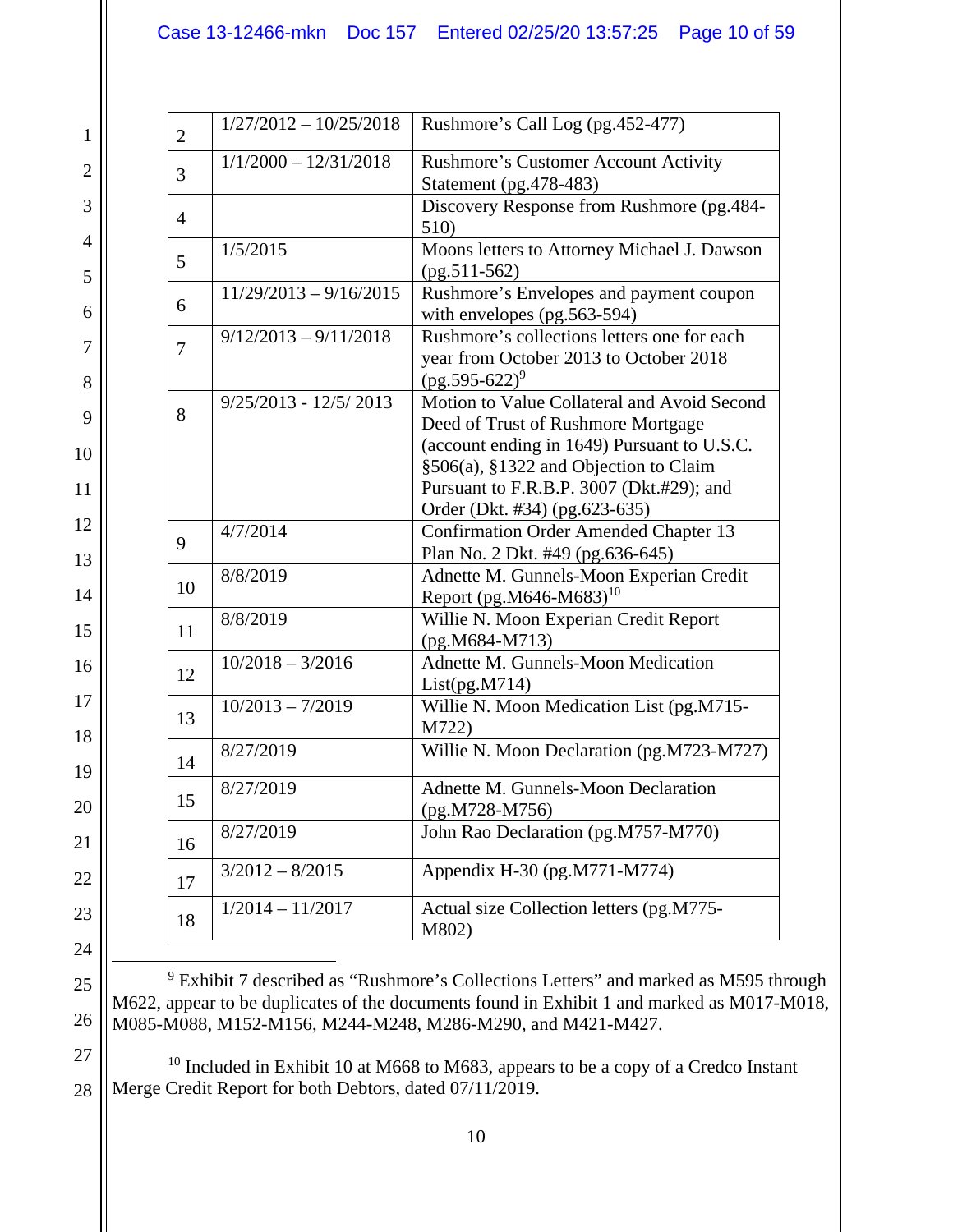| $\overline{2}$ | $1/27/2012 - 10/25/2018$ | Rushmore's Call Log (pg.452-477)                                                                                                                                                                                                                       |
|----------------|--------------------------|--------------------------------------------------------------------------------------------------------------------------------------------------------------------------------------------------------------------------------------------------------|
| 3              | $1/1/2000 - 12/31/2018$  | <b>Rushmore's Customer Account Activity</b><br>Statement (pg. 478-483)                                                                                                                                                                                 |
| $\overline{4}$ |                          | Discovery Response from Rushmore (pg.484-<br>510)                                                                                                                                                                                                      |
| 5              | 1/5/2015                 | Moons letters to Attorney Michael J. Dawson<br>$(pg.511-562)$                                                                                                                                                                                          |
| 6              | $11/29/2013 - 9/16/2015$ | Rushmore's Envelopes and payment coupon<br>with envelopes (pg.563-594)                                                                                                                                                                                 |
| 7              | $9/12/2013 - 9/11/2018$  | Rushmore's collections letters one for each<br>year from October 2013 to October 2018<br>$(pg.595-622)^9$                                                                                                                                              |
| 8              | $9/25/2013 - 12/5/2013$  | Motion to Value Collateral and Avoid Second<br>Deed of Trust of Rushmore Mortgage<br>(account ending in 1649) Pursuant to U.S.C.<br>§506(a), §1322 and Objection to Claim<br>Pursuant to F.R.B.P. 3007 (Dkt.#29); and<br>Order (Dkt. #34) (pg.623-635) |
| 9              | 4/7/2014                 | <b>Confirmation Order Amended Chapter 13</b><br>Plan No. 2 Dkt. #49 (pg.636-645)                                                                                                                                                                       |
| 10             | 8/8/2019                 | Adnette M. Gunnels-Moon Experian Credit<br>Report (pg.M646-M683) <sup>10</sup>                                                                                                                                                                         |
| 11             | 8/8/2019                 | Willie N. Moon Experian Credit Report<br>$(pg.M684-M713)$                                                                                                                                                                                              |
| 12             | $10/2018 - 3/2016$       | Adnette M. Gunnels-Moon Medication<br>List(pg.M714)                                                                                                                                                                                                    |
| 13             | $10/2013 - 7/2019$       | Willie N. Moon Medication List (pg.M715-<br>M722)                                                                                                                                                                                                      |
| 14             | 8/27/2019                | Willie N. Moon Declaration (pg.M723-M727)                                                                                                                                                                                                              |
| 15             | 8/27/2019                | Adnette M. Gunnels-Moon Declaration<br>$(pg.M728-M756)$                                                                                                                                                                                                |
| 16             | 8/27/2019                | John Rao Declaration (pg.M757-M770)                                                                                                                                                                                                                    |
| 17             | $3/2012 - 8/2015$        | Appendix H-30 (pg.M771-M774)                                                                                                                                                                                                                           |
| 18             | $1/2014 - 11/2017$       | Actual size Collection letters (pg.M775-<br>M802)                                                                                                                                                                                                      |

 <sup>9</sup> Exhibit 7 described as "Rushmore's Collections Letters" and marked as M595 through M622, appear to be duplicates of the documents found in Exhibit 1 and marked as M017-M018, M085-M088, M152-M156, M244-M248, M286-M290, and M421-M427.

 <sup>10</sup> Included in Exhibit 10 at M668 to M683, appears to be a copy of a Credco Instant Merge Credit Report for both Debtors, dated 07/11/2019.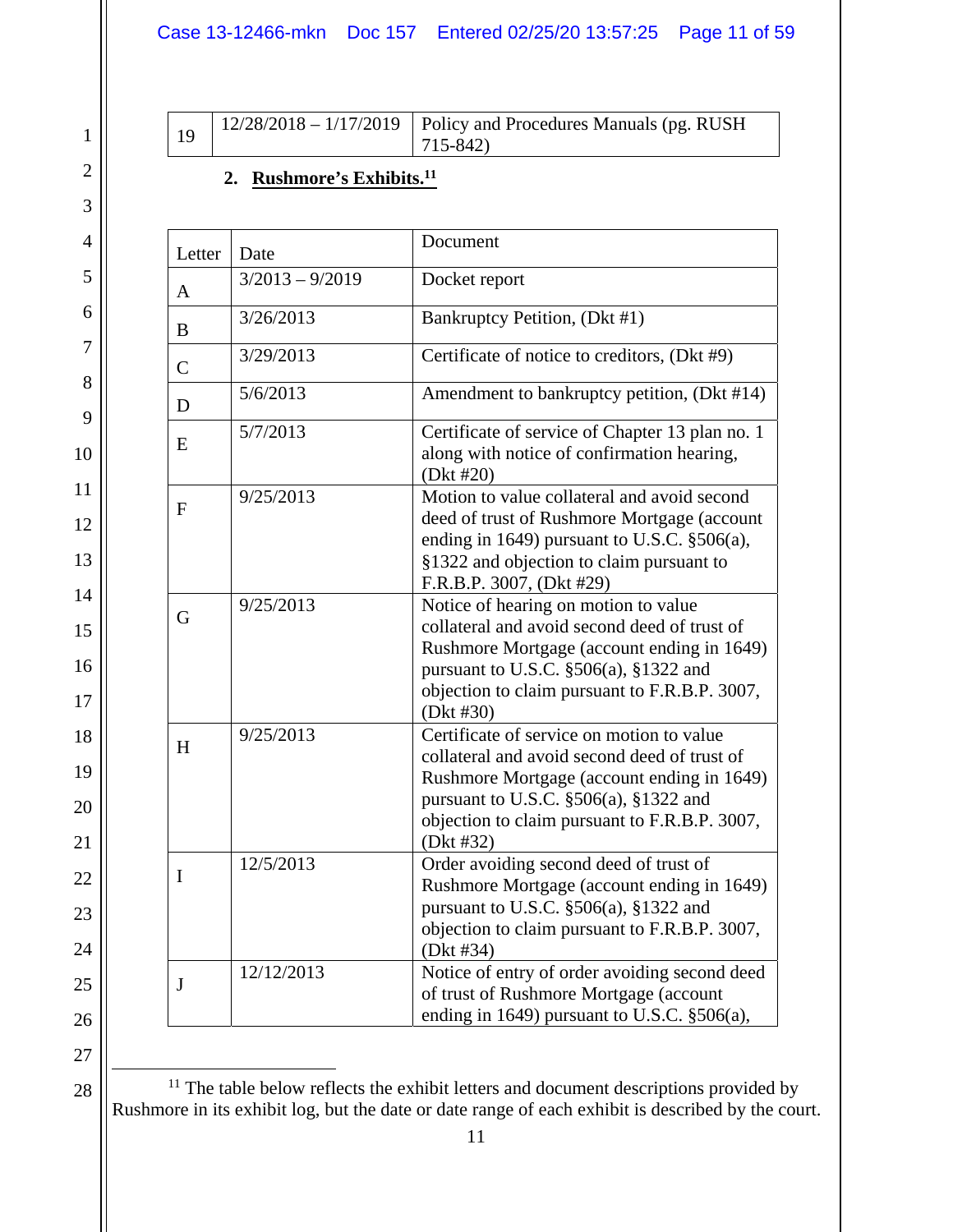| 19 | $\vert 12/28/2018 - 1/17/2019 \vert$ Policy and Procedures Manuals (pg. RUSH |
|----|------------------------------------------------------------------------------|
|    | $ 715 - 842\rangle$                                                          |

# **2. Rushmore's Exhibits.11**

| Letter         | Date              | Document                                                                                                                                                                                                                                         |
|----------------|-------------------|--------------------------------------------------------------------------------------------------------------------------------------------------------------------------------------------------------------------------------------------------|
| $\mathbf{A}$   | $3/2013 - 9/2019$ | Docket report                                                                                                                                                                                                                                    |
| $\bf{B}$       | 3/26/2013         | Bankruptcy Petition, (Dkt #1)                                                                                                                                                                                                                    |
| $\overline{C}$ | 3/29/2013         | Certificate of notice to creditors, (Dkt #9)                                                                                                                                                                                                     |
| D              | 5/6/2013          | Amendment to bankruptcy petition, (Dkt #14)                                                                                                                                                                                                      |
| E              | 5/7/2013          | Certificate of service of Chapter 13 plan no. 1<br>along with notice of confirmation hearing,<br>(Dkt #20)                                                                                                                                       |
| ${\bf F}$      | 9/25/2013         | Motion to value collateral and avoid second<br>deed of trust of Rushmore Mortgage (account<br>ending in 1649) pursuant to U.S.C. §506(a),<br>§1322 and objection to claim pursuant to<br>F.R.B.P. 3007, (Dkt #29)                                |
| G              | 9/25/2013         | Notice of hearing on motion to value<br>collateral and avoid second deed of trust of<br>Rushmore Mortgage (account ending in 1649)<br>pursuant to U.S.C. $\S506(a)$ , $\S1322$ and<br>objection to claim pursuant to F.R.B.P. 3007,<br>(Dkt #30) |
| H              | 9/25/2013         | Certificate of service on motion to value<br>collateral and avoid second deed of trust of<br>Rushmore Mortgage (account ending in 1649)<br>pursuant to U.S.C. §506(a), §1322 and<br>objection to claim pursuant to F.R.B.P. 3007,<br>(Dkt #32)   |
| $\mathbf I$    | 12/5/2013         | Order avoiding second deed of trust of<br>Rushmore Mortgage (account ending in 1649)<br>pursuant to U.S.C. §506(a), §1322 and<br>objection to claim pursuant to F.R.B.P. 3007,<br>(Dkt #34)                                                      |
| $\bf J$        | 12/12/2013        | Notice of entry of order avoiding second deed<br>of trust of Rushmore Mortgage (account<br>ending in 1649) pursuant to U.S.C. §506(a),                                                                                                           |

1

2

3

4

5

6

7

8

9

10

11

12

13

14

15

16

17

18

19

20

21

22

23

<sup>11</sup> The table below reflects the exhibit letters and document descriptions provided by Rushmore in its exhibit log, but the date or date range of each exhibit is described by the court.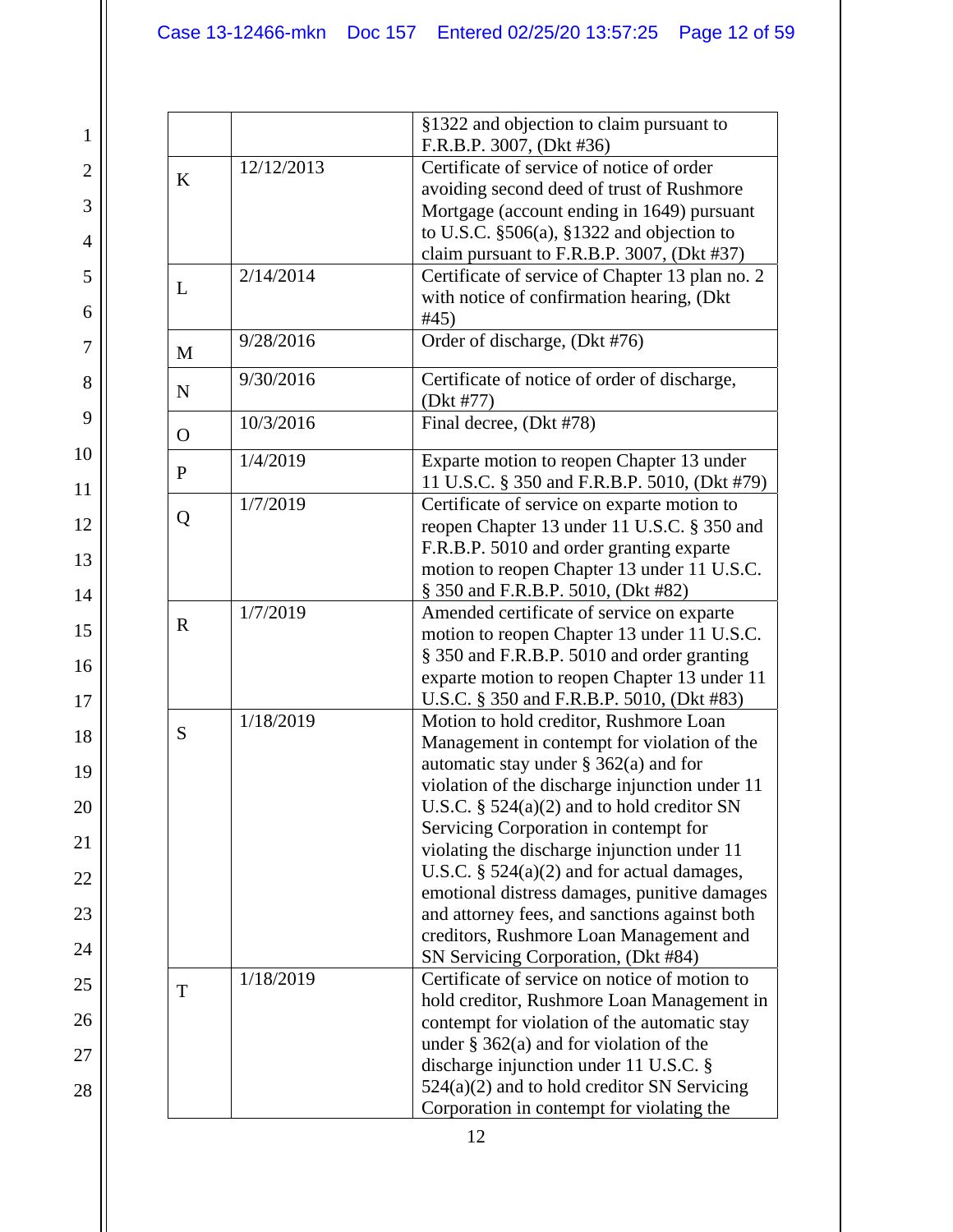27

|              |            | §1322 and objection to claim pursuant to                                                                                                  |
|--------------|------------|-------------------------------------------------------------------------------------------------------------------------------------------|
|              |            | F.R.B.P. 3007, (Dkt #36)                                                                                                                  |
|              | 12/12/2013 | Certificate of service of notice of order                                                                                                 |
| $\bf K$      |            | avoiding second deed of trust of Rushmore                                                                                                 |
|              |            | Mortgage (account ending in 1649) pursuant                                                                                                |
|              |            | to U.S.C. $\S506(a)$ , $\S1322$ and objection to                                                                                          |
|              |            | claim pursuant to F.R.B.P. 3007, (Dkt #37)                                                                                                |
|              | 2/14/2014  | Certificate of service of Chapter 13 plan no. 2                                                                                           |
| L            |            | with notice of confirmation hearing, (Dkt                                                                                                 |
|              |            | #45)                                                                                                                                      |
| M            | 9/28/2016  | Order of discharge, (Dkt #76)                                                                                                             |
|              |            |                                                                                                                                           |
| $\mathbf N$  | 9/30/2016  | Certificate of notice of order of discharge,                                                                                              |
|              |            | (Dkt #77)                                                                                                                                 |
| $\Omega$     | 10/3/2016  | Final decree, (Dkt #78)                                                                                                                   |
|              | 1/4/2019   | Exparte motion to reopen Chapter 13 under                                                                                                 |
| $\mathbf{P}$ |            | 11 U.S.C. § 350 and F.R.B.P. 5010, (Dkt #79)                                                                                              |
|              | 1/7/2019   | Certificate of service on exparte motion to                                                                                               |
| Q            |            | reopen Chapter 13 under 11 U.S.C. § 350 and                                                                                               |
|              |            | F.R.B.P. 5010 and order granting exparte                                                                                                  |
|              |            | motion to reopen Chapter 13 under 11 U.S.C.                                                                                               |
|              |            | § 350 and F.R.B.P. 5010, (Dkt #82)                                                                                                        |
| $\mathbf R$  | 1/7/2019   | Amended certificate of service on exparte                                                                                                 |
|              |            | motion to reopen Chapter 13 under 11 U.S.C.                                                                                               |
|              |            | § 350 and F.R.B.P. 5010 and order granting                                                                                                |
|              |            | exparte motion to reopen Chapter 13 under 11                                                                                              |
|              |            | U.S.C. § 350 and F.R.B.P. 5010, (Dkt #83)                                                                                                 |
| S            | 1/18/2019  | Motion to hold creditor, Rushmore Loan                                                                                                    |
|              |            | Management in contempt for violation of the                                                                                               |
|              |            | automatic stay under $\S$ 362(a) and for                                                                                                  |
|              |            |                                                                                                                                           |
|              |            |                                                                                                                                           |
|              |            | U.S.C. $\S$ 524(a)(2) and to hold creditor SN                                                                                             |
|              |            | Servicing Corporation in contempt for                                                                                                     |
|              |            | violating the discharge injunction under 11                                                                                               |
|              |            | U.S.C. $\S$ 524(a)(2) and for actual damages,                                                                                             |
|              |            |                                                                                                                                           |
|              |            | and attorney fees, and sanctions against both                                                                                             |
|              |            | violation of the discharge injunction under 11<br>emotional distress damages, punitive damages<br>creditors, Rushmore Loan Management and |
|              |            | SN Servicing Corporation, (Dkt #84)                                                                                                       |
| T            | 1/18/2019  | Certificate of service on notice of motion to                                                                                             |
|              |            |                                                                                                                                           |
|              |            | contempt for violation of the automatic stay                                                                                              |
|              |            | under $\S$ 362(a) and for violation of the                                                                                                |
|              |            | hold creditor, Rushmore Loan Management in<br>discharge injunction under 11 U.S.C. §<br>$524(a)(2)$ and to hold creditor SN Servicing     |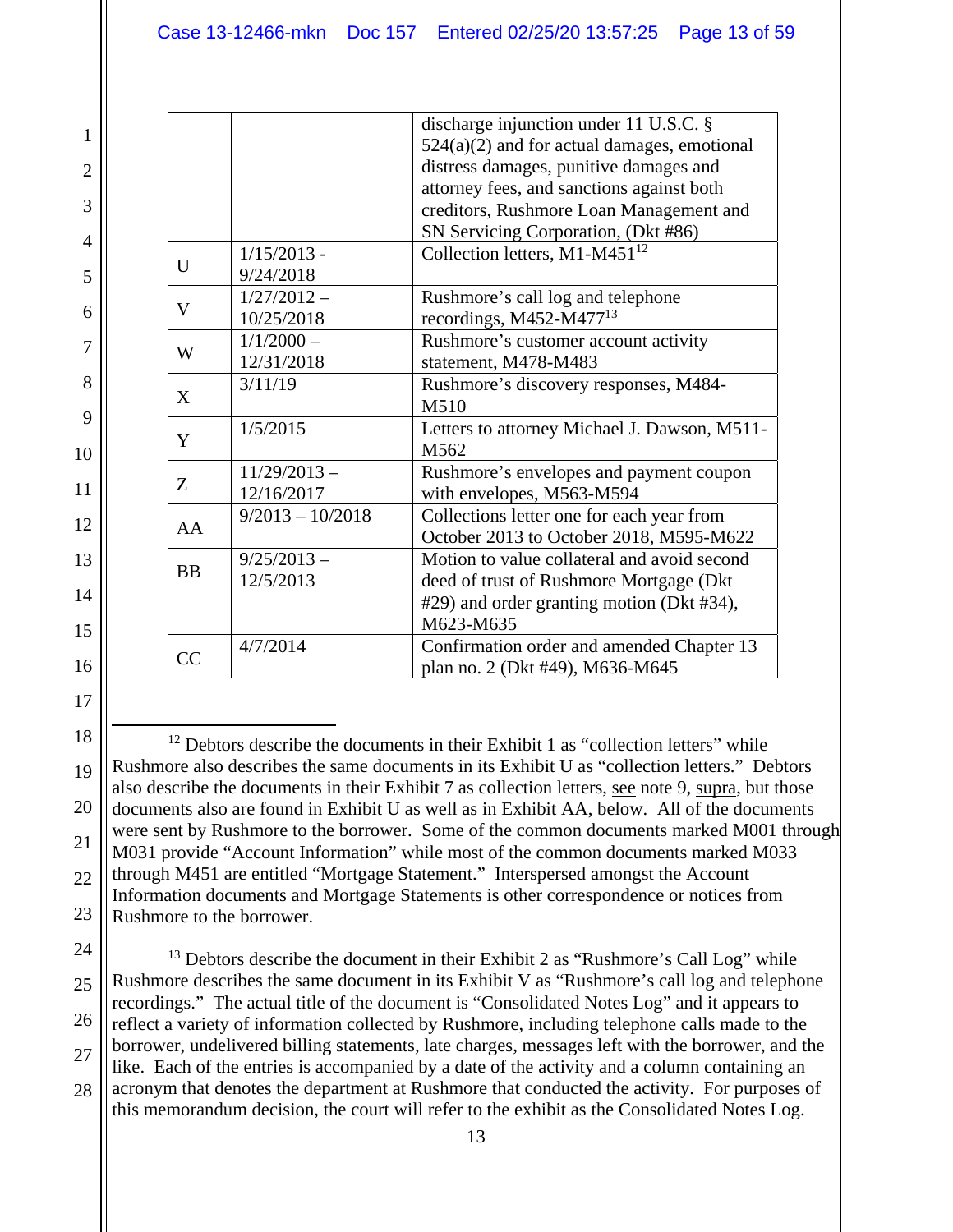|              |                    | discharge injunction under 11 U.S.C. $\S$     |
|--------------|--------------------|-----------------------------------------------|
|              |                    | $524(a)(2)$ and for actual damages, emotional |
|              |                    | distress damages, punitive damages and        |
|              |                    | attorney fees, and sanctions against both     |
|              |                    | creditors, Rushmore Loan Management and       |
|              |                    | SN Servicing Corporation, (Dkt #86)           |
|              | $1/15/2013$ -      | Collection letters, $M1-M451^{12}$            |
| $\mathbf{U}$ | 9/24/2018          |                                               |
|              | $1/27/2012 -$      | Rushmore's call log and telephone             |
| V            | 10/25/2018         | recordings, M452-M477 $13$                    |
|              | $1/1/2000 -$       | Rushmore's customer account activity          |
| W            | 12/31/2018         | statement, M478-M483                          |
|              | 3/11/19            | Rushmore's discovery responses, M484-         |
| X            |                    | M510                                          |
|              | 1/5/2015           | Letters to attorney Michael J. Dawson, M511-  |
| Y            |                    | M <sub>562</sub>                              |
|              | $11/29/2013 -$     | Rushmore's envelopes and payment coupon       |
| Z            | 12/16/2017         | with envelopes, M563-M594                     |
|              | $9/2013 - 10/2018$ | Collections letter one for each year from     |
| AA           |                    | October 2013 to October 2018, M595-M622       |
|              | $9/25/2013 -$      | Motion to value collateral and avoid second   |
| <b>BB</b>    | 12/5/2013          | deed of trust of Rushmore Mortgage (Dkt       |
|              |                    | #29) and order granting motion (Dkt #34),     |
|              |                    | M623-M635                                     |
|              | 4/7/2014           | Confirmation order and amended Chapter 13     |
| CC           |                    | plan no. 2 (Dkt #49), M636-M645               |

20 21 22 23  $12$  Debtors describe the documents in their Exhibit 1 as "collection letters" while Rushmore also describes the same documents in its Exhibit U as "collection letters." Debtors also describe the documents in their Exhibit 7 as collection letters, see note 9, supra, but those documents also are found in Exhibit U as well as in Exhibit AA, below. All of the documents were sent by Rushmore to the borrower. Some of the common documents marked M001 through M031 provide "Account Information" while most of the common documents marked M033 through M451 are entitled "Mortgage Statement." Interspersed amongst the Account Information documents and Mortgage Statements is other correspondence or notices from Rushmore to the borrower.

24 25

26 27 28  $13$  Debtors describe the document in their Exhibit 2 as "Rushmore's Call Log" while Rushmore describes the same document in its Exhibit V as "Rushmore's call log and telephone recordings." The actual title of the document is "Consolidated Notes Log" and it appears to reflect a variety of information collected by Rushmore, including telephone calls made to the borrower, undelivered billing statements, late charges, messages left with the borrower, and the like. Each of the entries is accompanied by a date of the activity and a column containing an acronym that denotes the department at Rushmore that conducted the activity. For purposes of this memorandum decision, the court will refer to the exhibit as the Consolidated Notes Log.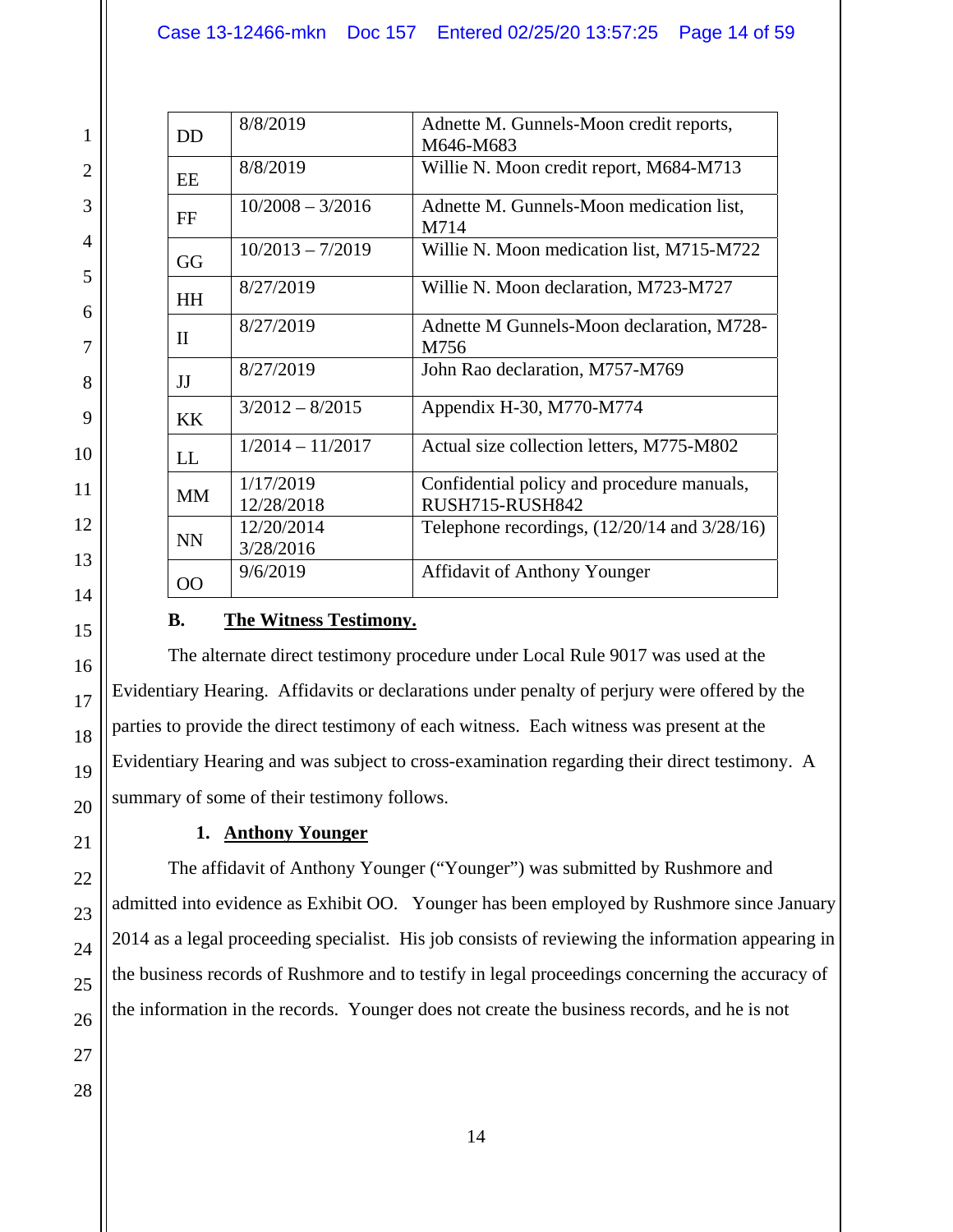| <b>DD</b>    | 8/8/2019                | Adnette M. Gunnels-Moon credit reports,<br>M646-M683          |
|--------------|-------------------------|---------------------------------------------------------------|
| EE           | 8/8/2019                | Willie N. Moon credit report, M684-M713                       |
| FF           | $10/2008 - 3/2016$      | Adnette M. Gunnels-Moon medication list,<br>M714              |
| GG           | $10/2013 - 7/2019$      | Willie N. Moon medication list, M715-M722                     |
| <b>HH</b>    | 8/27/2019               | Willie N. Moon declaration, M723-M727                         |
| $\mathbf{I}$ | 8/27/2019               | Adnette M Gunnels-Moon declaration, M728-<br>M756             |
| JJ           | 8/27/2019               | John Rao declaration, M757-M769                               |
| <b>KK</b>    | $3/2012 - 8/2015$       | Appendix H-30, M770-M774                                      |
| LL           | $1/2014 - 11/2017$      | Actual size collection letters, M775-M802                     |
| <b>MM</b>    | 1/17/2019<br>12/28/2018 | Confidential policy and procedure manuals,<br>RUSH715-RUSH842 |
| <b>NN</b>    | 12/20/2014<br>3/28/2016 | Telephone recordings, $(12/20/14$ and $3/28/16)$              |
| 00           | 9/6/2019                | <b>Affidavit of Anthony Younger</b>                           |

## **B. The Witness Testimony.**

The alternate direct testimony procedure under Local Rule 9017 was used at the Evidentiary Hearing. Affidavits or declarations under penalty of perjury were offered by the parties to provide the direct testimony of each witness. Each witness was present at the Evidentiary Hearing and was subject to cross-examination regarding their direct testimony. A summary of some of their testimony follows.

## **1. Anthony Younger**

The affidavit of Anthony Younger ("Younger") was submitted by Rushmore and admitted into evidence as Exhibit OO. Younger has been employed by Rushmore since January 2014 as a legal proceeding specialist. His job consists of reviewing the information appearing in the business records of Rushmore and to testify in legal proceedings concerning the accuracy of the information in the records. Younger does not create the business records, and he is not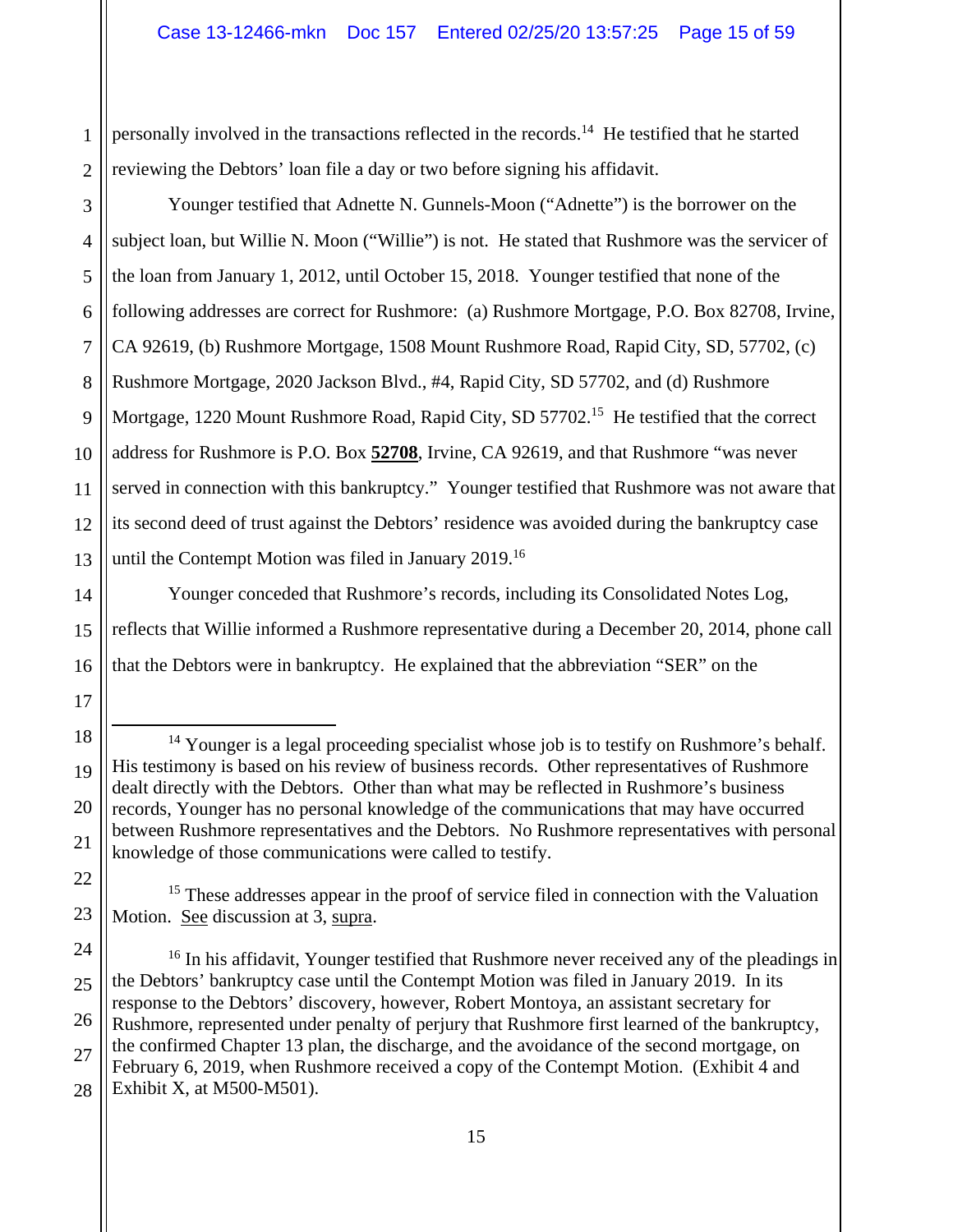2 personally involved in the transactions reflected in the records.<sup>14</sup> He testified that he started reviewing the Debtors' loan file a day or two before signing his affidavit.

1

17

22

23

3 4 5 6 7 8 9 10 11 12 13 Younger testified that Adnette N. Gunnels-Moon ("Adnette") is the borrower on the subject loan, but Willie N. Moon ("Willie") is not. He stated that Rushmore was the servicer of the loan from January 1, 2012, until October 15, 2018. Younger testified that none of the following addresses are correct for Rushmore: (a) Rushmore Mortgage, P.O. Box 82708, Irvine, CA 92619, (b) Rushmore Mortgage, 1508 Mount Rushmore Road, Rapid City, SD, 57702, (c) Rushmore Mortgage, 2020 Jackson Blvd., #4, Rapid City, SD 57702, and (d) Rushmore Mortgage, 1220 Mount Rushmore Road, Rapid City, SD 57702.<sup>15</sup> He testified that the correct address for Rushmore is P.O. Box **52708**, Irvine, CA 92619, and that Rushmore "was never served in connection with this bankruptcy." Younger testified that Rushmore was not aware that its second deed of trust against the Debtors' residence was avoided during the bankruptcy case until the Contempt Motion was filed in January 2019.<sup>16</sup>

14 15 16 Younger conceded that Rushmore's records, including its Consolidated Notes Log, reflects that Willie informed a Rushmore representative during a December 20, 2014, phone call that the Debtors were in bankruptcy. He explained that the abbreviation "SER" on the

18 19 20 21  $14$  Younger is a legal proceeding specialist whose job is to testify on Rushmore's behalf. His testimony is based on his review of business records. Other representatives of Rushmore dealt directly with the Debtors. Other than what may be reflected in Rushmore's business records, Younger has no personal knowledge of the communications that may have occurred between Rushmore representatives and the Debtors. No Rushmore representatives with personal knowledge of those communications were called to testify.

<sup>15</sup> These addresses appear in the proof of service filed in connection with the Valuation Motion. See discussion at 3, supra.

<sup>24</sup> 25 26 27 28 <sup>16</sup> In his affidavit, Younger testified that Rushmore never received any of the pleadings in the Debtors' bankruptcy case until the Contempt Motion was filed in January 2019. In its response to the Debtors' discovery, however, Robert Montoya, an assistant secretary for Rushmore, represented under penalty of perjury that Rushmore first learned of the bankruptcy, the confirmed Chapter 13 plan, the discharge, and the avoidance of the second mortgage, on February 6, 2019, when Rushmore received a copy of the Contempt Motion. (Exhibit 4 and Exhibit X, at M500-M501).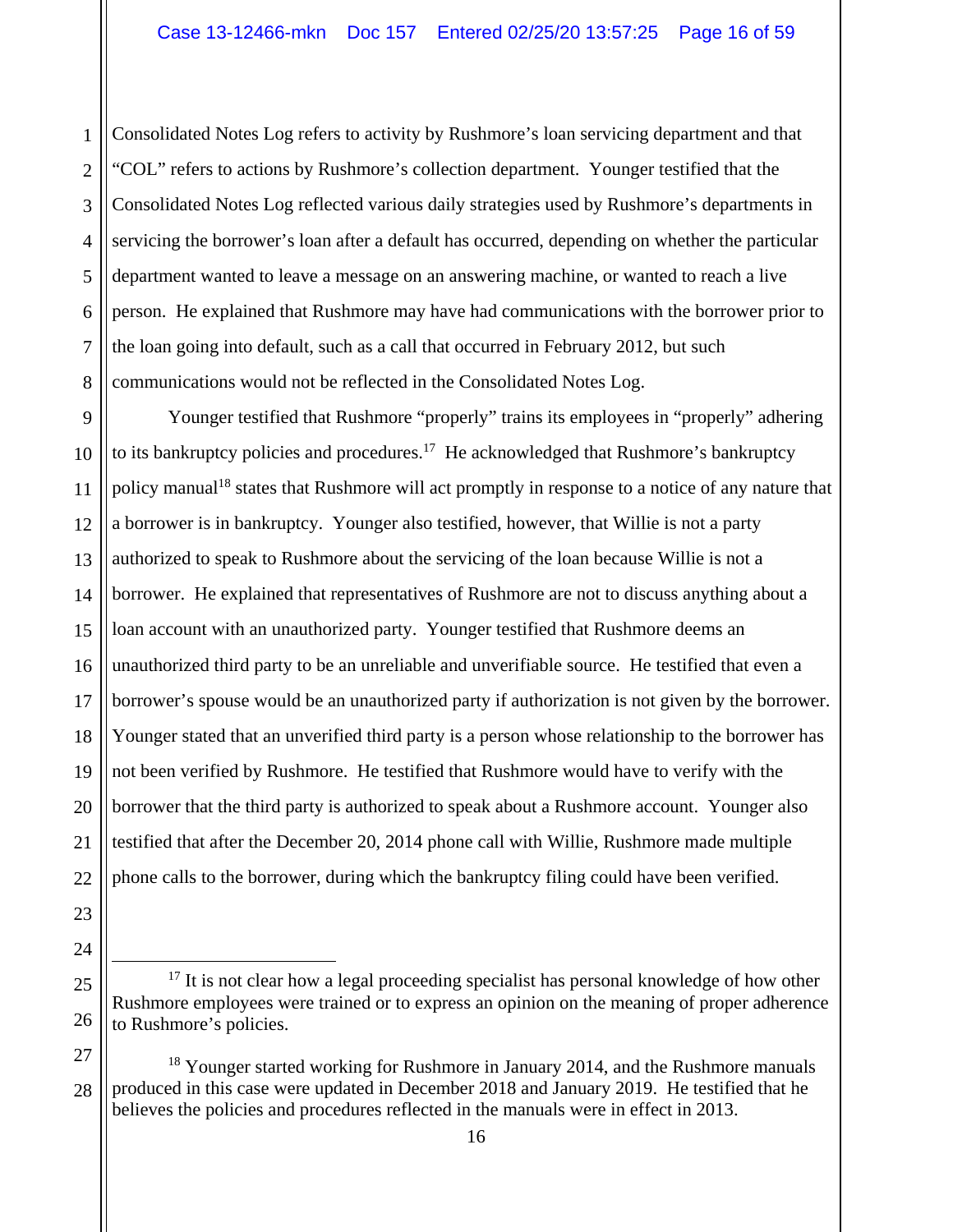1 2 3 4 5 6 7 8 Consolidated Notes Log refers to activity by Rushmore's loan servicing department and that "COL" refers to actions by Rushmore's collection department. Younger testified that the Consolidated Notes Log reflected various daily strategies used by Rushmore's departments in servicing the borrower's loan after a default has occurred, depending on whether the particular department wanted to leave a message on an answering machine, or wanted to reach a live person. He explained that Rushmore may have had communications with the borrower prior to the loan going into default, such as a call that occurred in February 2012, but such communications would not be reflected in the Consolidated Notes Log.

9 10 11 12 13 14 15 16 17 18 19 20 21 22 Younger testified that Rushmore "properly" trains its employees in "properly" adhering to its bankruptcy policies and procedures.<sup>17</sup> He acknowledged that Rushmore's bankruptcy policy manual<sup>18</sup> states that Rushmore will act promptly in response to a notice of any nature that a borrower is in bankruptcy. Younger also testified, however, that Willie is not a party authorized to speak to Rushmore about the servicing of the loan because Willie is not a borrower. He explained that representatives of Rushmore are not to discuss anything about a loan account with an unauthorized party. Younger testified that Rushmore deems an unauthorized third party to be an unreliable and unverifiable source. He testified that even a borrower's spouse would be an unauthorized party if authorization is not given by the borrower. Younger stated that an unverified third party is a person whose relationship to the borrower has not been verified by Rushmore. He testified that Rushmore would have to verify with the borrower that the third party is authorized to speak about a Rushmore account. Younger also testified that after the December 20, 2014 phone call with Willie, Rushmore made multiple phone calls to the borrower, during which the bankruptcy filing could have been verified.

16

23

24

25

 $17$  It is not clear how a legal proceeding specialist has personal knowledge of how other Rushmore employees were trained or to express an opinion on the meaning of proper adherence to Rushmore's policies.

<sup>27</sup> 28 <sup>18</sup> Younger started working for Rushmore in January 2014, and the Rushmore manuals produced in this case were updated in December 2018 and January 2019. He testified that he believes the policies and procedures reflected in the manuals were in effect in 2013.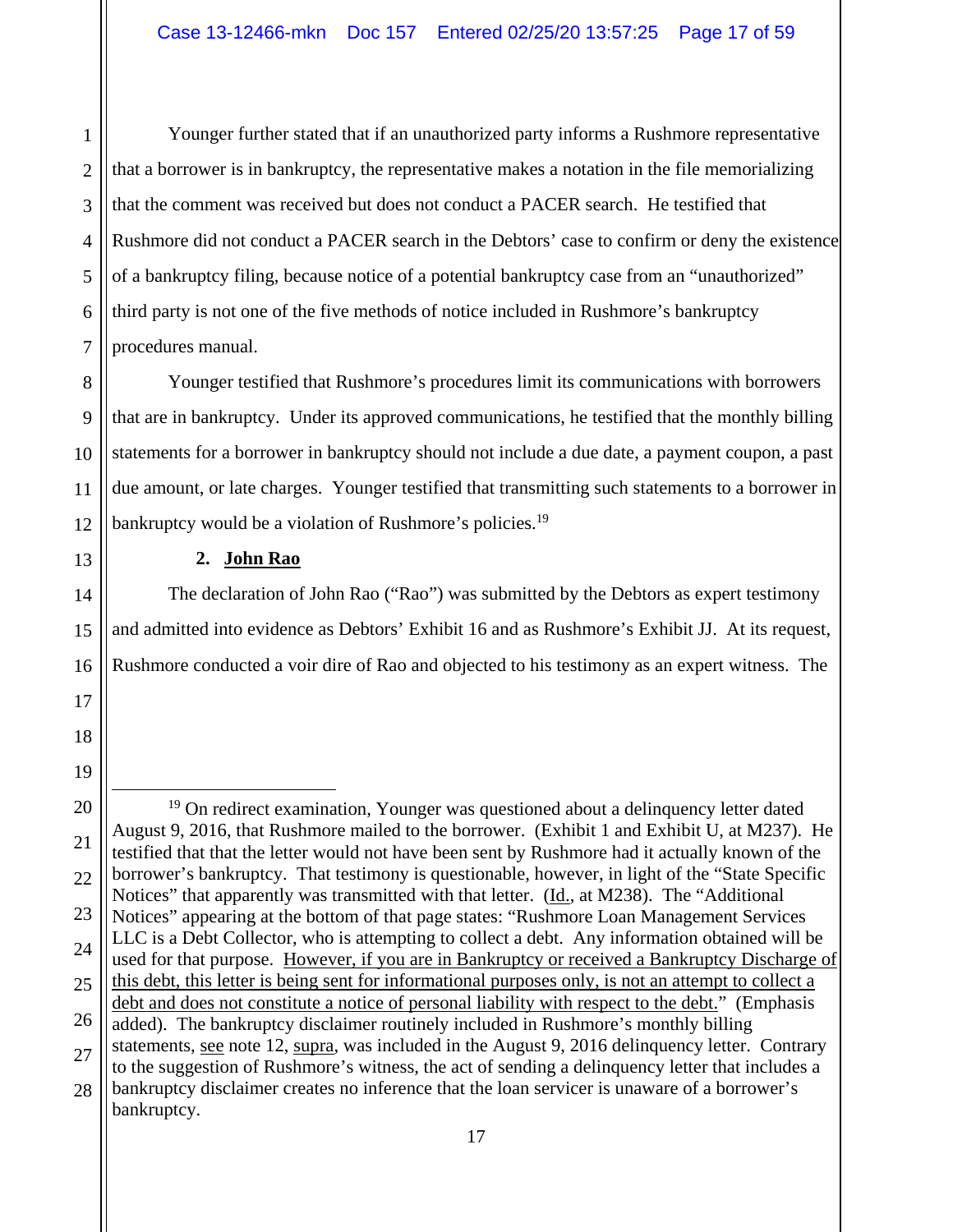1 Younger further stated that if an unauthorized party informs a Rushmore representative that a borrower is in bankruptcy, the representative makes a notation in the file memorializing that the comment was received but does not conduct a PACER search. He testified that Rushmore did not conduct a PACER search in the Debtors' case to confirm or deny the existence of a bankruptcy filing, because notice of a potential bankruptcy case from an "unauthorized" third party is not one of the five methods of notice included in Rushmore's bankruptcy procedures manual.

Younger testified that Rushmore's procedures limit its communications with borrowers that are in bankruptcy. Under its approved communications, he testified that the monthly billing statements for a borrower in bankruptcy should not include a due date, a payment coupon, a past due amount, or late charges. Younger testified that transmitting such statements to a borrower in bankruptcy would be a violation of Rushmore's policies.<sup>19</sup>

#### **2. John Rao**

The declaration of John Rao ("Rao") was submitted by the Debtors as expert testimony and admitted into evidence as Debtors' Exhibit 16 and as Rushmore's Exhibit JJ. At its request, Rushmore conducted a voir dire of Rao and objected to his testimony as an expert witness. The

<sup>&</sup>lt;sup>19</sup> On redirect examination, Younger was questioned about a delinquency letter dated August 9, 2016, that Rushmore mailed to the borrower. (Exhibit 1 and Exhibit U, at M237). He testified that that the letter would not have been sent by Rushmore had it actually known of the borrower's bankruptcy. That testimony is questionable, however, in light of the "State Specific Notices" that apparently was transmitted with that letter. (Id., at M238). The "Additional Notices" appearing at the bottom of that page states: "Rushmore Loan Management Services LLC is a Debt Collector, who is attempting to collect a debt. Any information obtained will be used for that purpose. However, if you are in Bankruptcy or received a Bankruptcy Discharge of this debt, this letter is being sent for informational purposes only, is not an attempt to collect a debt and does not constitute a notice of personal liability with respect to the debt." (Emphasis added). The bankruptcy disclaimer routinely included in Rushmore's monthly billing statements, see note 12, supra, was included in the August 9, 2016 delinquency letter. Contrary to the suggestion of Rushmore's witness, the act of sending a delinquency letter that includes a bankruptcy disclaimer creates no inference that the loan servicer is unaware of a borrower's bankruptcy.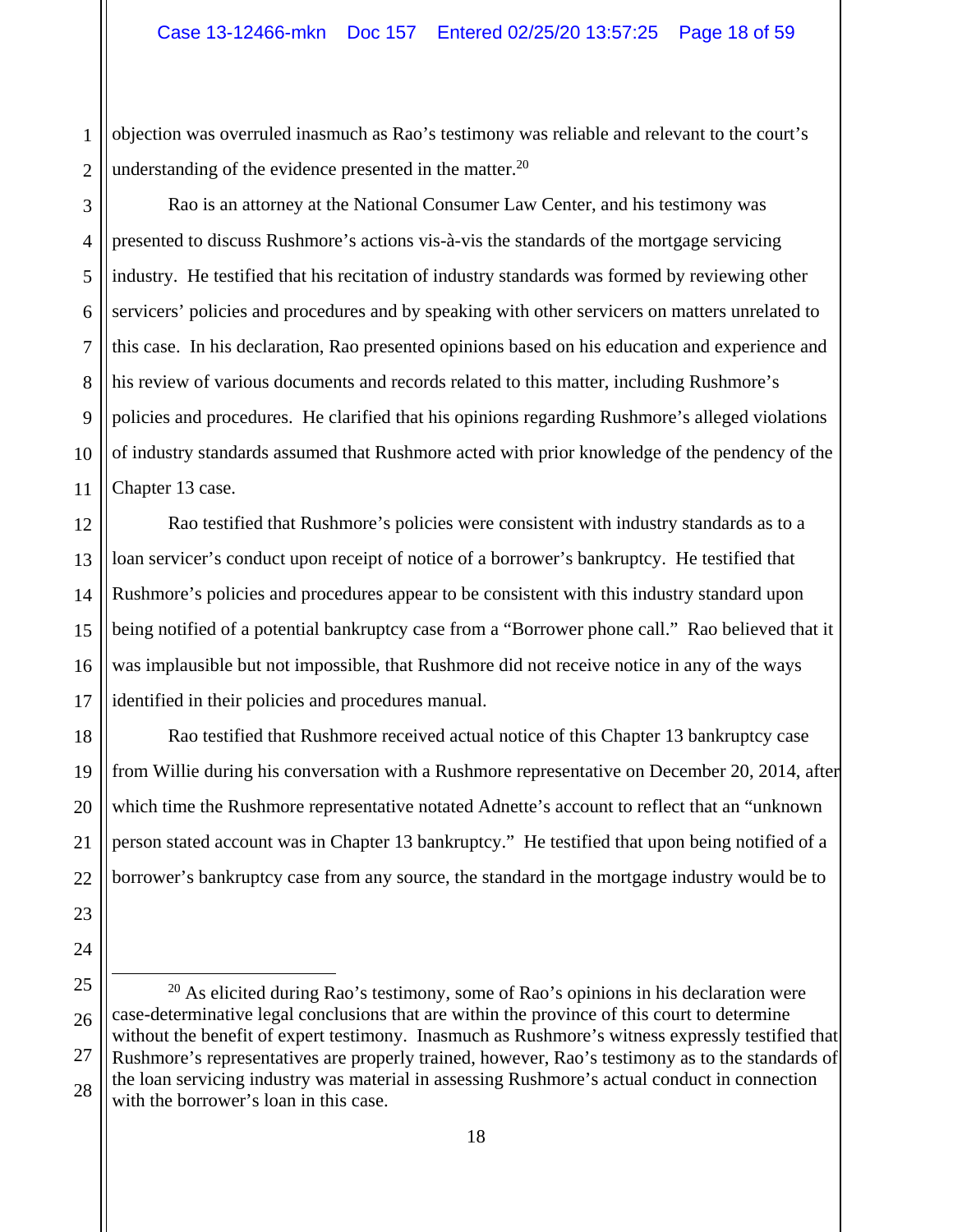objection was overruled inasmuch as Rao's testimony was reliable and relevant to the court's understanding of the evidence presented in the matter.<sup>20</sup>

Rao is an attorney at the National Consumer Law Center, and his testimony was presented to discuss Rushmore's actions vis-à-vis the standards of the mortgage servicing industry. He testified that his recitation of industry standards was formed by reviewing other servicers' policies and procedures and by speaking with other servicers on matters unrelated to this case. In his declaration, Rao presented opinions based on his education and experience and his review of various documents and records related to this matter, including Rushmore's policies and procedures. He clarified that his opinions regarding Rushmore's alleged violations of industry standards assumed that Rushmore acted with prior knowledge of the pendency of the Chapter 13 case.

Rao testified that Rushmore's policies were consistent with industry standards as to a loan servicer's conduct upon receipt of notice of a borrower's bankruptcy.He testified that Rushmore's policies and procedures appear to be consistent with this industry standard upon being notified of a potential bankruptcy case from a "Borrower phone call." Rao believed that it was implausible but not impossible, that Rushmore did not receive notice in any of the ways identified in their policies and procedures manual.

Rao testified that Rushmore received actual notice of this Chapter 13 bankruptcy case from Willie during his conversation with a Rushmore representative on December 20, 2014, after which time the Rushmore representative notated Adnette's account to reflect that an "unknown person stated account was in Chapter 13 bankruptcy." He testified that upon being notified of a borrower's bankruptcy case from any source, the standard in the mortgage industry would be to

 $20$  As elicited during Rao's testimony, some of Rao's opinions in his declaration were case-determinative legal conclusions that are within the province of this court to determine without the benefit of expert testimony. Inasmuch as Rushmore's witness expressly testified that Rushmore's representatives are properly trained, however, Rao's testimony as to the standards of the loan servicing industry was material in assessing Rushmore's actual conduct in connection with the borrower's loan in this case.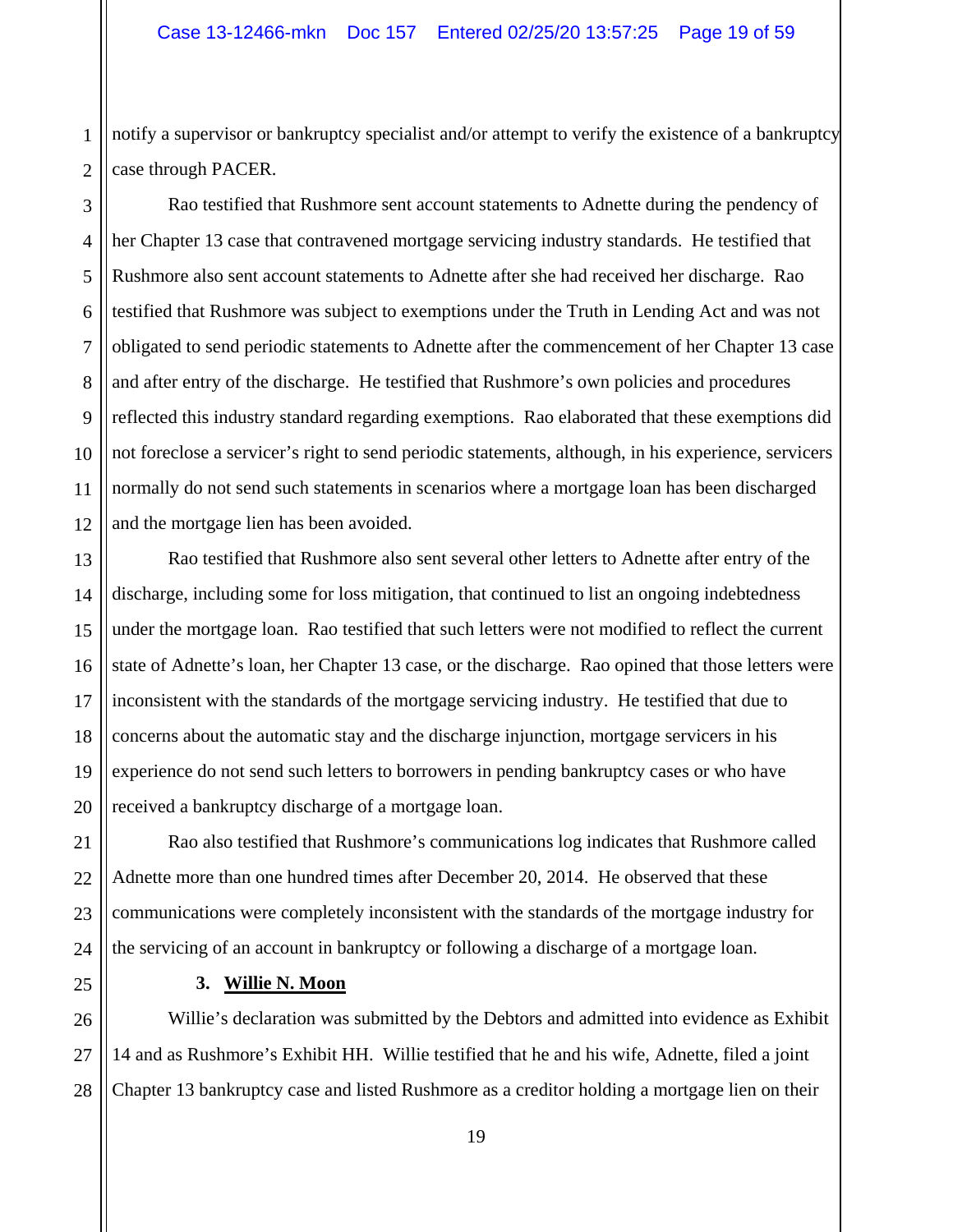1 2 notify a supervisor or bankruptcy specialist and/or attempt to verify the existence of a bankruptcy case through PACER.

3 Rao testified that Rushmore sent account statements to Adnette during the pendency of her Chapter 13 case that contravened mortgage servicing industry standards. He testified that Rushmore also sent account statements to Adnette after she had received her discharge. Rao testified that Rushmore was subject to exemptions under the Truth in Lending Act and was not obligated to send periodic statements to Adnette after the commencement of her Chapter 13 case and after entry of the discharge. He testified that Rushmore's own policies and procedures reflected this industry standard regarding exemptions. Rao elaborated that these exemptions did not foreclose a servicer's right to send periodic statements, although, in his experience, servicers normally do not send such statements in scenarios where a mortgage loan has been discharged and the mortgage lien has been avoided.

Rao testified that Rushmore also sent several other letters to Adnette after entry of the discharge, including some for loss mitigation, that continued to list an ongoing indebtedness under the mortgage loan. Rao testified that such letters were not modified to reflect the current state of Adnette's loan, her Chapter 13 case, or the discharge. Rao opined that those letters were inconsistent with the standards of the mortgage servicing industry. He testified that due to concerns about the automatic stay and the discharge injunction, mortgage servicers in his experience do not send such letters to borrowers in pending bankruptcy cases or who have received a bankruptcy discharge of a mortgage loan.

 Rao also testified that Rushmore's communications log indicates that Rushmore called Adnette more than one hundred times after December 20, 2014. He observed that these communications were completely inconsistent with the standards of the mortgage industry for the servicing of an account in bankruptcy or following a discharge of a mortgage loan.

#### **3. Willie N. Moon**

Willie's declaration was submitted by the Debtors and admitted into evidence as Exhibit 14 and as Rushmore's Exhibit HH. Willie testified that he and his wife, Adnette, filed a joint Chapter 13 bankruptcy case and listed Rushmore as a creditor holding a mortgage lien on their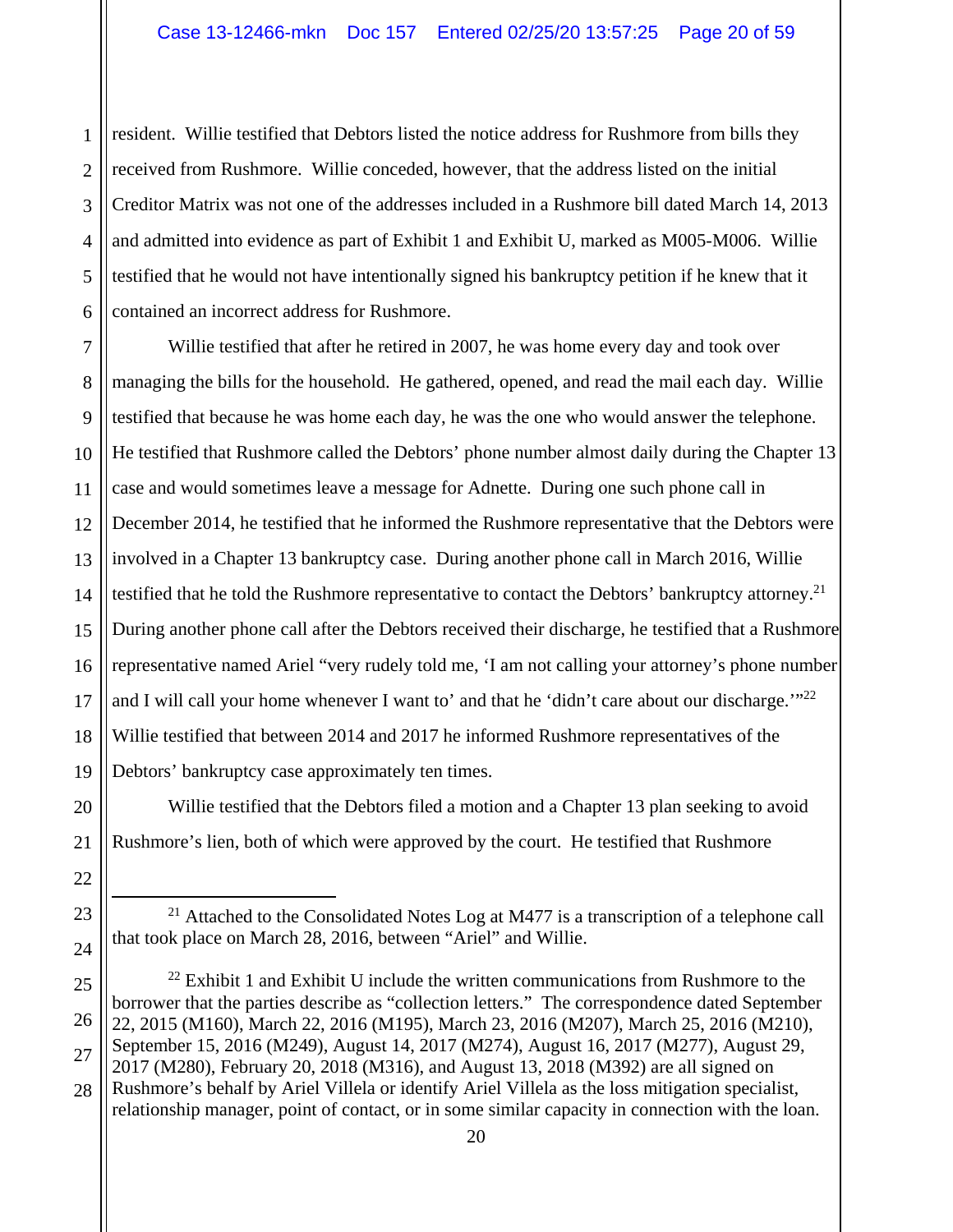1 2 3 resident. Willie testified that Debtors listed the notice address for Rushmore from bills they received from Rushmore. Willie conceded, however, that the address listed on the initial Creditor Matrix was not one of the addresses included in a Rushmore bill dated March 14, 2013 and admitted into evidence as part of Exhibit 1 and Exhibit U, marked as M005-M006. Willie testified that he would not have intentionally signed his bankruptcy petition if he knew that it contained an incorrect address for Rushmore.

Willie testified that after he retired in 2007, he was home every day and took over managing the bills for the household. He gathered, opened, and read the mail each day. Willie testified that because he was home each day, he was the one who would answer the telephone. He testified that Rushmore called the Debtors' phone number almost daily during the Chapter 13 case and would sometimes leave a message for Adnette. During one such phone call in December 2014, he testified that he informed the Rushmore representative that the Debtors were involved in a Chapter 13 bankruptcy case. During another phone call in March 2016, Willie testified that he told the Rushmore representative to contact the Debtors' bankruptcy attorney.<sup>21</sup> During another phone call after the Debtors received their discharge, he testified that a Rushmore representative named Ariel "very rudely told me, 'I am not calling your attorney's phone number and I will call your home whenever I want to' and that he 'didn't care about our discharge."<sup>22</sup> Willie testified that between 2014 and 2017 he informed Rushmore representatives of the Debtors' bankruptcy case approximately ten times.

Willie testified that the Debtors filed a motion and a Chapter 13 plan seeking to avoid Rushmore's lien, both of which were approved by the court. He testified that Rushmore

<sup>&</sup>lt;sup>21</sup> Attached to the Consolidated Notes Log at M477 is a transcription of a telephone call that took place on March 28, 2016, between "Ariel" and Willie.

 $22$  Exhibit 1 and Exhibit U include the written communications from Rushmore to the borrower that the parties describe as "collection letters." The correspondence dated September 22, 2015 (M160), March 22, 2016 (M195), March 23, 2016 (M207), March 25, 2016 (M210), September 15, 2016 (M249), August 14, 2017 (M274), August 16, 2017 (M277), August 29, 2017 (M280), February 20, 2018 (M316), and August 13, 2018 (M392) are all signed on Rushmore's behalf by Ariel Villela or identify Ariel Villela as the loss mitigation specialist,

relationship manager, point of contact, or in some similar capacity in connection with the loan.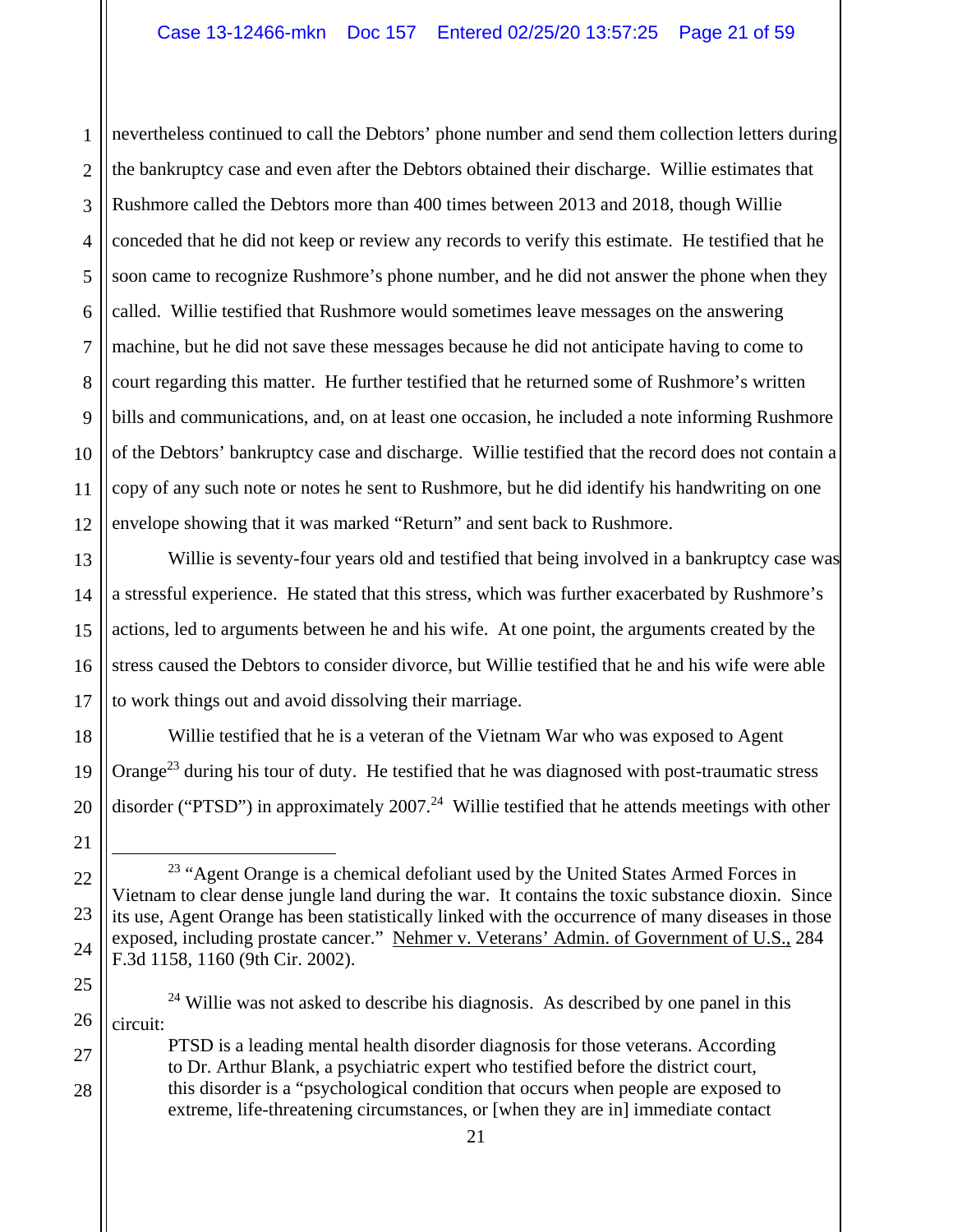1 2 3 4 5 6 7 8 9 10 11 12 nevertheless continued to call the Debtors' phone number and send them collection letters during the bankruptcy case and even after the Debtors obtained their discharge. Willie estimates that Rushmore called the Debtors more than 400 times between 2013 and 2018, though Willie conceded that he did not keep or review any records to verify this estimate. He testified that he soon came to recognize Rushmore's phone number, and he did not answer the phone when they called. Willie testified that Rushmore would sometimes leave messages on the answering machine, but he did not save these messages because he did not anticipate having to come to court regarding this matter. He further testified that he returned some of Rushmore's written bills and communications, and, on at least one occasion, he included a note informing Rushmore of the Debtors' bankruptcy case and discharge. Willie testified that the record does not contain a copy of any such note or notes he sent to Rushmore, but he did identify his handwriting on one envelope showing that it was marked "Return" and sent back to Rushmore.

13 14 15 16 17 Willie is seventy-four years old and testified that being involved in a bankruptcy case was a stressful experience. He stated that this stress, which was further exacerbated by Rushmore's actions, led to arguments between he and his wife. At one point, the arguments created by the stress caused the Debtors to consider divorce, but Willie testified that he and his wife were able to work things out and avoid dissolving their marriage.

Willie testified that he is a veteran of the Vietnam War who was exposed to Agent Orange<sup>23</sup> during his tour of duty. He testified that he was diagnosed with post-traumatic stress disorder ("PTSD") in approximately  $2007<sup>24</sup>$  Willie testified that he attends meetings with other

18

19

20

21

22

23

24

27

28

PTSD is a leading mental health disorder diagnosis for those veterans. According to Dr. Arthur Blank, a psychiatric expert who testified before the district court, this disorder is a "psychological condition that occurs when people are exposed to extreme, life-threatening circumstances, or [when they are in] immediate contact

<sup>&</sup>lt;sup>23</sup> "Agent Orange is a chemical defoliant used by the United States Armed Forces in Vietnam to clear dense jungle land during the war. It contains the toxic substance dioxin. Since its use, Agent Orange has been statistically linked with the occurrence of many diseases in those exposed, including prostate cancer." Nehmer v. Veterans' Admin. of Government of U.S., 284 F.3d 1158, 1160 (9th Cir. 2002).

<sup>25</sup> 26  $24$  Willie was not asked to describe his diagnosis. As described by one panel in this circuit: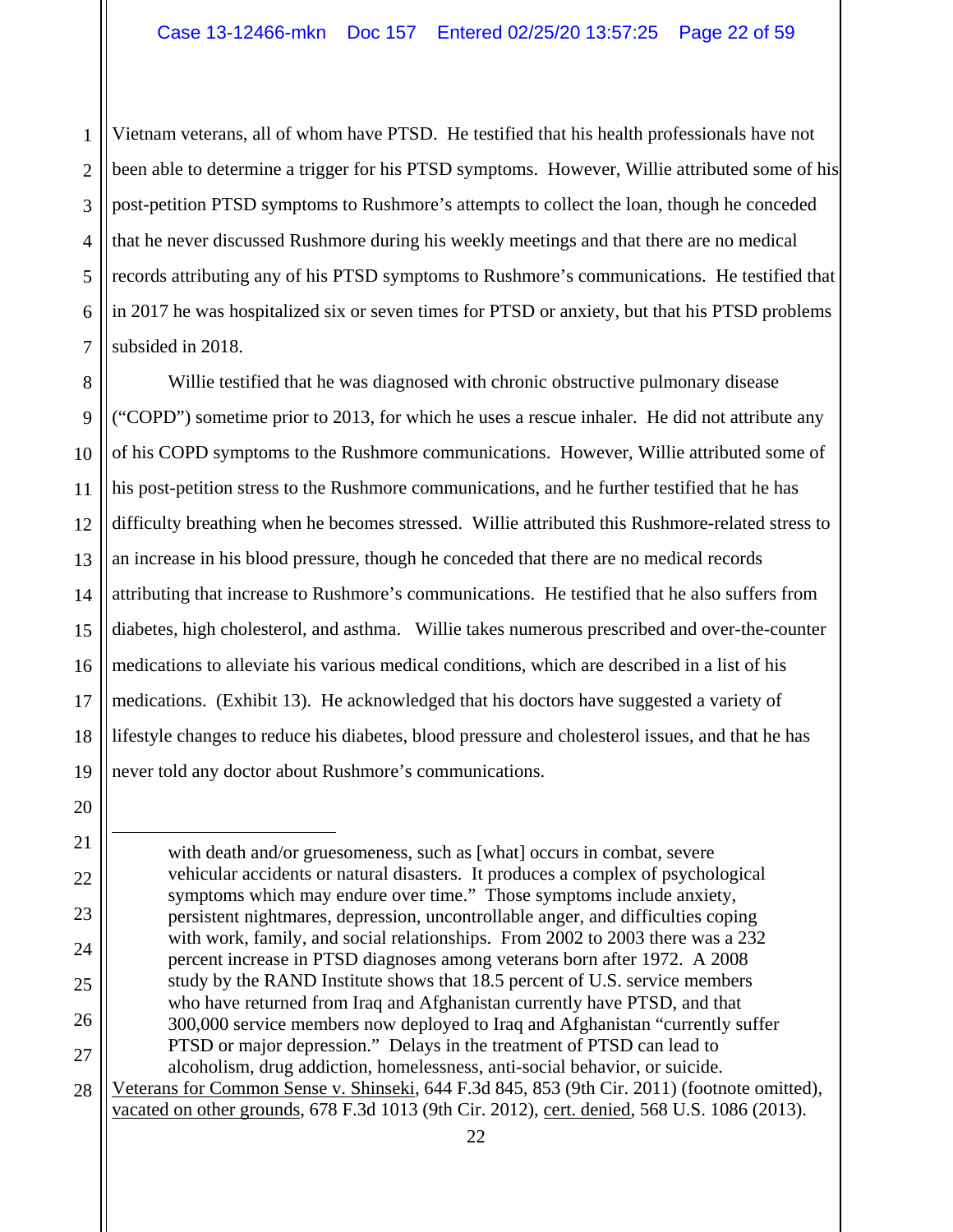1 2 3 4 5 6 7 Vietnam veterans, all of whom have PTSD. He testified that his health professionals have not been able to determine a trigger for his PTSD symptoms. However, Willie attributed some of his post-petition PTSD symptoms to Rushmore's attempts to collect the loan, though he conceded that he never discussed Rushmore during his weekly meetings and that there are no medical records attributing any of his PTSD symptoms to Rushmore's communications. He testified that in 2017 he was hospitalized six or seven times for PTSD or anxiety, but that his PTSD problems subsided in 2018.

8 9 10 11 12 13 14 15 16 17 18 19 Willie testified that he was diagnosed with chronic obstructive pulmonary disease ("COPD") sometime prior to 2013, for which he uses a rescue inhaler. He did not attribute any of his COPD symptoms to the Rushmore communications. However, Willie attributed some of his post-petition stress to the Rushmore communications, and he further testified that he has difficulty breathing when he becomes stressed. Willie attributed this Rushmore-related stress to an increase in his blood pressure, though he conceded that there are no medical records attributing that increase to Rushmore's communications. He testified that he also suffers from diabetes, high cholesterol, and asthma. Willie takes numerous prescribed and over-the-counter medications to alleviate his various medical conditions, which are described in a list of his medications. (Exhibit 13). He acknowledged that his doctors have suggested a variety of lifestyle changes to reduce his diabetes, blood pressure and cholesterol issues, and that he has never told any doctor about Rushmore's communications.

20

21

22

23

24

25

26

27

 $\overline{a}$ with death and/or gruesomeness, such as [what] occurs in combat, severe vehicular accidents or natural disasters. It produces a complex of psychological symptoms which may endure over time." Those symptoms include anxiety, persistent nightmares, depression, uncontrollable anger, and difficulties coping with work, family, and social relationships. From 2002 to 2003 there was a 232 percent increase in PTSD diagnoses among veterans born after 1972. A 2008 study by the RAND Institute shows that 18.5 percent of U.S. service members who have returned from Iraq and Afghanistan currently have PTSD, and that 300,000 service members now deployed to Iraq and Afghanistan "currently suffer PTSD or major depression." Delays in the treatment of PTSD can lead to alcoholism, drug addiction, homelessness, anti-social behavior, or suicide. Veterans for Common Sense v. Shinseki, 644 F.3d 845, 853 (9th Cir. 2011) (footnote omitted),

vacated on other grounds, 678 F.3d 1013 (9th Cir. 2012), cert. denied, 568 U.S. 1086 (2013).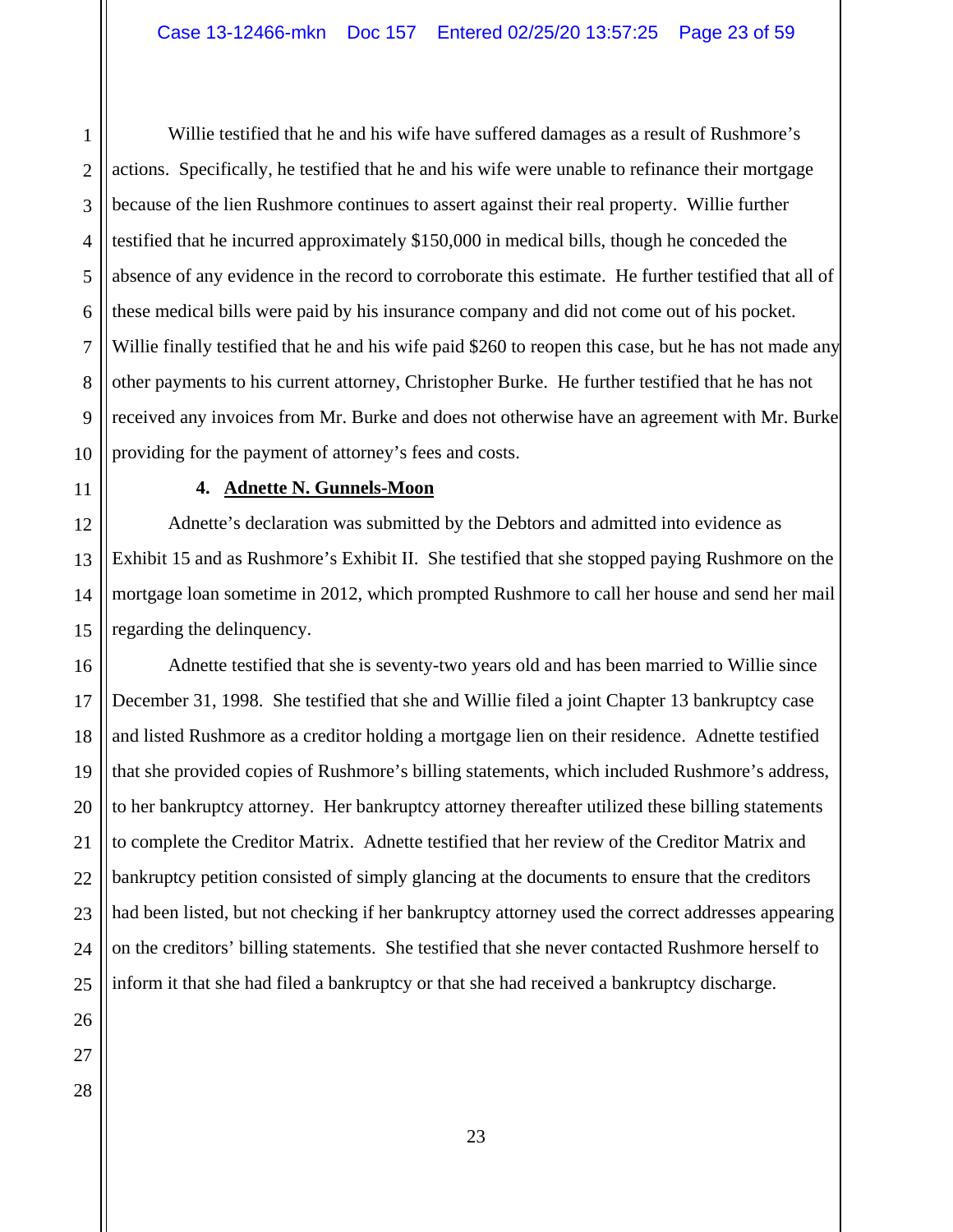1 2 3 4 Willie testified that he and his wife have suffered damages as a result of Rushmore's actions. Specifically, he testified that he and his wife were unable to refinance their mortgage because of the lien Rushmore continues to assert against their real property. Willie further testified that he incurred approximately \$150,000 in medical bills, though he conceded the absence of any evidence in the record to corroborate this estimate. He further testified that all of these medical bills were paid by his insurance company and did not come out of his pocket. Willie finally testified that he and his wife paid \$260 to reopen this case, but he has not made any other payments to his current attorney, Christopher Burke. He further testified that he has not received any invoices from Mr. Burke and does not otherwise have an agreement with Mr. Burke providing for the payment of attorney's fees and costs.

#### **4. Adnette N. Gunnels-Moon**

Adnette's declaration was submitted by the Debtors and admitted into evidence as Exhibit 15 and as Rushmore's Exhibit II. She testified that she stopped paying Rushmore on the mortgage loan sometime in 2012, which prompted Rushmore to call her house and send her mail regarding the delinquency.

Adnette testified that she is seventy-two years old and has been married to Willie since December 31, 1998. She testified that she and Willie filed a joint Chapter 13 bankruptcy case and listed Rushmore as a creditor holding a mortgage lien on their residence. Adnette testified that she provided copies of Rushmore's billing statements, which included Rushmore's address, to her bankruptcy attorney. Her bankruptcy attorney thereafter utilized these billing statements to complete the Creditor Matrix. Adnette testified that her review of the Creditor Matrix and bankruptcy petition consisted of simply glancing at the documents to ensure that the creditors had been listed, but not checking if her bankruptcy attorney used the correct addresses appearing on the creditors' billing statements. She testified that she never contacted Rushmore herself to inform it that she had filed a bankruptcy or that she had received a bankruptcy discharge.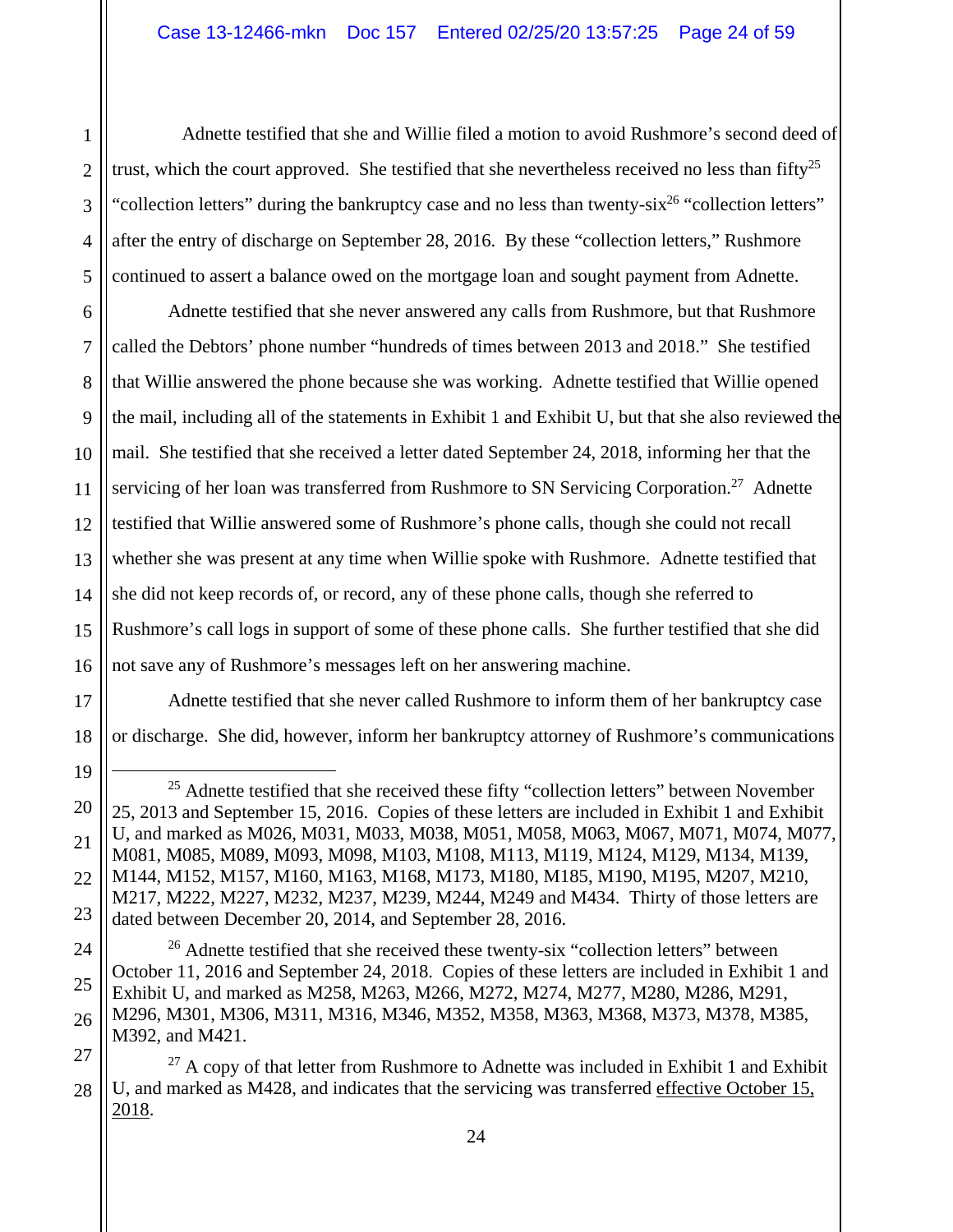Adnette testified that she and Willie filed a motion to avoid Rushmore's second deed of trust, which the court approved. She testified that she nevertheless received no less than fifty<sup>25</sup> "collection letters" during the bankruptcy case and no less than twenty- $six^{26}$  "collection letters" after the entry of discharge on September 28, 2016. By these "collection letters," Rushmore continued to assert a balance owed on the mortgage loan and sought payment from Adnette.

Adnette testified that she never answered any calls from Rushmore, but that Rushmore called the Debtors' phone number "hundreds of times between 2013 and 2018." She testified that Willie answered the phone because she was working. Adnette testified that Willie opened the mail, including all of the statements in Exhibit 1 and Exhibit U, but that she also reviewed the mail. She testified that she received a letter dated September 24, 2018, informing her that the servicing of her loan was transferred from Rushmore to SN Servicing Corporation.<sup>27</sup> Adnette testified that Willie answered some of Rushmore's phone calls, though she could not recall whether she was present at any time when Willie spoke with Rushmore. Adnette testified that she did not keep records of, or record, any of these phone calls, though she referred to Rushmore's call logs in support of some of these phone calls. She further testified that she did not save any of Rushmore's messages left on her answering machine.

Adnette testified that she never called Rushmore to inform them of her bankruptcy case or discharge. She did, however, inform her bankruptcy attorney of Rushmore's communications

 $25$  Adnette testified that she received these fifty "collection letters" between November 25, 2013 and September 15, 2016. Copies of these letters are included in Exhibit 1 and Exhibit U, and marked as M026, M031, M033, M038, M051, M058, M063, M067, M071, M074, M077, M081, M085, M089, M093, M098, M103, M108, M113, M119, M124, M129, M134, M139, M144, M152, M157, M160, M163, M168, M173, M180, M185, M190, M195, M207, M210, M217, M222, M227, M232, M237, M239, M244, M249 and M434. Thirty of those letters are dated between December 20, 2014, and September 28, 2016.

<sup>&</sup>lt;sup>26</sup> Adnette testified that she received these twenty-six "collection letters" between October 11, 2016 and September 24, 2018. Copies of these letters are included in Exhibit 1 and Exhibit U, and marked as M258, M263, M266, M272, M274, M277, M280, M286, M291, M296, M301, M306, M311, M316, M346, M352, M358, M363, M368, M373, M378, M385, M392, and M421.

 $27$  A copy of that letter from Rushmore to Adnette was included in Exhibit 1 and Exhibit U, and marked as M428, and indicates that the servicing was transferred effective October 15, 2018.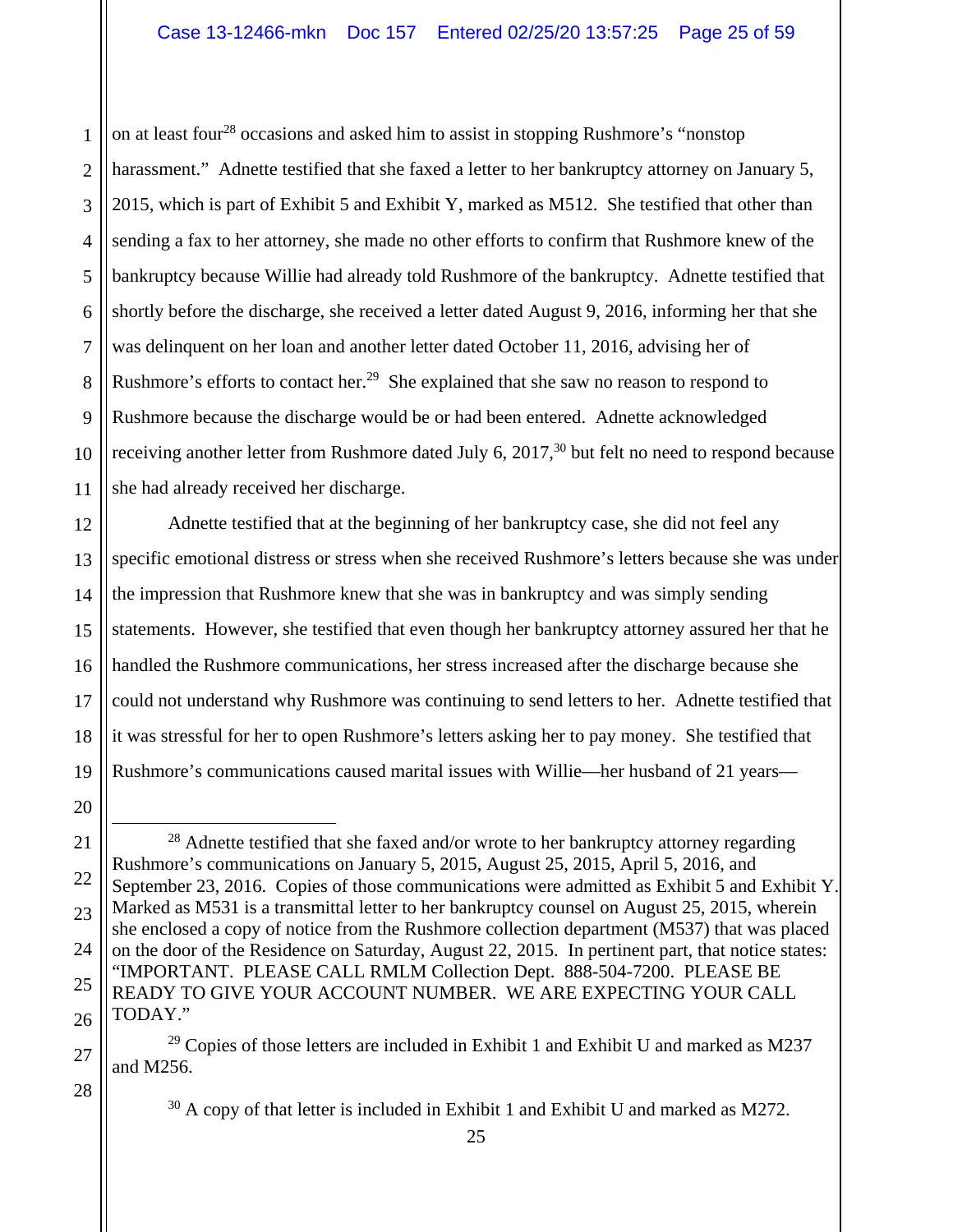1 2 3 4 5 6 7 8 9 10 11 on at least four<sup>28</sup> occasions and asked him to assist in stopping Rushmore's "nonstop" harassment." Adnette testified that she faxed a letter to her bankruptcy attorney on January 5, 2015, which is part of Exhibit 5 and Exhibit Y, marked as M512. She testified that other than sending a fax to her attorney, she made no other efforts to confirm that Rushmore knew of the bankruptcy because Willie had already told Rushmore of the bankruptcy. Adnette testified that shortly before the discharge, she received a letter dated August 9, 2016, informing her that she was delinquent on her loan and another letter dated October 11, 2016, advising her of Rushmore's efforts to contact her.<sup>29</sup> She explained that she saw no reason to respond to Rushmore because the discharge would be or had been entered. Adnette acknowledged receiving another letter from Rushmore dated July 6,  $2017<sup>30</sup>$  but felt no need to respond because she had already received her discharge.

12 13 14 15 16 Adnette testified that at the beginning of her bankruptcy case, she did not feel any specific emotional distress or stress when she received Rushmore's letters because she was under the impression that Rushmore knew that she was in bankruptcy and was simply sending statements. However, she testified that even though her bankruptcy attorney assured her that he handled the Rushmore communications, her stress increased after the discharge because she could not understand why Rushmore was continuing to send letters to her. Adnette testified that it was stressful for her to open Rushmore's letters asking her to pay money. She testified that Rushmore's communications caused marital issues with Willie—her husband of 21 years—

27

28

 $29$  Copies of those letters are included in Exhibit 1 and Exhibit U and marked as M237 and M256.

<sup>30</sup> A copy of that letter is included in Exhibit 1 and Exhibit U and marked as M272.

<sup>17</sup> 18 19 20 21 22 23 24 25

<sup>26</sup>  $28$  Adnette testified that she faxed and/or wrote to her bankruptcy attorney regarding Rushmore's communications on January 5, 2015, August 25, 2015, April 5, 2016, and September 23, 2016. Copies of those communications were admitted as Exhibit 5 and Exhibit Y. Marked as M531 is a transmittal letter to her bankruptcy counsel on August 25, 2015, wherein she enclosed a copy of notice from the Rushmore collection department (M537) that was placed on the door of the Residence on Saturday, August 22, 2015. In pertinent part, that notice states: "IMPORTANT. PLEASE CALL RMLM Collection Dept. 888-504-7200. PLEASE BE READY TO GIVE YOUR ACCOUNT NUMBER. WE ARE EXPECTING YOUR CALL TODAY."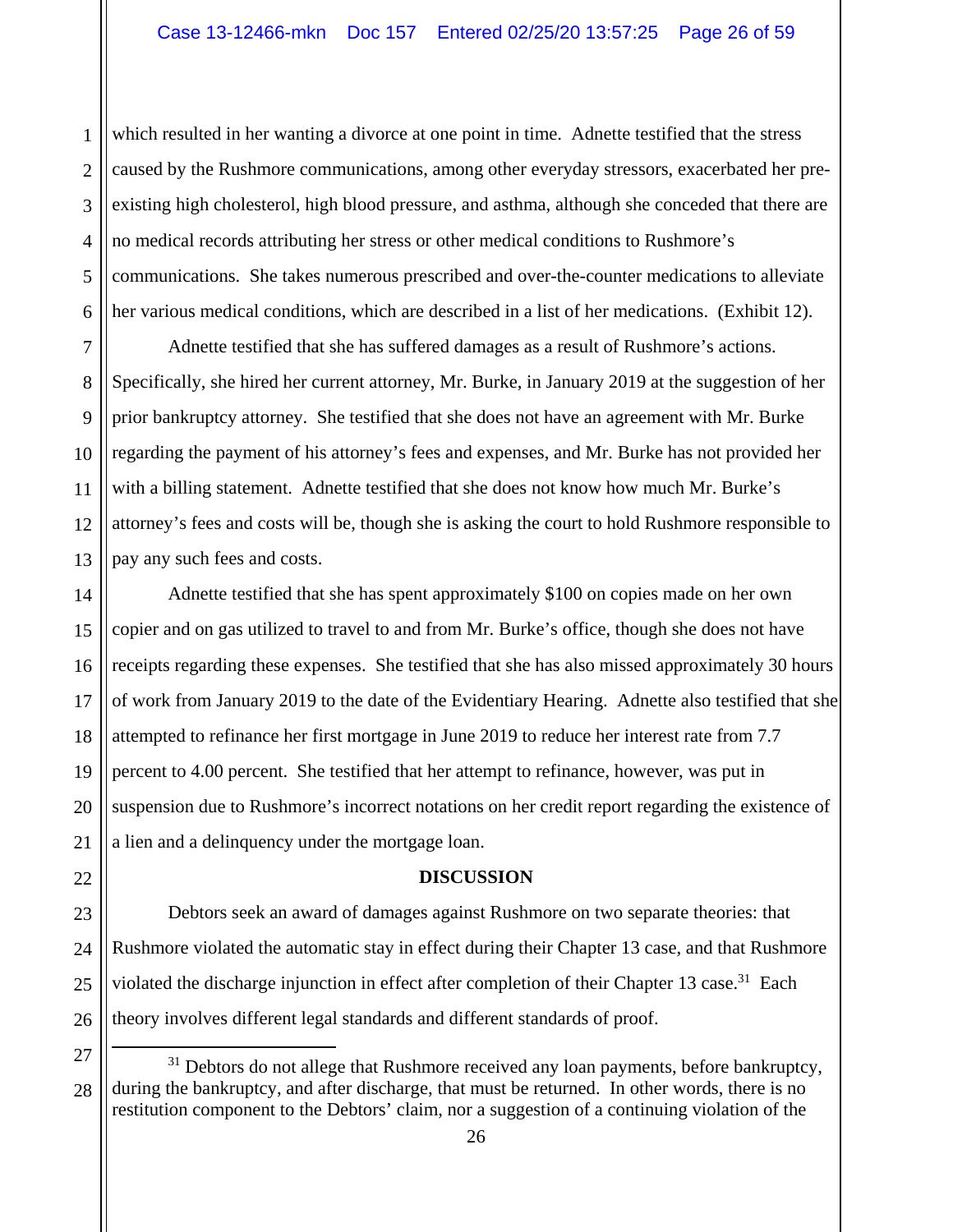2 3 which resulted in her wanting a divorce at one point in time. Adnette testified that the stress caused by the Rushmore communications, among other everyday stressors, exacerbated her preexisting high cholesterol, high blood pressure, and asthma, although she conceded that there are no medical records attributing her stress or other medical conditions to Rushmore's communications. She takes numerous prescribed and over-the-counter medications to alleviate her various medical conditions, which are described in a list of her medications. (Exhibit 12).

Adnette testified that she has suffered damages as a result of Rushmore's actions. Specifically, she hired her current attorney, Mr. Burke, in January 2019 at the suggestion of her prior bankruptcy attorney. She testified that she does not have an agreement with Mr. Burke regarding the payment of his attorney's fees and expenses, and Mr. Burke has not provided her with a billing statement. Adnette testified that she does not know how much Mr. Burke's attorney's fees and costs will be, though she is asking the court to hold Rushmore responsible to pay any such fees and costs.

Adnette testified that she has spent approximately \$100 on copies made on her own copier and on gas utilized to travel to and from Mr. Burke's office, though she does not have receipts regarding these expenses. She testified that she has also missed approximately 30 hours of work from January 2019 to the date of the Evidentiary Hearing. Adnette also testified that she attempted to refinance her first mortgage in June 2019 to reduce her interest rate from 7.7 percent to 4.00 percent. She testified that her attempt to refinance, however, was put in suspension due to Rushmore's incorrect notations on her credit report regarding the existence of a lien and a delinquency under the mortgage loan.

## **DISCUSSION**

Debtors seek an award of damages against Rushmore on two separate theories: that Rushmore violated the automatic stay in effect during their Chapter 13 case, and that Rushmore violated the discharge injunction in effect after completion of their Chapter 13 case.<sup>31</sup> Each theory involves different legal standards and different standards of proof.

1

<sup>&</sup>lt;sup>31</sup> Debtors do not allege that Rushmore received any loan payments, before bankruptcy, during the bankruptcy, and after discharge, that must be returned. In other words, there is no restitution component to the Debtors' claim, nor a suggestion of a continuing violation of the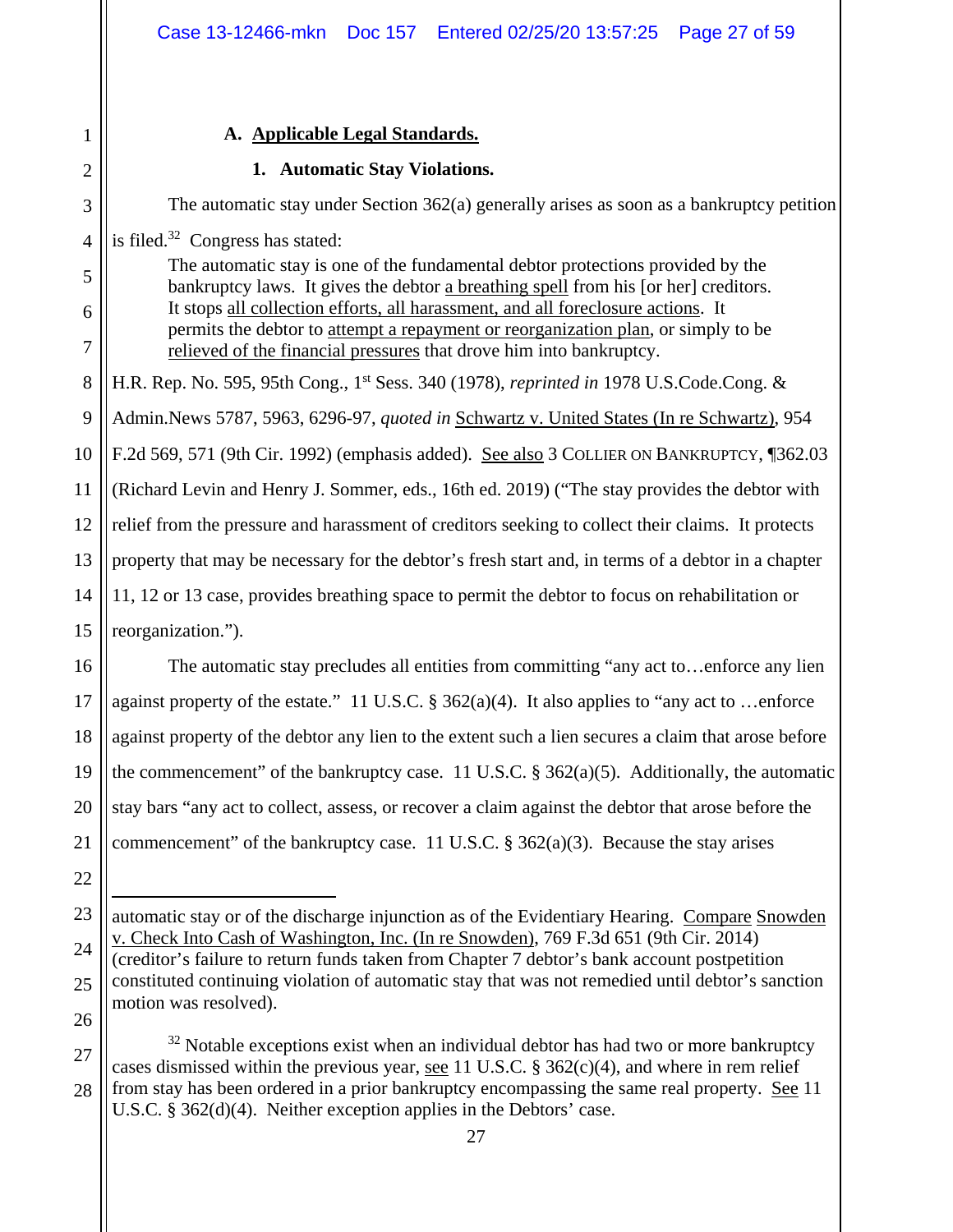# **A. Applicable Legal Standards.**

1

2

## **1. Automatic Stay Violations.**

3 4 5 6 7 8 9 10 11 12 13 14 15 16 17 18 19 20 21 22 23 The automatic stay under Section 362(a) generally arises as soon as a bankruptcy petition is filed. $32$  Congress has stated: The automatic stay is one of the fundamental debtor protections provided by the bankruptcy laws. It gives the debtor a breathing spell from his [or her] creditors. It stops all collection efforts, all harassment, and all foreclosure actions. It permits the debtor to attempt a repayment or reorganization plan, or simply to be relieved of the financial pressures that drove him into bankruptcy. H.R. Rep. No. 595, 95th Cong., 1st Sess. 340 (1978), *reprinted in* 1978 U.S.Code.Cong. & Admin.News 5787, 5963, 6296-97, *quoted in* Schwartz v. United States (In re Schwartz), 954 F.2d 569, 571 (9th Cir. 1992) (emphasis added). See also 3 COLLIER ON BANKRUPTCY, ¶362.03 (Richard Levin and Henry J. Sommer, eds., 16th ed. 2019) ("The stay provides the debtor with relief from the pressure and harassment of creditors seeking to collect their claims. It protects property that may be necessary for the debtor's fresh start and, in terms of a debtor in a chapter 11, 12 or 13 case, provides breathing space to permit the debtor to focus on rehabilitation or reorganization."). The automatic stay precludes all entities from committing "any act to…enforce any lien against property of the estate." 11 U.S.C.  $\S$  362(a)(4). It also applies to "any act to ...enforce against property of the debtor any lien to the extent such a lien secures a claim that arose before the commencement" of the bankruptcy case. 11 U.S.C.  $\S$  362(a)(5). Additionally, the automatic stay bars "any act to collect, assess, or recover a claim against the debtor that arose before the commencement" of the bankruptcy case. 11 U.S.C.  $\S 362(a)(3)$ . Because the stay arises  $\overline{a}$ automatic stay or of the discharge injunction as of the Evidentiary Hearing. Compare Snowden

24 25 26 v. Check Into Cash of Washington, Inc. (In re Snowden), 769 F.3d 651 (9th Cir. 2014) (creditor's failure to return funds taken from Chapter 7 debtor's bank account postpetition constituted continuing violation of automatic stay that was not remedied until debtor's sanction motion was resolved).

27 28  $32$  Notable exceptions exist when an individual debtor has had two or more bankruptcy cases dismissed within the previous year, see 11 U.S.C.  $\S 362(c)(4)$ , and where in rem relief from stay has been ordered in a prior bankruptcy encompassing the same real property. See 11 U.S.C. § 362(d)(4). Neither exception applies in the Debtors' case.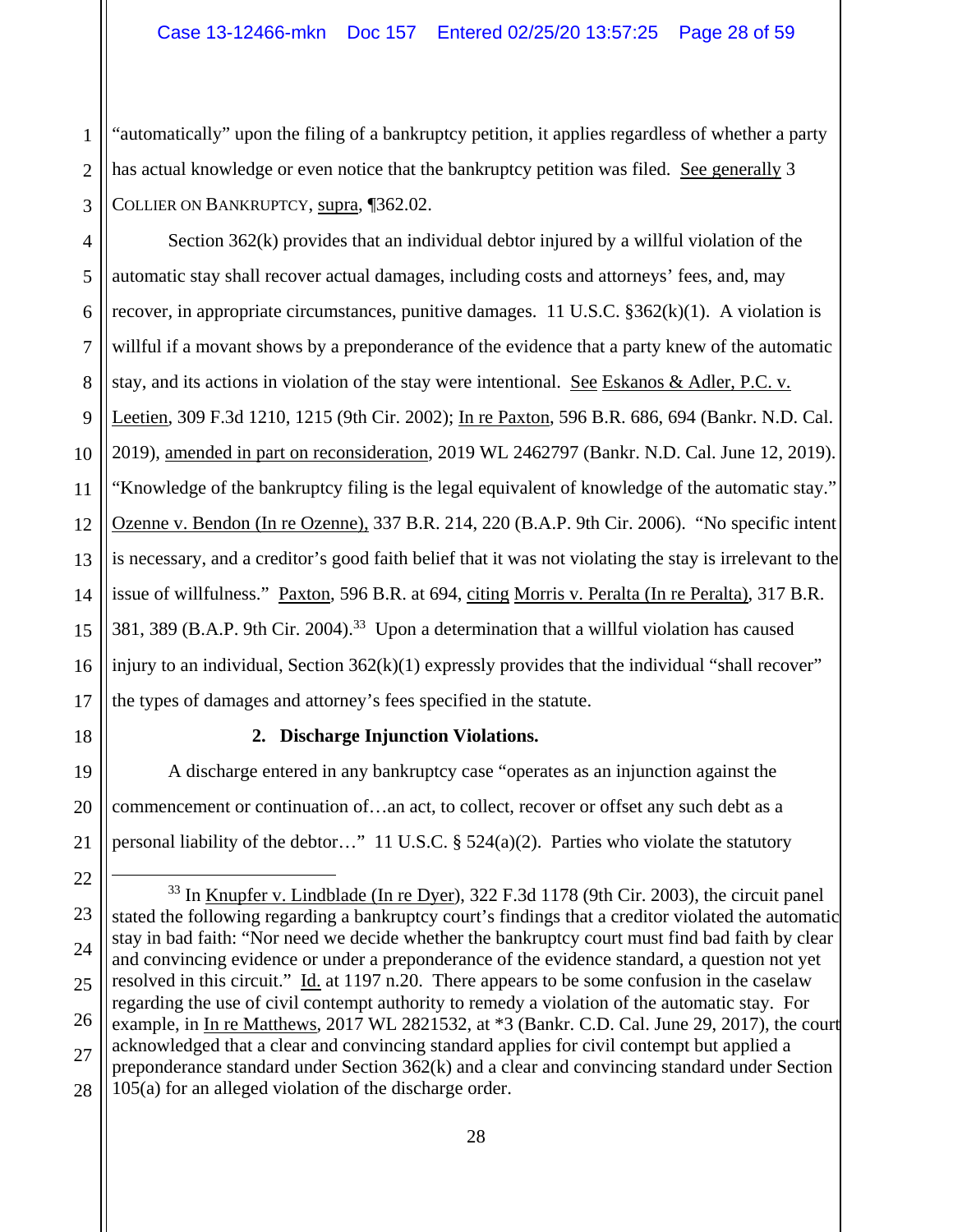2 3 "automatically" upon the filing of a bankruptcy petition, it applies regardless of whether a party has actual knowledge or even notice that the bankruptcy petition was filed. See generally 3 COLLIER ON BANKRUPTCY, supra, ¶362.02.

4 5 6 7 8 9 10 11 12 13 14 15 16 Section 362(k) provides that an individual debtor injured by a willful violation of the automatic stay shall recover actual damages, including costs and attorneys' fees, and, may recover, in appropriate circumstances, punitive damages. 11 U.S.C. §362(k)(1). A violation is willful if a movant shows by a preponderance of the evidence that a party knew of the automatic stay, and its actions in violation of the stay were intentional. See Eskanos & Adler, P.C. v. Leetien, 309 F.3d 1210, 1215 (9th Cir. 2002); In re Paxton, 596 B.R. 686, 694 (Bankr. N.D. Cal. 2019), amended in part on reconsideration, 2019 WL 2462797 (Bankr. N.D. Cal. June 12, 2019). "Knowledge of the bankruptcy filing is the legal equivalent of knowledge of the automatic stay." Ozenne v. Bendon (In re Ozenne), 337 B.R. 214, 220 (B.A.P. 9th Cir. 2006). "No specific intent is necessary, and a creditor's good faith belief that it was not violating the stay is irrelevant to the issue of willfulness." Paxton, 596 B.R. at 694, citing Morris v. Peralta (In re Peralta), 317 B.R. 381, 389 (B.A.P. 9th Cir. 2004).<sup>33</sup> Upon a determination that a willful violation has caused injury to an individual, Section  $362(k)(1)$  expressly provides that the individual "shall recover" the types of damages and attorney's fees specified in the statute.

1

# **2. Discharge Injunction Violations.**

A discharge entered in any bankruptcy case "operates as an injunction against the commencement or continuation of…an act, to collect, recover or offset any such debt as a personal liability of the debtor…" 11 U.S.C. § 524(a)(2). Parties who violate the statutory

<sup>23</sup> 24 25 26 27 28 <sup>33</sup> In Knupfer v. Lindblade (In re  $Dyer$ ), 322 F.3d 1178 (9th Cir. 2003), the circuit panel stated the following regarding a bankruptcy court's findings that a creditor violated the automatic stay in bad faith: "Nor need we decide whether the bankruptcy court must find bad faith by clear and convincing evidence or under a preponderance of the evidence standard, a question not yet resolved in this circuit." Id. at 1197 n.20. There appears to be some confusion in the caselaw regarding the use of civil contempt authority to remedy a violation of the automatic stay. For example, in In re Matthews, 2017 WL 2821532, at \*3 (Bankr. C.D. Cal. June 29, 2017), the court acknowledged that a clear and convincing standard applies for civil contempt but applied a preponderance standard under Section 362(k) and a clear and convincing standard under Section 105(a) for an alleged violation of the discharge order.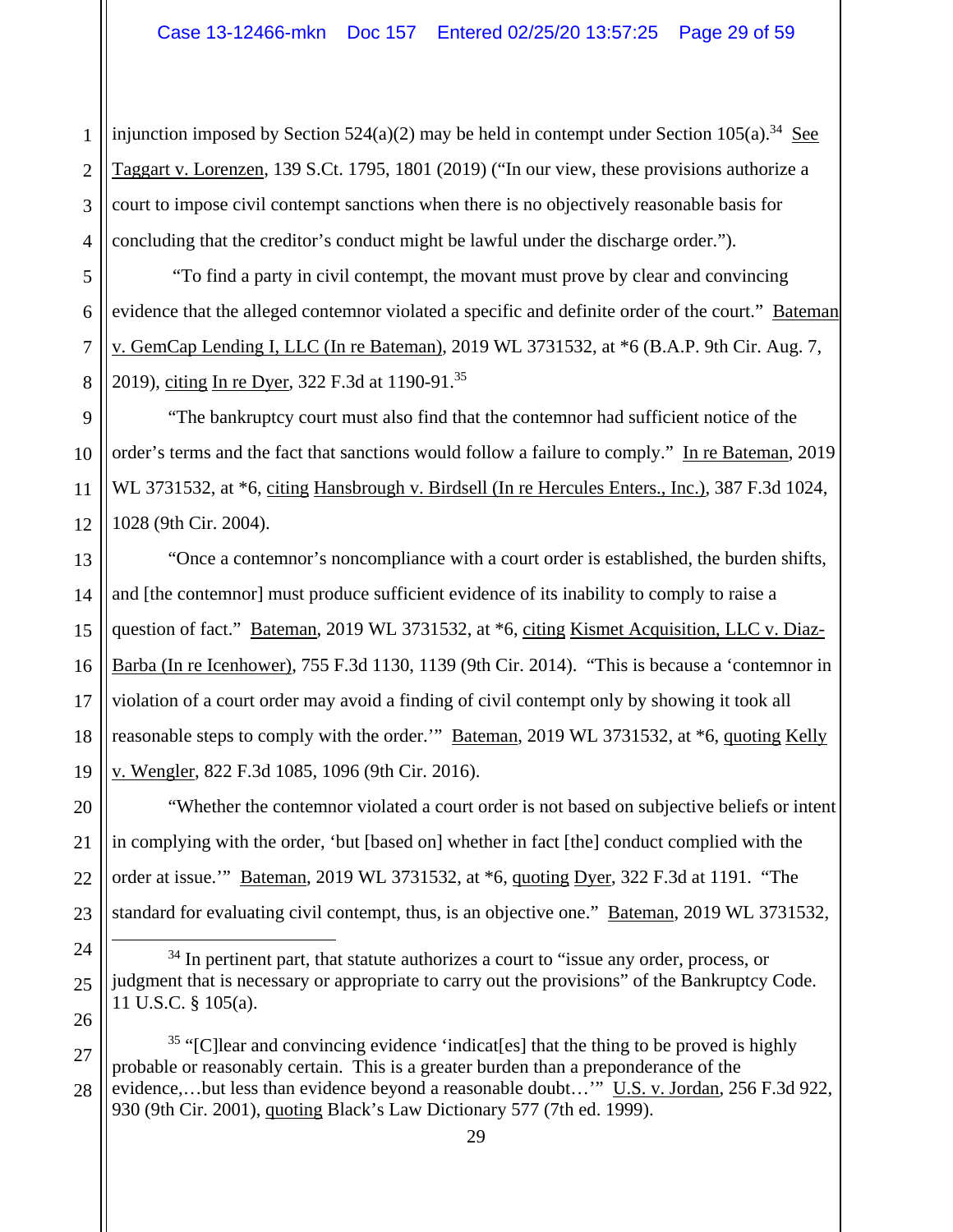1 2 3 4 injunction imposed by Section 524(a)(2) may be held in contempt under Section 105(a).<sup>34</sup> See Taggart v. Lorenzen, 139 S.Ct. 1795, 1801 (2019) ("In our view, these provisions authorize a court to impose civil contempt sanctions when there is no objectively reasonable basis for concluding that the creditor's conduct might be lawful under the discharge order.").

5 6 7 8 "To find a party in civil contempt, the movant must prove by clear and convincing evidence that the alleged contemnor violated a specific and definite order of the court." Bateman v. GemCap Lending I, LLC (In re Bateman), 2019 WL 3731532, at \*6 (B.A.P. 9th Cir. Aug. 7, 2019), citing In re Dyer, 322 F.3d at 1190-91.<sup>35</sup>

9 "The bankruptcy court must also find that the contemnor had sufficient notice of the order's terms and the fact that sanctions would follow a failure to comply." In re Bateman, 2019 WL 3731532, at \*6, citing Hansbrough v. Birdsell (In re Hercules Enters., Inc.), 387 F.3d 1024, 1028 (9th Cir. 2004).

"Once a contemnor's noncompliance with a court order is established, the burden shifts, and [the contemnor] must produce sufficient evidence of its inability to comply to raise a question of fact." Bateman, 2019 WL 3731532, at \*6, citing Kismet Acquisition, LLC v. Diaz-Barba (In re Icenhower), 755 F.3d 1130, 1139 (9th Cir. 2014). "This is because a 'contemnor in violation of a court order may avoid a finding of civil contempt only by showing it took all reasonable steps to comply with the order." Bateman, 2019 WL 3731532, at  $*6$ , quoting Kelly v. Wengler, 822 F.3d 1085, 1096 (9th Cir. 2016).

"Whether the contemnor violated a court order is not based on subjective beliefs or intent in complying with the order, 'but [based on] whether in fact [the] conduct complied with the order at issue." Bateman, 2019 WL 3731532, at \*6, quoting Dyer, 322 F.3d at 1191. "The standard for evaluating civil contempt, thus, is an objective one." Bateman, 2019 WL 3731532,

 $34$  In pertinent part, that statute authorizes a court to "issue any order, process, or judgment that is necessary or appropriate to carry out the provisions" of the Bankruptcy Code. 11 U.S.C. § 105(a).

<sup>&</sup>lt;sup>35</sup> "[C]lear and convincing evidence 'indicat[es] that the thing to be proved is highly probable or reasonably certain. This is a greater burden than a preponderance of the evidence,…but less than evidence beyond a reasonable doubt…'" U.S. v. Jordan, 256 F.3d 922, 930 (9th Cir. 2001), quoting Black's Law Dictionary 577 (7th ed. 1999).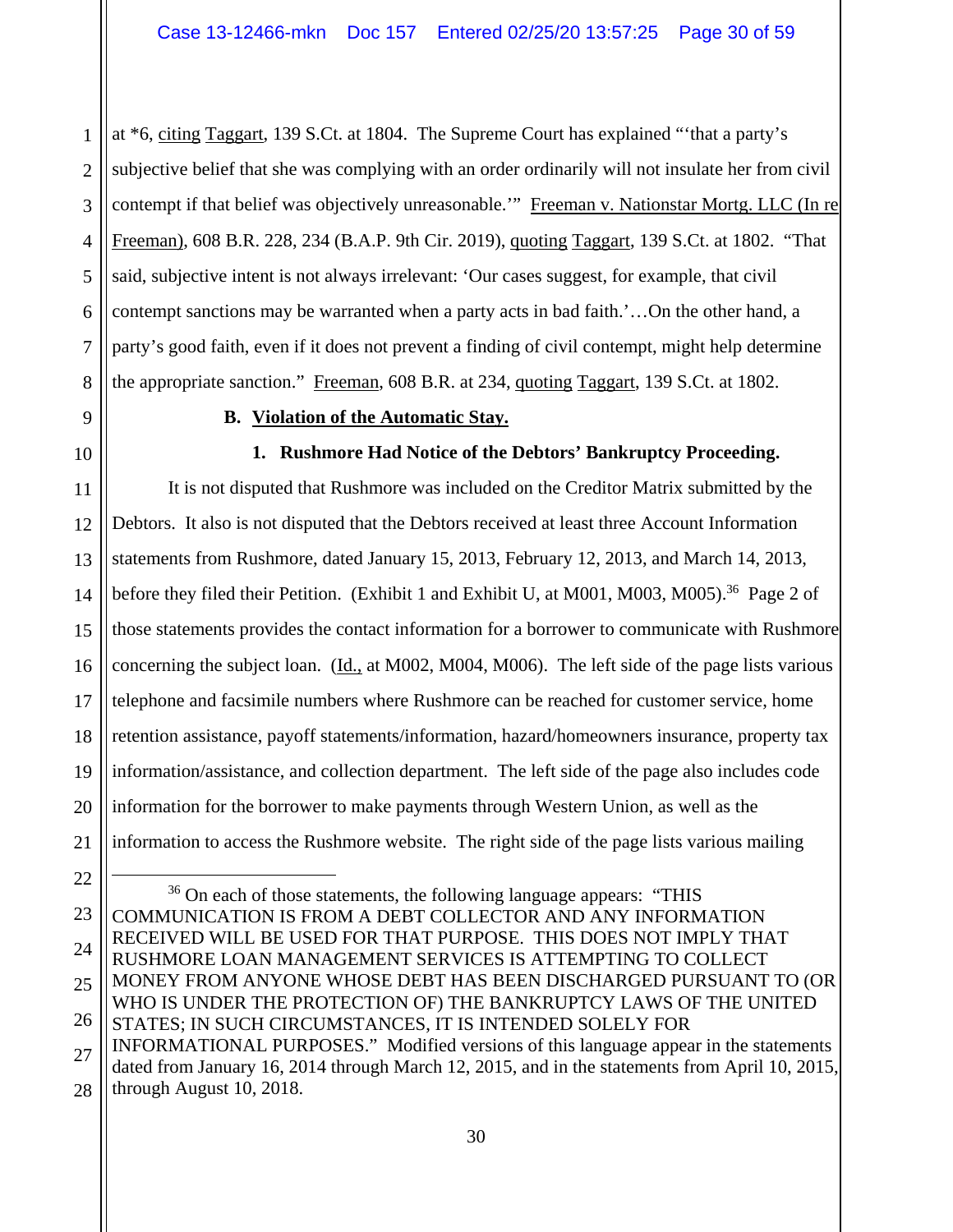1 2 3 4 5 6 7 8 at \*6, citing Taggart, 139 S.Ct. at 1804. The Supreme Court has explained "'that a party's subjective belief that she was complying with an order ordinarily will not insulate her from civil contempt if that belief was objectively unreasonable."" Freeman v. Nationstar Mortg. LLC (In re Freeman), 608 B.R. 228, 234 (B.A.P. 9th Cir. 2019), quoting Taggart, 139 S.Ct. at 1802. "That said, subjective intent is not always irrelevant: 'Our cases suggest, for example, that civil contempt sanctions may be warranted when a party acts in bad faith.'…On the other hand, a party's good faith, even if it does not prevent a finding of civil contempt, might help determine the appropriate sanction." Freeman, 608 B.R. at 234, quoting Taggart, 139 S.Ct. at 1802.

9

10

# **B. Violation of the Automatic Stay.**

# **1. Rushmore Had Notice of the Debtors' Bankruptcy Proceeding.**

11 12 13 14 15 16 17 18 19 20 21 It is not disputed that Rushmore was included on the Creditor Matrix submitted by the Debtors. It also is not disputed that the Debtors received at least three Account Information statements from Rushmore, dated January 15, 2013, February 12, 2013, and March 14, 2013, before they filed their Petition. (Exhibit 1 and Exhibit U, at M001, M003, M005).<sup>36</sup> Page 2 of those statements provides the contact information for a borrower to communicate with Rushmore concerning the subject loan. (Id., at M002, M004, M006). The left side of the page lists various telephone and facsimile numbers where Rushmore can be reached for customer service, home retention assistance, payoff statements/information, hazard/homeowners insurance, property tax information/assistance, and collection department. The left side of the page also includes code information for the borrower to make payments through Western Union, as well as the information to access the Rushmore website. The right side of the page lists various mailing

22 23 24 25 26 27 28  $36$  On each of those statements, the following language appears: "THIS COMMUNICATION IS FROM A DEBT COLLECTOR AND ANY INFORMATION RECEIVED WILL BE USED FOR THAT PURPOSE. THIS DOES NOT IMPLY THAT RUSHMORE LOAN MANAGEMENT SERVICES IS ATTEMPTING TO COLLECT MONEY FROM ANYONE WHOSE DEBT HAS BEEN DISCHARGED PURSUANT TO (OR WHO IS UNDER THE PROTECTION OF) THE BANKRUPTCY LAWS OF THE UNITED STATES; IN SUCH CIRCUMSTANCES, IT IS INTENDED SOLELY FOR INFORMATIONAL PURPOSES." Modified versions of this language appear in the statements dated from January 16, 2014 through March 12, 2015, and in the statements from April 10, 2015, through August 10, 2018.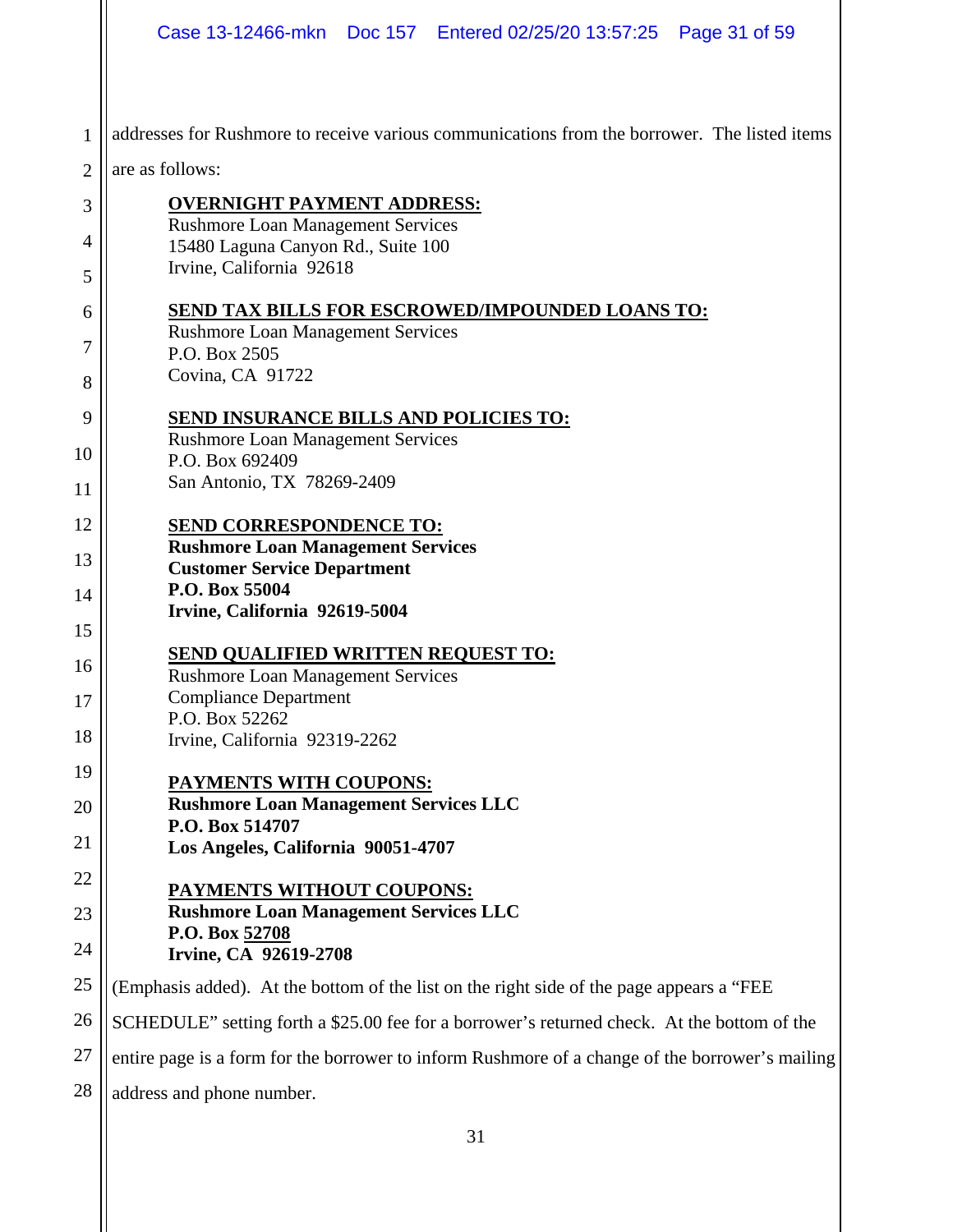|                | Case 13-12466-mkn  Doc 157  Entered 02/25/20 13:57:25  Page 31 of 59                            |
|----------------|-------------------------------------------------------------------------------------------------|
| 1              | addresses for Rushmore to receive various communications from the borrower. The listed items    |
| $\overline{2}$ | are as follows:                                                                                 |
| 3              | <b>OVERNIGHT PAYMENT ADDRESS:</b>                                                               |
| 4              | <b>Rushmore Loan Management Services</b><br>15480 Laguna Canyon Rd., Suite 100                  |
| 5              | Irvine, California 92618                                                                        |
| 6              | <b>SEND TAX BILLS FOR ESCROWED/IMPOUNDED LOANS TO:</b>                                          |
| 7              | <b>Rushmore Loan Management Services</b><br>P.O. Box 2505                                       |
| 8              | Covina, CA 91722                                                                                |
| 9              | <b>SEND INSURANCE BILLS AND POLICIES TO:</b>                                                    |
| 10             | <b>Rushmore Loan Management Services</b><br>P.O. Box 692409                                     |
| 11             | San Antonio, TX 78269-2409                                                                      |
| 12             | <b>SEND CORRESPONDENCE TO:</b>                                                                  |
| 13             | <b>Rushmore Loan Management Services</b><br><b>Customer Service Department</b>                  |
| 14             | P.O. Box 55004                                                                                  |
| 15             | Irvine, California 92619-5004                                                                   |
| 16             | <b>SEND QUALIFIED WRITTEN REQUEST TO:</b>                                                       |
| 17             | <b>Rushmore Loan Management Services</b><br><b>Compliance Department</b>                        |
| 18             | P.O. Box 52262                                                                                  |
| 19             | Irvine, California 92319-2262                                                                   |
| 20             | PAYMENTS WITH COUPONS:<br><b>Rushmore Loan Management Services LLC</b>                          |
|                | P.O. Box 514707                                                                                 |
| 21             | Los Angeles, California 90051-4707                                                              |
| 22             | PAYMENTS WITHOUT COUPONS:<br><b>Rushmore Loan Management Services LLC</b>                       |
| 23             | P.O. Box 52708                                                                                  |
| 24             | Irvine, CA 92619-2708                                                                           |
| 25             | (Emphasis added). At the bottom of the list on the right side of the page appears a "FEE        |
| 26             | SCHEDULE" setting forth a \$25.00 fee for a borrower's returned check. At the bottom of the     |
| 27             | entire page is a form for the borrower to inform Rushmore of a change of the borrower's mailing |
| 28             | address and phone number.                                                                       |
|                |                                                                                                 |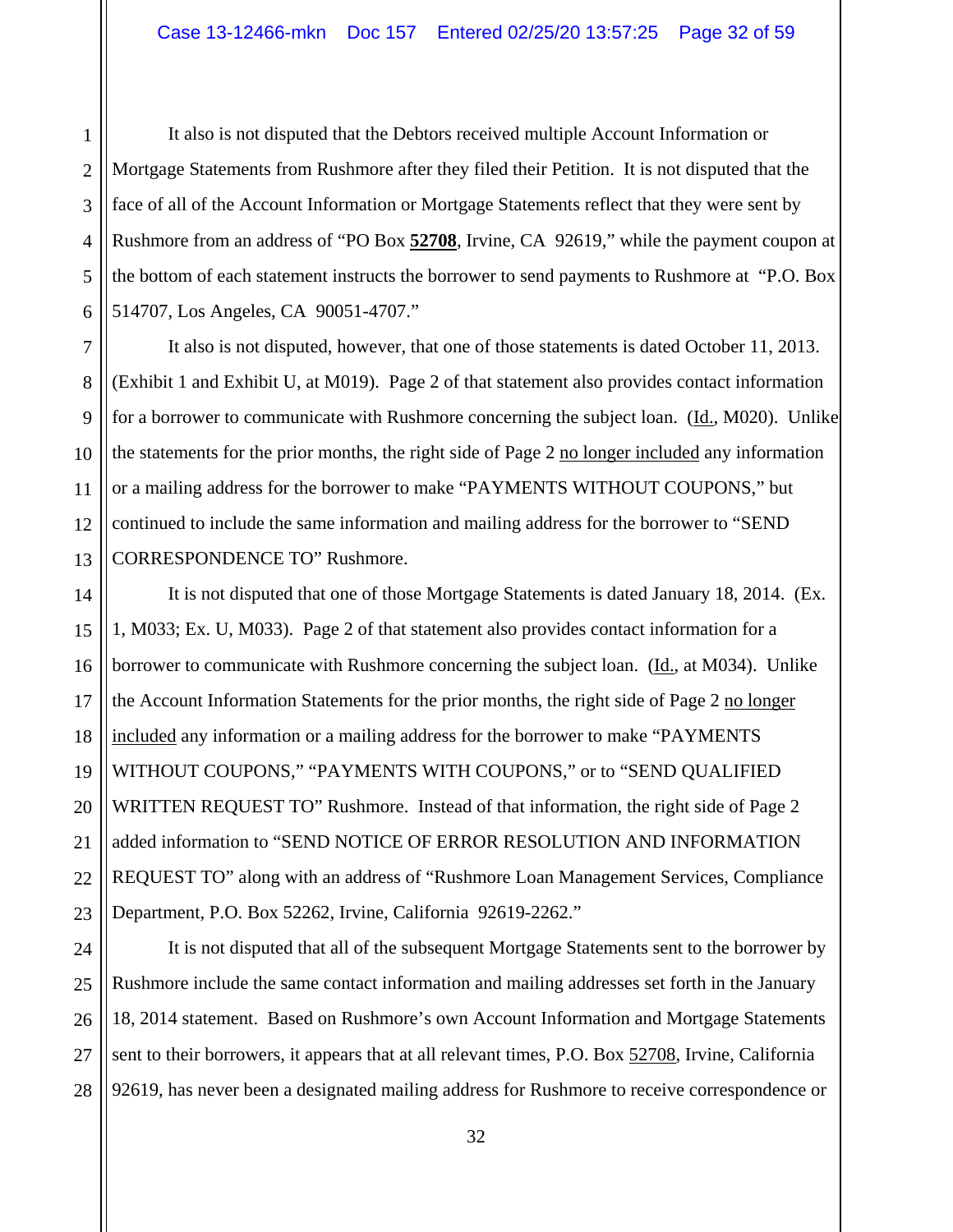1 It also is not disputed that the Debtors received multiple Account Information or Mortgage Statements from Rushmore after they filed their Petition. It is not disputed that the face of all of the Account Information or Mortgage Statements reflect that they were sent by Rushmore from an address of "PO Box **52708**, Irvine, CA 92619," while the payment coupon at the bottom of each statement instructs the borrower to send payments to Rushmore at "P.O. Box 514707, Los Angeles, CA 90051-4707."

It also is not disputed, however, that one of those statements is dated October 11, 2013. (Exhibit 1 and Exhibit U, at M019). Page 2 of that statement also provides contact information for a borrower to communicate with Rushmore concerning the subject loan. (Id., M020). Unlike the statements for the prior months, the right side of Page 2 no longer included any information or a mailing address for the borrower to make "PAYMENTS WITHOUT COUPONS," but continued to include the same information and mailing address for the borrower to "SEND CORRESPONDENCE TO" Rushmore.

It is not disputed that one of those Mortgage Statements is dated January 18, 2014. (Ex. 1, M033; Ex. U, M033). Page 2 of that statement also provides contact information for a borrower to communicate with Rushmore concerning the subject loan. (Id., at M034). Unlike the Account Information Statements for the prior months, the right side of Page 2 no longer included any information or a mailing address for the borrower to make "PAYMENTS WITHOUT COUPONS," "PAYMENTS WITH COUPONS," or to "SEND QUALIFIED WRITTEN REQUEST TO" Rushmore. Instead of that information, the right side of Page 2 added information to "SEND NOTICE OF ERROR RESOLUTION AND INFORMATION REQUEST TO" along with an address of "Rushmore Loan Management Services, Compliance Department, P.O. Box 52262, Irvine, California 92619-2262."

It is not disputed that all of the subsequent Mortgage Statements sent to the borrower by Rushmore include the same contact information and mailing addresses set forth in the January 18, 2014 statement. Based on Rushmore's own Account Information and Mortgage Statements sent to their borrowers, it appears that at all relevant times, P.O. Box 52708, Irvine, California 92619, has never been a designated mailing address for Rushmore to receive correspondence or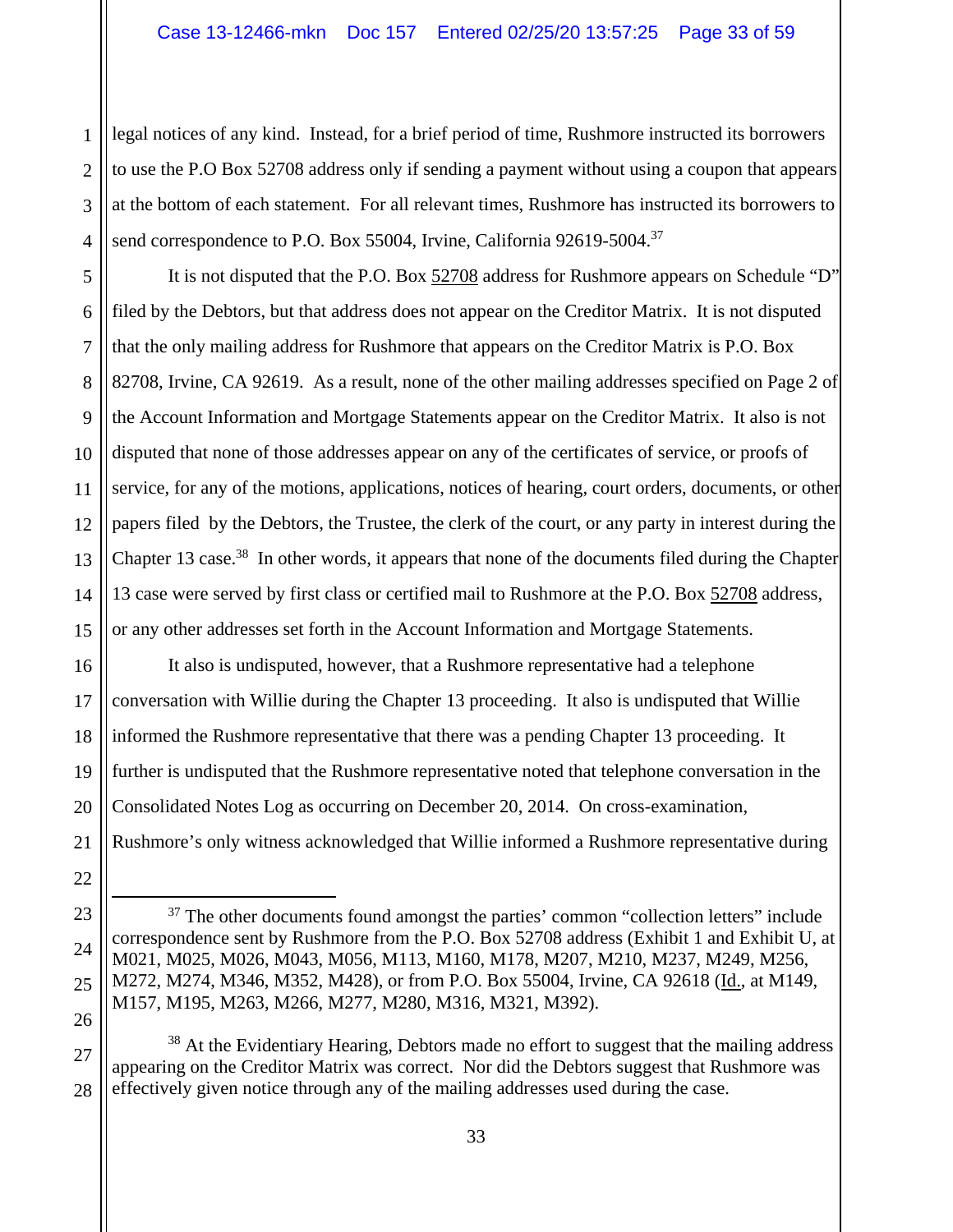legal notices of any kind. Instead, for a brief period of time, Rushmore instructed its borrowers to use the P.O Box 52708 address only if sending a payment without using a coupon that appears at the bottom of each statement. For all relevant times, Rushmore has instructed its borrowers to send correspondence to P.O. Box 55004, Irvine, California 92619-5004.<sup>37</sup>

It is not disputed that the P.O. Box 52708 address for Rushmore appears on Schedule "D" filed by the Debtors, but that address does not appear on the Creditor Matrix. It is not disputed that the only mailing address for Rushmore that appears on the Creditor Matrix is P.O. Box 82708, Irvine, CA 92619. As a result, none of the other mailing addresses specified on Page 2 of the Account Information and Mortgage Statements appear on the Creditor Matrix. It also is not disputed that none of those addresses appear on any of the certificates of service, or proofs of service, for any of the motions, applications, notices of hearing, court orders, documents, or other papers filed by the Debtors, the Trustee, the clerk of the court, or any party in interest during the Chapter 13 case.<sup>38</sup> In other words, it appears that none of the documents filed during the Chapter 13 case were served by first class or certified mail to Rushmore at the P.O. Box 52708 address, or any other addresses set forth in the Account Information and Mortgage Statements.

It also is undisputed, however, that a Rushmore representative had a telephone conversation with Willie during the Chapter 13 proceeding. It also is undisputed that Willie informed the Rushmore representative that there was a pending Chapter 13 proceeding. It further is undisputed that the Rushmore representative noted that telephone conversation in the Consolidated Notes Log as occurring on December 20, 2014. On cross-examination, Rushmore's only witness acknowledged that Willie informed a Rushmore representative during

<sup>&</sup>lt;sup>37</sup> The other documents found amongst the parties' common "collection letters" include correspondence sent by Rushmore from the P.O. Box 52708 address (Exhibit 1 and Exhibit U, at M021, M025, M026, M043, M056, M113, M160, M178, M207, M210, M237, M249, M256, M272, M274, M346, M352, M428), or from P.O. Box 55004, Irvine, CA 92618 (Id., at M149, M157, M195, M263, M266, M277, M280, M316, M321, M392).

<sup>&</sup>lt;sup>38</sup> At the Evidentiary Hearing, Debtors made no effort to suggest that the mailing address appearing on the Creditor Matrix was correct. Nor did the Debtors suggest that Rushmore was effectively given notice through any of the mailing addresses used during the case.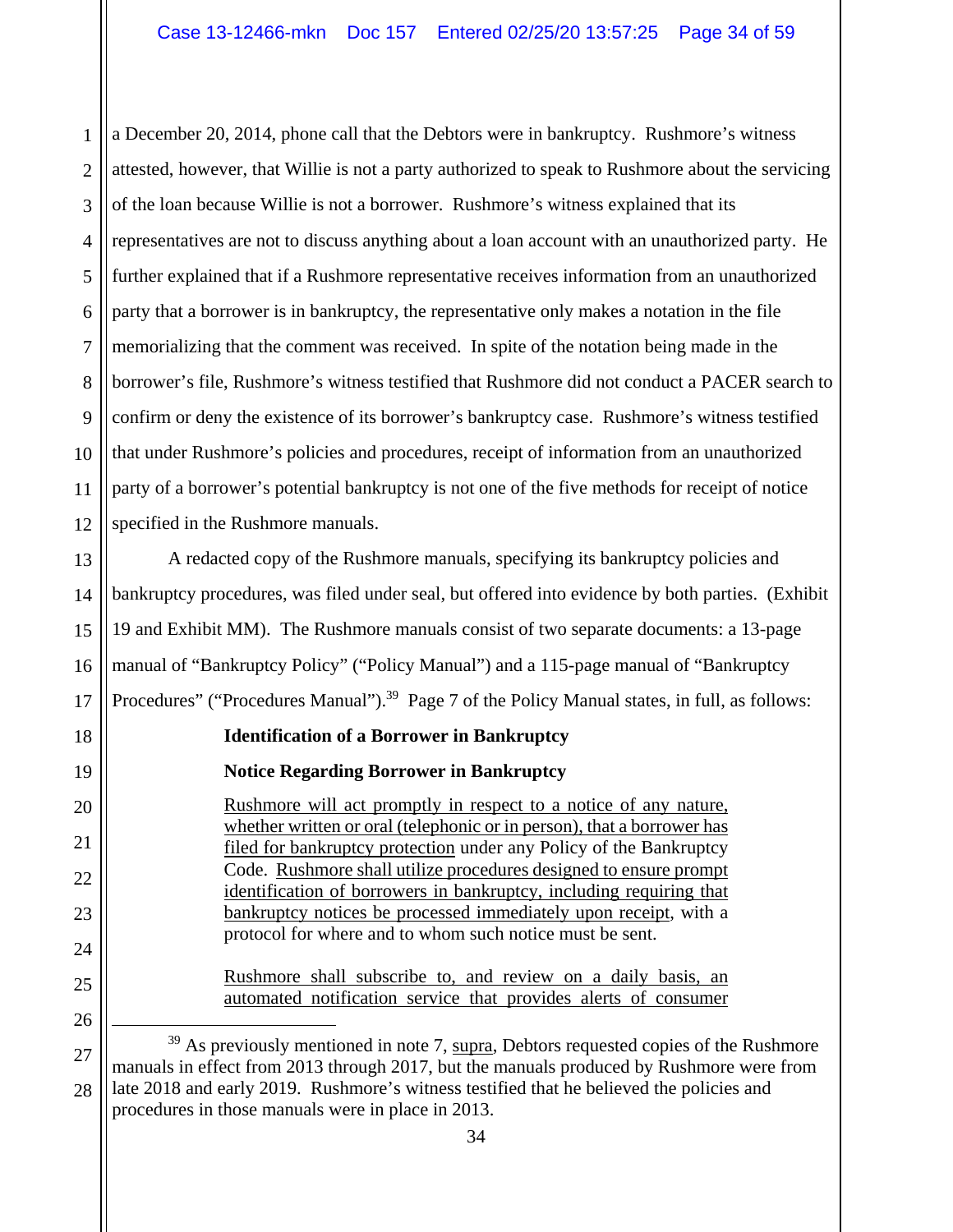1 2 3 4 5 6 7 8 9 10 11 12 a December 20, 2014, phone call that the Debtors were in bankruptcy. Rushmore's witness attested, however, that Willie is not a party authorized to speak to Rushmore about the servicing of the loan because Willie is not a borrower. Rushmore's witness explained that its representatives are not to discuss anything about a loan account with an unauthorized party. He further explained that if a Rushmore representative receives information from an unauthorized party that a borrower is in bankruptcy, the representative only makes a notation in the file memorializing that the comment was received. In spite of the notation being made in the borrower's file, Rushmore's witness testified that Rushmore did not conduct a PACER search to confirm or deny the existence of its borrower's bankruptcy case. Rushmore's witness testified that under Rushmore's policies and procedures, receipt of information from an unauthorized party of a borrower's potential bankruptcy is not one of the five methods for receipt of notice specified in the Rushmore manuals.

13 14 15 16 17 A redacted copy of the Rushmore manuals, specifying its bankruptcy policies and bankruptcy procedures, was filed under seal, but offered into evidence by both parties. (Exhibit 19 and Exhibit MM). The Rushmore manuals consist of two separate documents: a 13-page manual of "Bankruptcy Policy" ("Policy Manual") and a 115-page manual of "Bankruptcy Procedures" ("Procedures Manual").<sup>39</sup> Page 7 of the Policy Manual states, in full, as follows:

## **Identification of a Borrower in Bankruptcy**

# **Notice Regarding Borrower in Bankruptcy**

18

19

20

21

22

23

24

25

26

Rushmore will act promptly in respect to a notice of any nature, whether written or oral (telephonic or in person), that a borrower has filed for bankruptcy protection under any Policy of the Bankruptcy Code. Rushmore shall utilize procedures designed to ensure prompt identification of borrowers in bankruptcy, including requiring that bankruptcy notices be processed immediately upon receipt, with a protocol for where and to whom such notice must be sent.

Rushmore shall subscribe to, and review on a daily basis, an automated notification service that provides alerts of consumer

27 28 <sup>39</sup> As previously mentioned in note 7, supra, Debtors requested copies of the Rushmore manuals in effect from 2013 through 2017, but the manuals produced by Rushmore were from late 2018 and early 2019. Rushmore's witness testified that he believed the policies and procedures in those manuals were in place in 2013.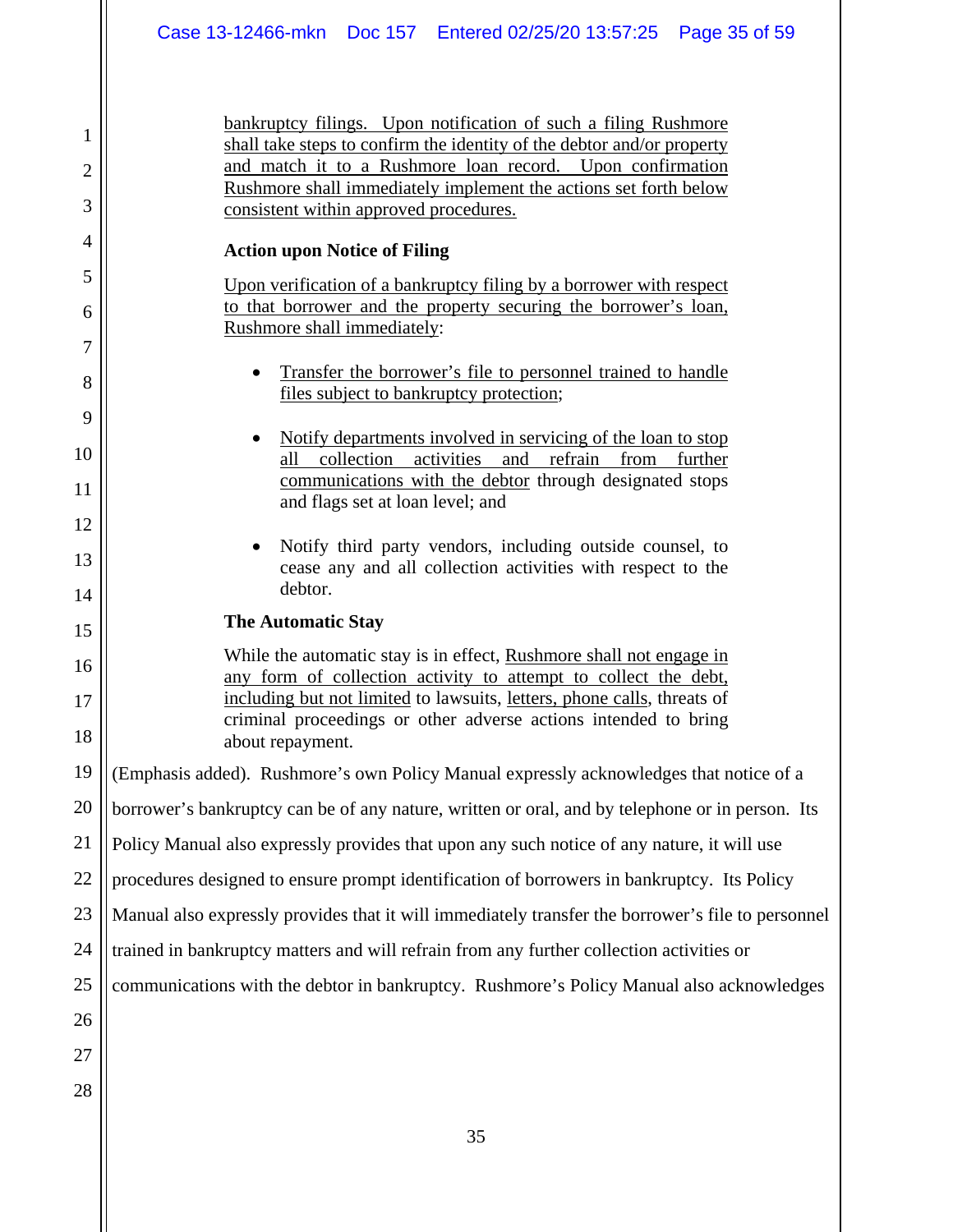bankruptcy filings. Upon notification of such a filing Rushmore shall take steps to confirm the identity of the debtor and/or property and match it to a Rushmore loan record. Upon confirmation Rushmore shall immediately implement the actions set forth below consistent within approved procedures.

#### **Action upon Notice of Filing**

Upon verification of a bankruptcy filing by a borrower with respect to that borrower and the property securing the borrower's loan, Rushmore shall immediately:

- Transfer the borrower's file to personnel trained to handle files subject to bankruptcy protection;
- Notify departments involved in servicing of the loan to stop all collection activities and refrain from further communications with the debtor through designated stops and flags set at loan level; and
- Notify third party vendors, including outside counsel, to cease any and all collection activities with respect to the debtor.

## **The Automatic Stay**

While the automatic stay is in effect, Rushmore shall not engage in any form of collection activity to attempt to collect the debt, including but not limited to lawsuits, letters, phone calls, threats of criminal proceedings or other adverse actions intended to bring about repayment.

(Emphasis added). Rushmore's own Policy Manual expressly acknowledges that notice of a

20 borrower's bankruptcy can be of any nature, written or oral, and by telephone or in person. Its

21 Policy Manual also expressly provides that upon any such notice of any nature, it will use

22 procedures designed to ensure prompt identification of borrowers in bankruptcy. Its Policy

23 Manual also expressly provides that it will immediately transfer the borrower's file to personnel

24 trained in bankruptcy matters and will refrain from any further collection activities or

25 communications with the debtor in bankruptcy. Rushmore's Policy Manual also acknowledges

26 27

1

2

3

4

5

6

7

8

9

10

11

12

13

14

15

16

17

18

19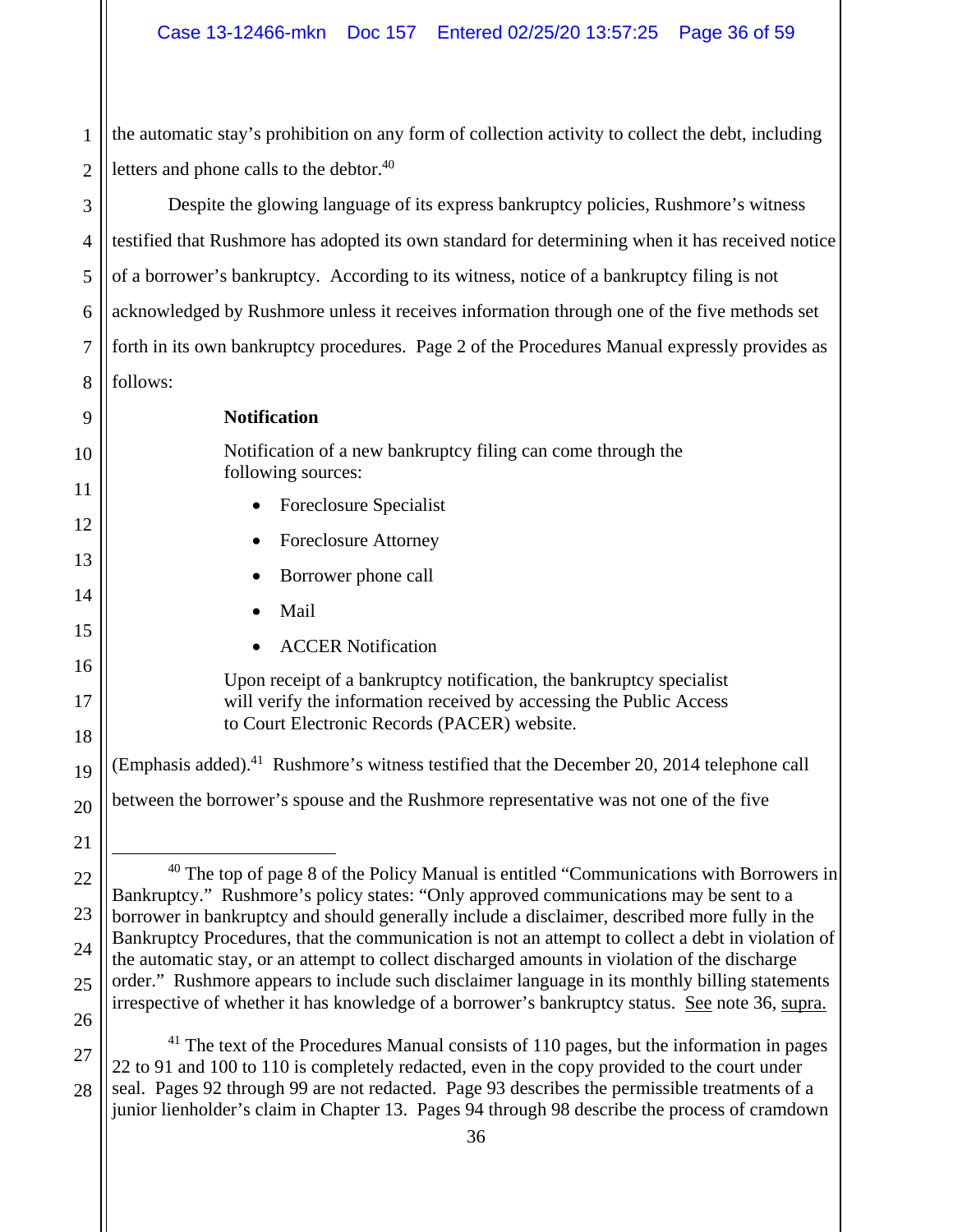1 2 the automatic stay's prohibition on any form of collection activity to collect the debt, including letters and phone calls to the debtor.<sup>40</sup>

3 4 5 6 7 8 Despite the glowing language of its express bankruptcy policies, Rushmore's witness testified that Rushmore has adopted its own standard for determining when it has received notice of a borrower's bankruptcy. According to its witness, notice of a bankruptcy filing is not acknowledged by Rushmore unless it receives information through one of the five methods set forth in its own bankruptcy procedures. Page 2 of the Procedures Manual expressly provides as follows:

9 10 11 12 13 14 15 16 17 18 19 20 21 22 23 24 25 26 27 28 **Notification**  Notification of a new bankruptcy filing can come through the following sources: • Foreclosure Specialist • Foreclosure Attorney Borrower phone call Mail ACCER Notification Upon receipt of a bankruptcy notification, the bankruptcy specialist will verify the information received by accessing the Public Access to Court Electronic Records (PACER) website. (Emphasis added).<sup>41</sup> Rushmore's witness testified that the December 20, 2014 telephone call between the borrower's spouse and the Rushmore representative was not one of the five  $40$  The top of page 8 of the Policy Manual is entitled "Communications with Borrowers in Bankruptcy." Rushmore's policy states: "Only approved communications may be sent to a borrower in bankruptcy and should generally include a disclaimer, described more fully in the Bankruptcy Procedures, that the communication is not an attempt to collect a debt in violation of the automatic stay, or an attempt to collect discharged amounts in violation of the discharge order." Rushmore appears to include such disclaimer language in its monthly billing statements irrespective of whether it has knowledge of a borrower's bankruptcy status. See note 36, supra.  $41$  The text of the Procedures Manual consists of 110 pages, but the information in pages 22 to 91 and 100 to 110 is completely redacted, even in the copy provided to the court under seal. Pages 92 through 99 are not redacted. Page 93 describes the permissible treatments of a junior lienholder's claim in Chapter 13. Pages 94 through 98 describe the process of cramdown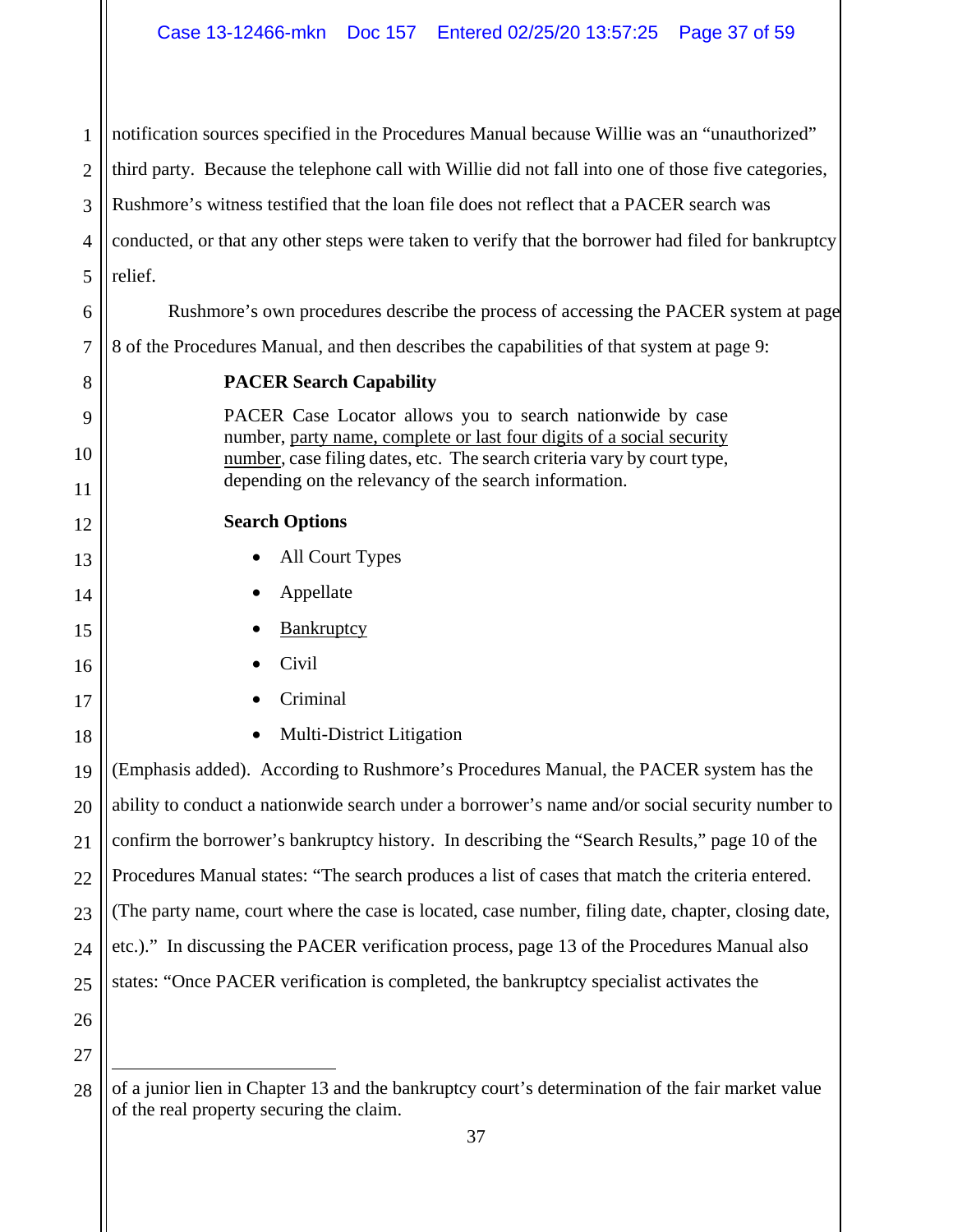1 2 3 4 5 6 7 8 9 10 11 12 13 14 15 16 17 18 19 20 21 22 23 24 25 26 27 notification sources specified in the Procedures Manual because Willie was an "unauthorized" third party. Because the telephone call with Willie did not fall into one of those five categories, Rushmore's witness testified that the loan file does not reflect that a PACER search was conducted, or that any other steps were taken to verify that the borrower had filed for bankruptcy relief. Rushmore's own procedures describe the process of accessing the PACER system at page 8 of the Procedures Manual, and then describes the capabilities of that system at page 9: **PACER Search Capability**  PACER Case Locator allows you to search nationwide by case number, party name, complete or last four digits of a social security number, case filing dates, etc. The search criteria vary by court type, depending on the relevancy of the search information. **Search Options**  • All Court Types Appellate **Bankruptcy**  Civil Criminal Multi-District Litigation (Emphasis added). According to Rushmore's Procedures Manual, the PACER system has the ability to conduct a nationwide search under a borrower's name and/or social security number to confirm the borrower's bankruptcy history. In describing the "Search Results," page 10 of the Procedures Manual states: "The search produces a list of cases that match the criteria entered. (The party name, court where the case is located, case number, filing date, chapter, closing date, etc.)." In discussing the PACER verification process, page 13 of the Procedures Manual also states: "Once PACER verification is completed, the bankruptcy specialist activates the

<sup>28</sup>  $\overline{a}$ of a junior lien in Chapter 13 and the bankruptcy court's determination of the fair market value of the real property securing the claim.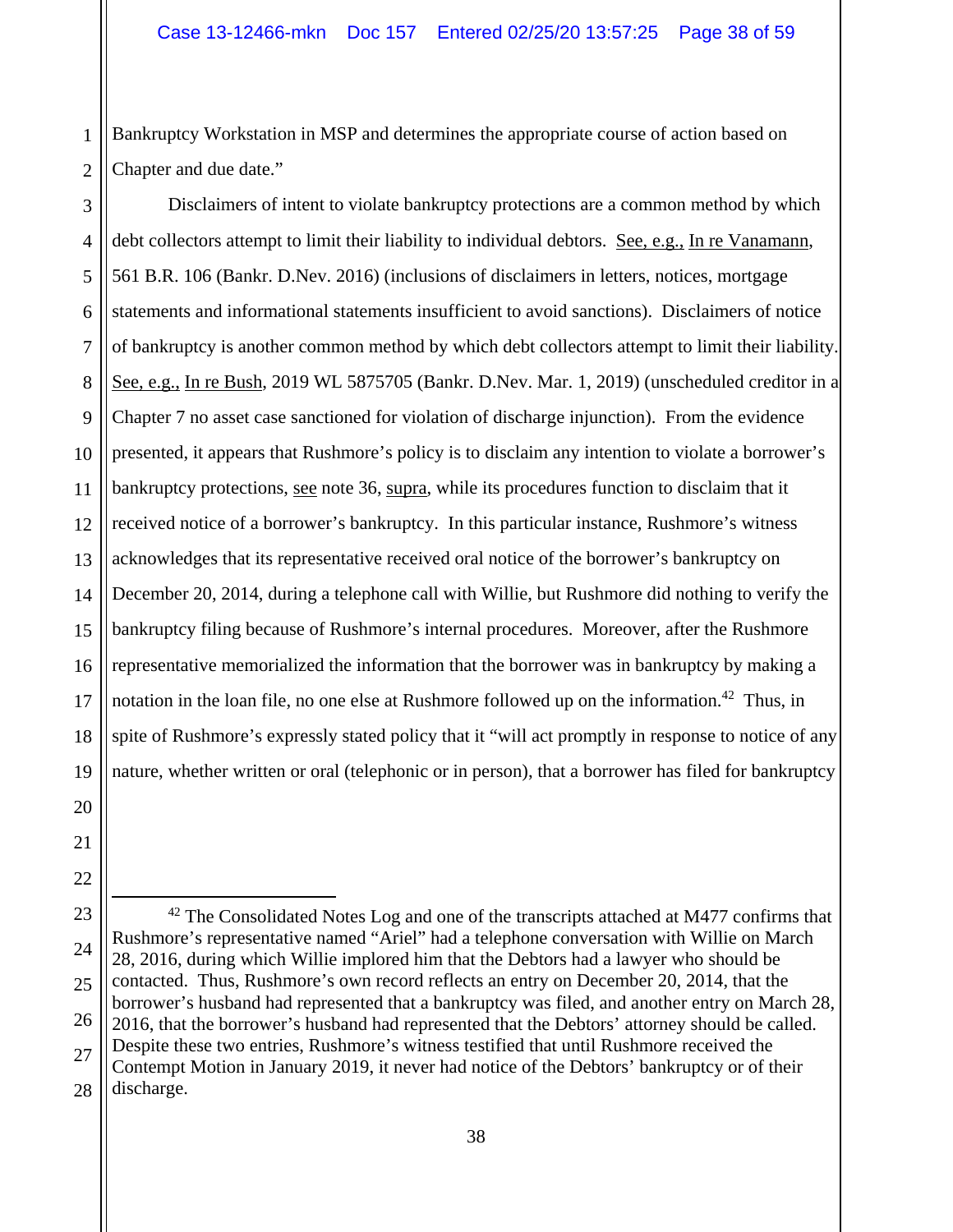1 2 Bankruptcy Workstation in MSP and determines the appropriate course of action based on Chapter and due date."

3 4 5 6 7 8 9 10 11 12 13 14 15 16 17 18 19 Disclaimers of intent to violate bankruptcy protections are a common method by which debt collectors attempt to limit their liability to individual debtors. See, e.g., In re Vanamann, 561 B.R. 106 (Bankr. D.Nev. 2016) (inclusions of disclaimers in letters, notices, mortgage statements and informational statements insufficient to avoid sanctions). Disclaimers of notice of bankruptcy is another common method by which debt collectors attempt to limit their liability. See, e.g., In re Bush, 2019 WL 5875705 (Bankr. D.Nev. Mar. 1, 2019) (unscheduled creditor in a Chapter 7 no asset case sanctioned for violation of discharge injunction). From the evidence presented, it appears that Rushmore's policy is to disclaim any intention to violate a borrower's bankruptcy protections, see note 36, supra, while its procedures function to disclaim that it received notice of a borrower's bankruptcy. In this particular instance, Rushmore's witness acknowledges that its representative received oral notice of the borrower's bankruptcy on December 20, 2014, during a telephone call with Willie, but Rushmore did nothing to verify the bankruptcy filing because of Rushmore's internal procedures. Moreover, after the Rushmore representative memorialized the information that the borrower was in bankruptcy by making a notation in the loan file, no one else at Rushmore followed up on the information.<sup>42</sup> Thus, in spite of Rushmore's expressly stated policy that it "will act promptly in response to notice of any nature, whether written or oral (telephonic or in person), that a borrower has filed for bankruptcy

20 21 22

23

24

25

26

27

 $42$  The Consolidated Notes Log and one of the transcripts attached at M477 confirms that Rushmore's representative named "Ariel" had a telephone conversation with Willie on March 28, 2016, during which Willie implored him that the Debtors had a lawyer who should be contacted. Thus, Rushmore's own record reflects an entry on December 20, 2014, that the borrower's husband had represented that a bankruptcy was filed, and another entry on March 28, 2016, that the borrower's husband had represented that the Debtors' attorney should be called. Despite these two entries, Rushmore's witness testified that until Rushmore received the Contempt Motion in January 2019, it never had notice of the Debtors' bankruptcy or of their discharge.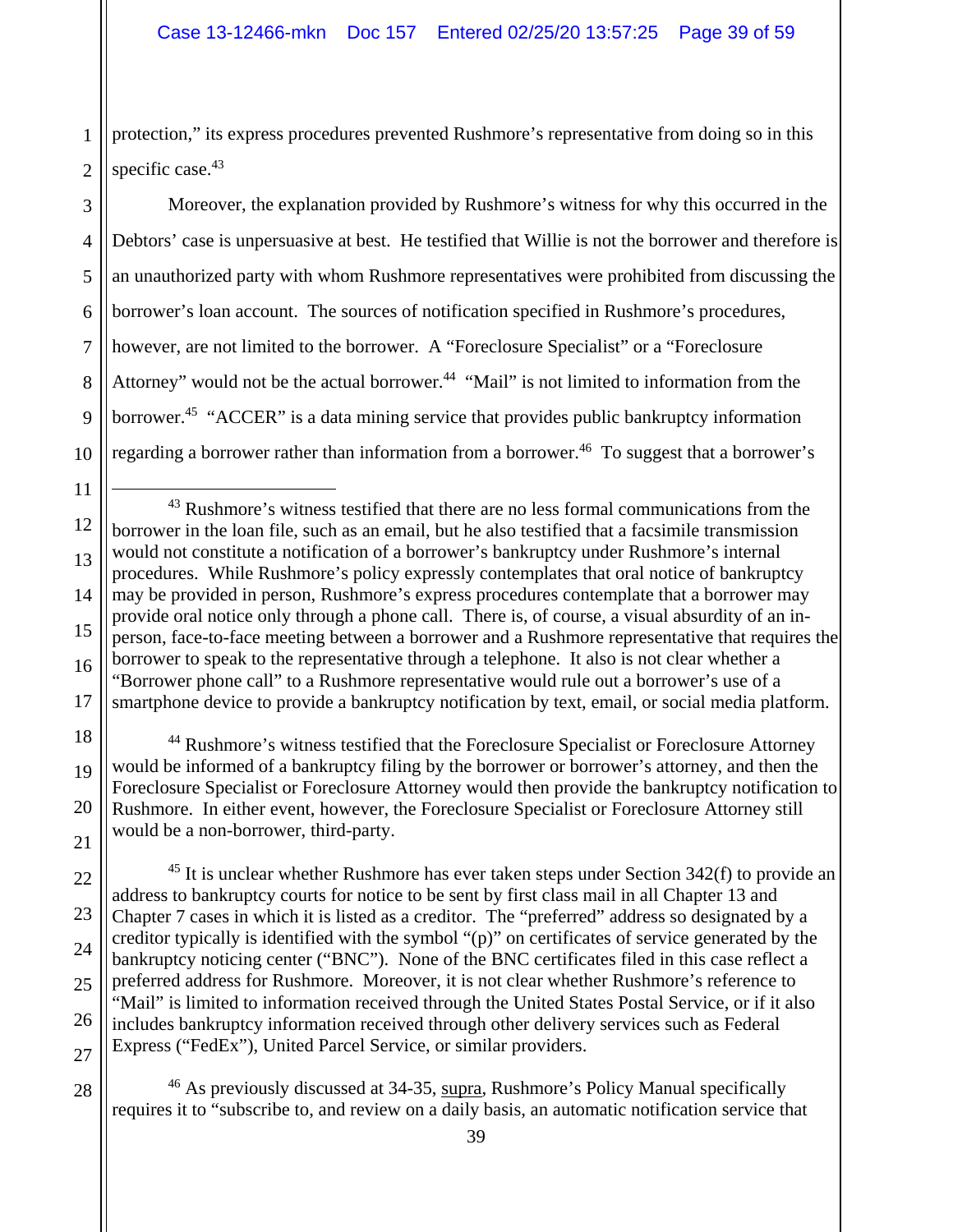1 2 protection," its express procedures prevented Rushmore's representative from doing so in this specific case.<sup>43</sup>

3 4 5 6 7 8 9 10 Moreover, the explanation provided by Rushmore's witness for why this occurred in the Debtors' case is unpersuasive at best. He testified that Willie is not the borrower and therefore is an unauthorized party with whom Rushmore representatives were prohibited from discussing the borrower's loan account. The sources of notification specified in Rushmore's procedures, however, are not limited to the borrower. A "Foreclosure Specialist" or a "Foreclosure Attorney" would not be the actual borrower.<sup>44</sup> "Mail" is not limited to information from the borrower.<sup>45</sup> "ACCER" is a data mining service that provides public bankruptcy information regarding a borrower rather than information from a borrower.<sup>46</sup> To suggest that a borrower's

12 13 14 15 16 17 <sup>43</sup> Rushmore's witness testified that there are no less formal communications from the borrower in the loan file, such as an email, but he also testified that a facsimile transmission would not constitute a notification of a borrower's bankruptcy under Rushmore's internal procedures. While Rushmore's policy expressly contemplates that oral notice of bankruptcy may be provided in person, Rushmore's express procedures contemplate that a borrower may provide oral notice only through a phone call. There is, of course, a visual absurdity of an inperson, face-to-face meeting between a borrower and a Rushmore representative that requires the borrower to speak to the representative through a telephone. It also is not clear whether a "Borrower phone call" to a Rushmore representative would rule out a borrower's use of a smartphone device to provide a bankruptcy notification by text, email, or social media platform.

11

22

23

24

25

26

27

28

18 19 20 21 <sup>44</sup> Rushmore's witness testified that the Foreclosure Specialist or Foreclosure Attorney would be informed of a bankruptcy filing by the borrower or borrower's attorney, and then the Foreclosure Specialist or Foreclosure Attorney would then provide the bankruptcy notification to Rushmore. In either event, however, the Foreclosure Specialist or Foreclosure Attorney still would be a non-borrower, third-party.

 $45$  It is unclear whether Rushmore has ever taken steps under Section 342(f) to provide an address to bankruptcy courts for notice to be sent by first class mail in all Chapter 13 and Chapter 7 cases in which it is listed as a creditor. The "preferred" address so designated by a creditor typically is identified with the symbol "(p)" on certificates of service generated by the bankruptcy noticing center ("BNC"). None of the BNC certificates filed in this case reflect a preferred address for Rushmore. Moreover, it is not clear whether Rushmore's reference to "Mail" is limited to information received through the United States Postal Service, or if it also includes bankruptcy information received through other delivery services such as Federal Express ("FedEx"), United Parcel Service, or similar providers.

<sup>46</sup> As previously discussed at 34-35, supra, Rushmore's Policy Manual specifically requires it to "subscribe to, and review on a daily basis, an automatic notification service that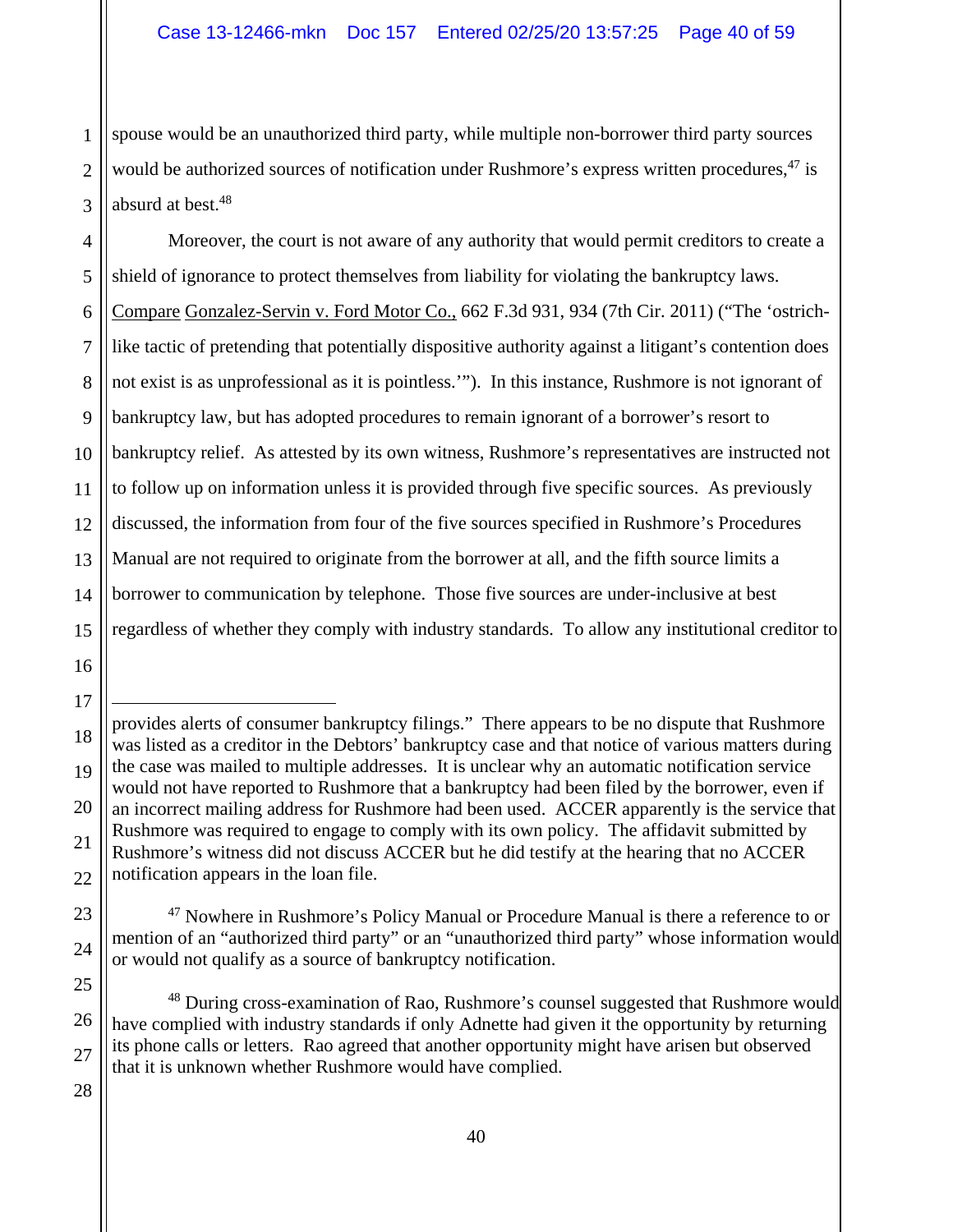1 2 3 spouse would be an unauthorized third party, while multiple non-borrower third party sources would be authorized sources of notification under Rushmore's express written procedures,<sup>47</sup> is absurd at best.<sup>48</sup>

4 5 6 7 8 9 10 11 12 13 14 Moreover, the court is not aware of any authority that would permit creditors to create a shield of ignorance to protect themselves from liability for violating the bankruptcy laws. Compare Gonzalez-Servin v. Ford Motor Co., 662 F.3d 931, 934 (7th Cir. 2011) ("The 'ostrichlike tactic of pretending that potentially dispositive authority against a litigant's contention does not exist is as unprofessional as it is pointless.'"). In this instance, Rushmore is not ignorant of bankruptcy law, but has adopted procedures to remain ignorant of a borrower's resort to bankruptcy relief. As attested by its own witness, Rushmore's representatives are instructed not to follow up on information unless it is provided through five specific sources. As previously discussed, the information from four of the five sources specified in Rushmore's Procedures Manual are not required to originate from the borrower at all, and the fifth source limits a borrower to communication by telephone. Those five sources are under-inclusive at best regardless of whether they comply with industry standards. To allow any institutional creditor to

 $\overline{a}$ 

22

23

24

25

26

27

provides alerts of consumer bankruptcy filings." There appears to be no dispute that Rushmore was listed as a creditor in the Debtors' bankruptcy case and that notice of various matters during the case was mailed to multiple addresses. It is unclear why an automatic notification service would not have reported to Rushmore that a bankruptcy had been filed by the borrower, even if an incorrect mailing address for Rushmore had been used. ACCER apparently is the service that Rushmore was required to engage to comply with its own policy. The affidavit submitted by Rushmore's witness did not discuss ACCER but he did testify at the hearing that no ACCER notification appears in the loan file.

<sup>&</sup>lt;sup>47</sup> Nowhere in Rushmore's Policy Manual or Procedure Manual is there a reference to or mention of an "authorized third party" or an "unauthorized third party" whose information would or would not qualify as a source of bankruptcy notification.

<sup>&</sup>lt;sup>48</sup> During cross-examination of Rao, Rushmore's counsel suggested that Rushmore would have complied with industry standards if only Adnette had given it the opportunity by returning its phone calls or letters. Rao agreed that another opportunity might have arisen but observed that it is unknown whether Rushmore would have complied.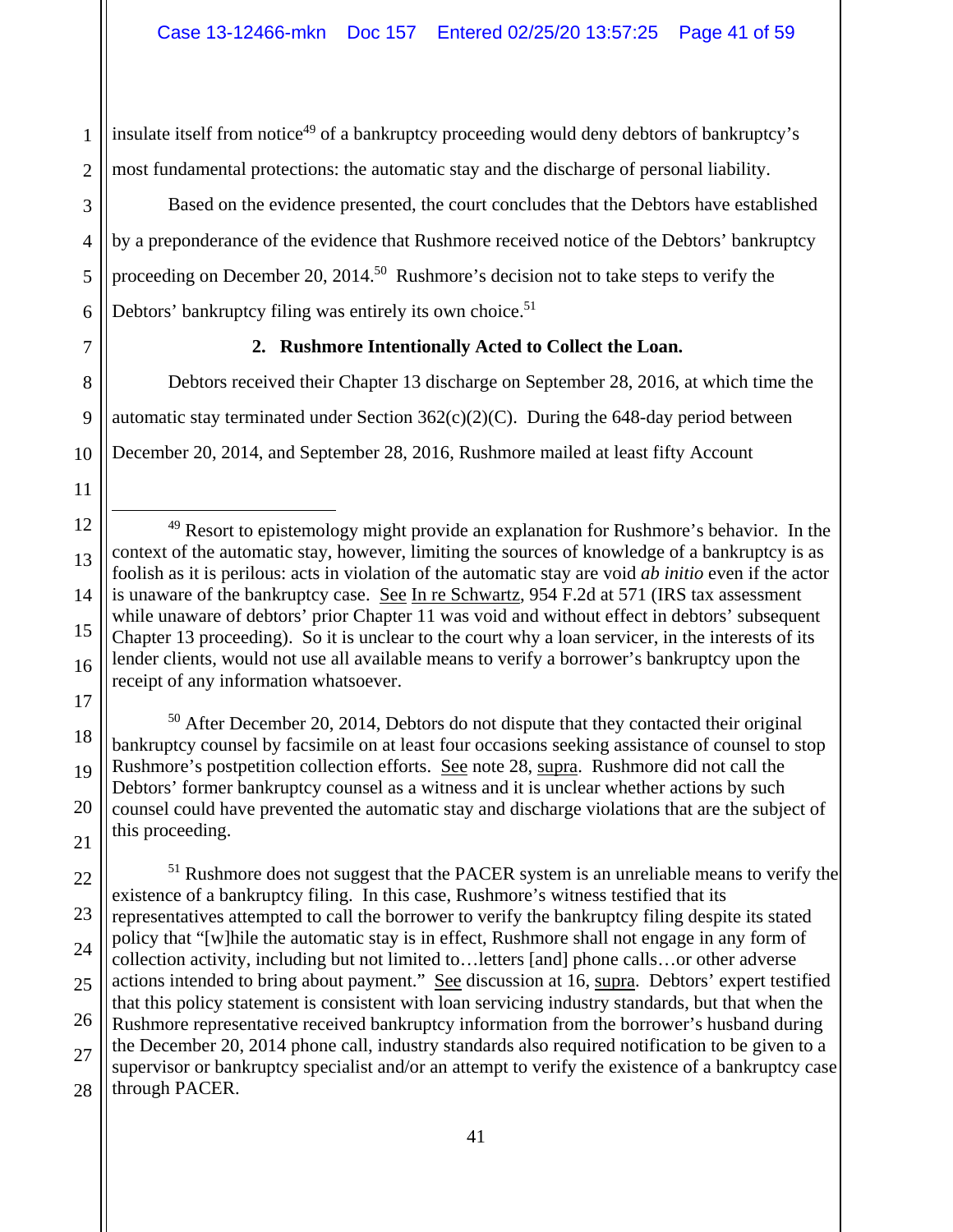2 insulate itself from notice<sup>49</sup> of a bankruptcy proceeding would deny debtors of bankruptcy's most fundamental protections: the automatic stay and the discharge of personal liability.

Based on the evidence presented, the court concludes that the Debtors have established by a preponderance of the evidence that Rushmore received notice of the Debtors' bankruptcy proceeding on December 20, 2014.<sup>50</sup> Rushmore's decision not to take steps to verify the Debtors' bankruptcy filing was entirely its own choice.<sup>51</sup>

7

1

3

4

5

6

8

9

10

11

13

14

18

19

20

21

## **2. Rushmore Intentionally Acted to Collect the Loan.**

Debtors received their Chapter 13 discharge on September 28, 2016, at which time the automatic stay terminated under Section  $362(c)(2)(C)$ . During the 648-day period between December 20, 2014, and September 28, 2016, Rushmore mailed at least fifty Account

12 15 16 17 <sup>49</sup> Resort to epistemology might provide an explanation for Rushmore's behavior. In the context of the automatic stay, however, limiting the sources of knowledge of a bankruptcy is as foolish as it is perilous: acts in violation of the automatic stay are void *ab initio* even if the actor is unaware of the bankruptcy case. See In re Schwartz, 954 F.2d at 571 (IRS tax assessment while unaware of debtors' prior Chapter 11 was void and without effect in debtors' subsequent Chapter 13 proceeding). So it is unclear to the court why a loan servicer, in the interests of its lender clients, would not use all available means to verify a borrower's bankruptcy upon the receipt of any information whatsoever.

50 After December 20, 2014, Debtors do not dispute that they contacted their original bankruptcy counsel by facsimile on at least four occasions seeking assistance of counsel to stop Rushmore's postpetition collection efforts. See note 28, supra. Rushmore did not call the Debtors' former bankruptcy counsel as a witness and it is unclear whether actions by such counsel could have prevented the automatic stay and discharge violations that are the subject of this proceeding.

22 23 24 25 26 27 28 <sup>51</sup> Rushmore does not suggest that the PACER system is an unreliable means to verify the existence of a bankruptcy filing. In this case, Rushmore's witness testified that its representatives attempted to call the borrower to verify the bankruptcy filing despite its stated policy that "[w]hile the automatic stay is in effect, Rushmore shall not engage in any form of collection activity, including but not limited to…letters [and] phone calls…or other adverse actions intended to bring about payment." See discussion at 16, supra. Debtors' expert testified that this policy statement is consistent with loan servicing industry standards, but that when the Rushmore representative received bankruptcy information from the borrower's husband during the December 20, 2014 phone call, industry standards also required notification to be given to a supervisor or bankruptcy specialist and/or an attempt to verify the existence of a bankruptcy case through PACER.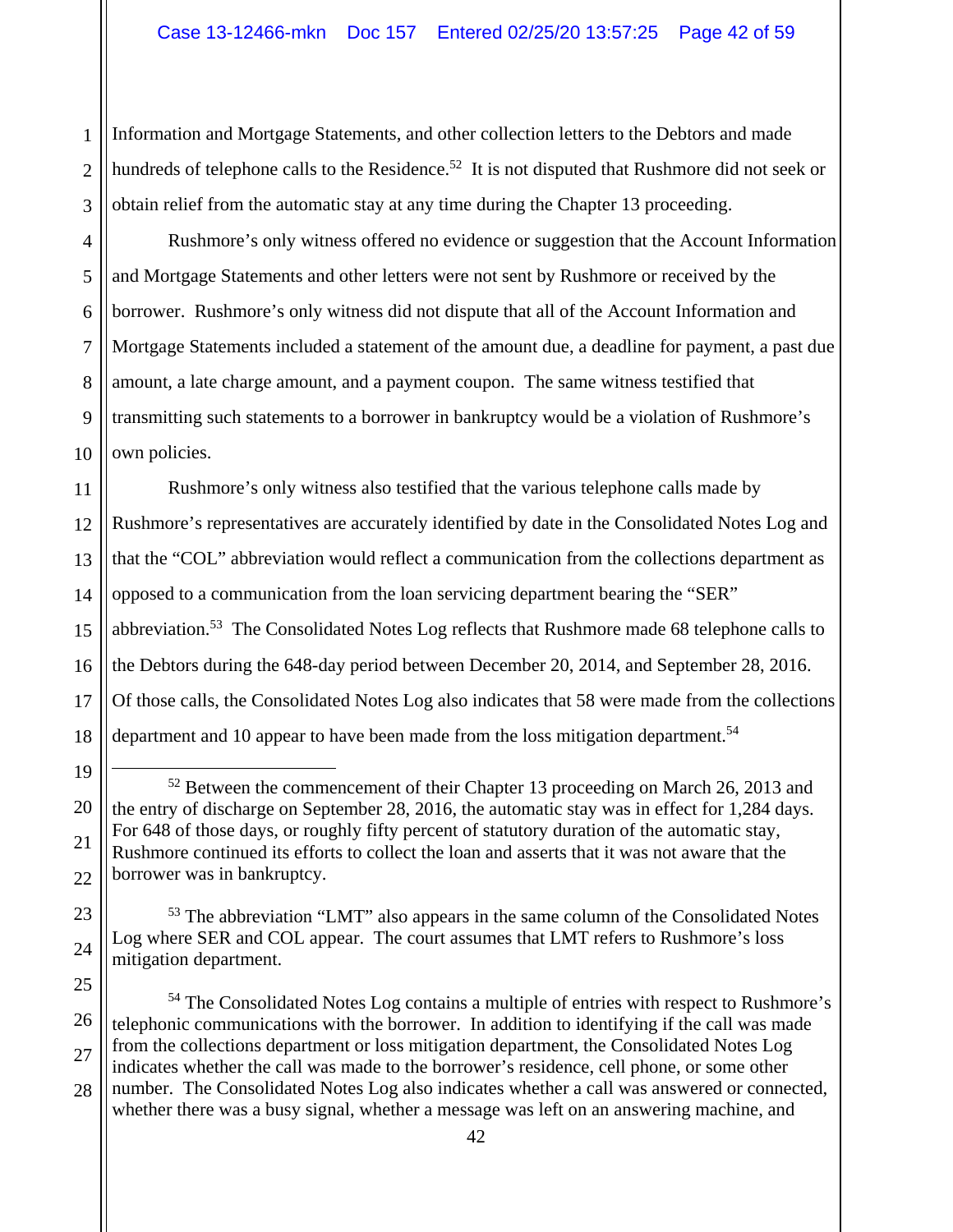1 2 3 Information and Mortgage Statements, and other collection letters to the Debtors and made hundreds of telephone calls to the Residence.<sup>52</sup> It is not disputed that Rushmore did not seek or obtain relief from the automatic stay at any time during the Chapter 13 proceeding.

4 Rushmore's only witness offered no evidence or suggestion that the Account Information and Mortgage Statements and other letters were not sent by Rushmore or received by the borrower. Rushmore's only witness did not dispute that all of the Account Information and Mortgage Statements included a statement of the amount due, a deadline for payment, a past due amount, a late charge amount, and a payment coupon. The same witness testified that transmitting such statements to a borrower in bankruptcy would be a violation of Rushmore's own policies.

Rushmore's only witness also testified that the various telephone calls made by Rushmore's representatives are accurately identified by date in the Consolidated Notes Log and that the "COL" abbreviation would reflect a communication from the collections department as opposed to a communication from the loan servicing department bearing the "SER" abbreviation.<sup>53</sup> The Consolidated Notes Log reflects that Rushmore made 68 telephone calls to the Debtors during the 648-day period between December 20, 2014, and September 28, 2016. Of those calls, the Consolidated Notes Log also indicates that 58 were made from the collections department and 10 appear to have been made from the loss mitigation department.<sup>54</sup>

<sup>54</sup> The Consolidated Notes Log contains a multiple of entries with respect to Rushmore's telephonic communications with the borrower. In addition to identifying if the call was made from the collections department or loss mitigation department, the Consolidated Notes Log indicates whether the call was made to the borrower's residence, cell phone, or some other number. The Consolidated Notes Log also indicates whether a call was answered or connected, whether there was a busy signal, whether a message was left on an answering machine, and

<sup>&</sup>lt;sup>52</sup> Between the commencement of their Chapter 13 proceeding on March 26, 2013 and the entry of discharge on September 28, 2016, the automatic stay was in effect for 1,284 days. For 648 of those days, or roughly fifty percent of statutory duration of the automatic stay, Rushmore continued its efforts to collect the loan and asserts that it was not aware that the borrower was in bankruptcy.

<sup>53</sup> The abbreviation "LMT" also appears in the same column of the Consolidated Notes Log where SER and COL appear. The court assumes that LMT refers to Rushmore's loss mitigation department.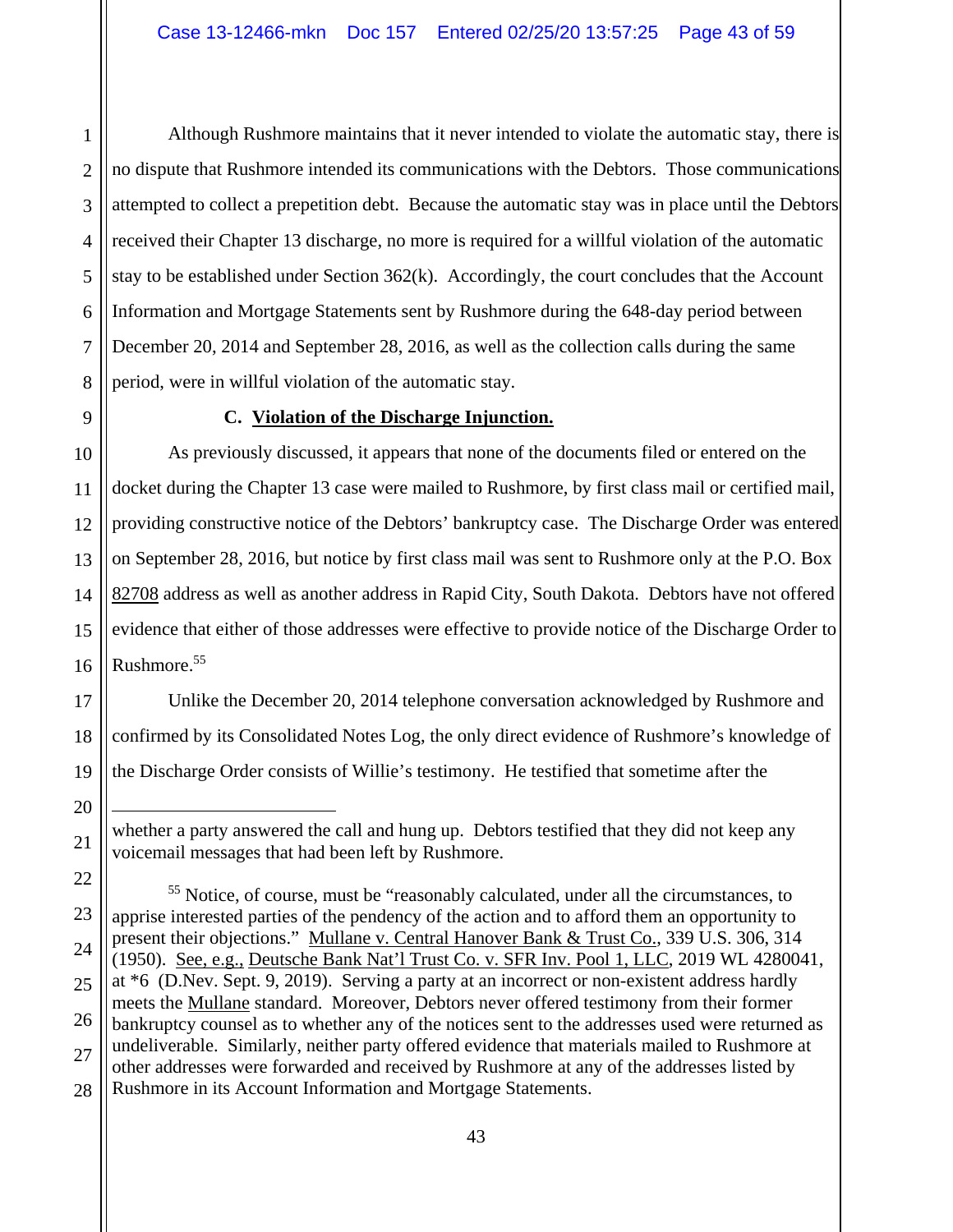1 2 3 Although Rushmore maintains that it never intended to violate the automatic stay, there is no dispute that Rushmore intended its communications with the Debtors. Those communications attempted to collect a prepetition debt. Because the automatic stay was in place until the Debtors received their Chapter 13 discharge, no more is required for a willful violation of the automatic stay to be established under Section 362(k). Accordingly, the court concludes that the Account Information and Mortgage Statements sent by Rushmore during the 648-day period between December 20, 2014 and September 28, 2016, as well as the collection calls during the same period, were in willful violation of the automatic stay.

## **C. Violation of the Discharge Injunction.**

As previously discussed, it appears that none of the documents filed or entered on the docket during the Chapter 13 case were mailed to Rushmore, by first class mail or certified mail, providing constructive notice of the Debtors' bankruptcy case. The Discharge Order was entered on September 28, 2016, but notice by first class mail was sent to Rushmore only at the P.O. Box 82708 address as well as another address in Rapid City, South Dakota. Debtors have not offered evidence that either of those addresses were effective to provide notice of the Discharge Order to Rushmore.55

Unlike the December 20, 2014 telephone conversation acknowledged by Rushmore and confirmed by its Consolidated Notes Log, the only direct evidence of Rushmore's knowledge of the Discharge Order consists of Willie's testimony. He testified that sometime after the

<sup>&</sup>lt;u>.</u> whether a party answered the call and hung up. Debtors testified that they did not keep any voicemail messages that had been left by Rushmore.

<sup>55</sup> Notice, of course, must be "reasonably calculated, under all the circumstances, to apprise interested parties of the pendency of the action and to afford them an opportunity to present their objections." Mullane v. Central Hanover Bank & Trust Co., 339 U.S. 306, 314 (1950). See, e.g., Deutsche Bank Nat'l Trust Co. v. SFR Inv. Pool 1, LLC, 2019 WL 4280041, at \*6 (D.Nev. Sept. 9, 2019). Serving a party at an incorrect or non-existent address hardly meets the Mullane standard. Moreover, Debtors never offered testimony from their former bankruptcy counsel as to whether any of the notices sent to the addresses used were returned as undeliverable. Similarly, neither party offered evidence that materials mailed to Rushmore at other addresses were forwarded and received by Rushmore at any of the addresses listed by Rushmore in its Account Information and Mortgage Statements.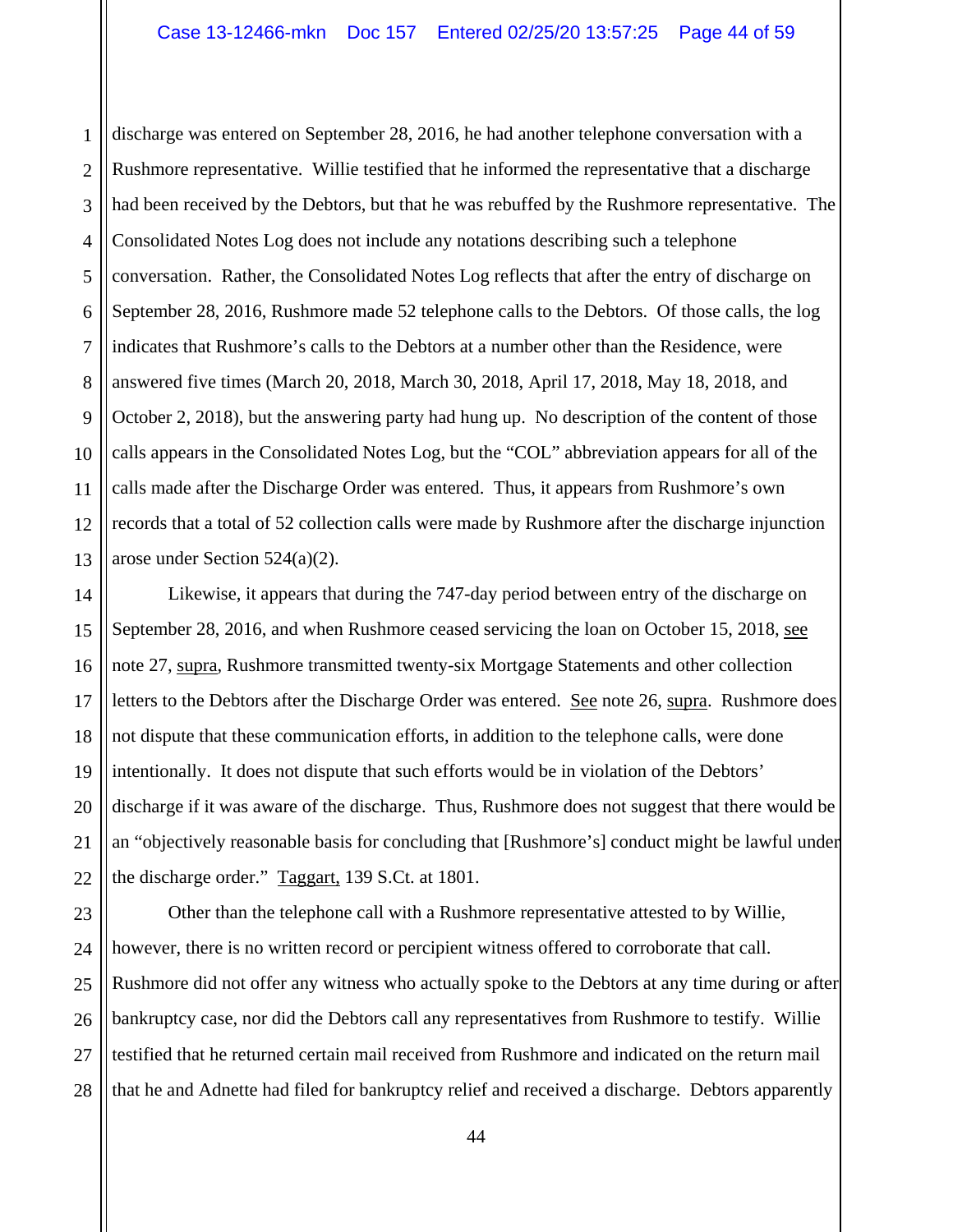1 2 3 4 5 6 7 8 9 10 11 12 13 discharge was entered on September 28, 2016, he had another telephone conversation with a Rushmore representative. Willie testified that he informed the representative that a discharge had been received by the Debtors, but that he was rebuffed by the Rushmore representative. The Consolidated Notes Log does not include any notations describing such a telephone conversation. Rather, the Consolidated Notes Log reflects that after the entry of discharge on September 28, 2016, Rushmore made 52 telephone calls to the Debtors. Of those calls, the log indicates that Rushmore's calls to the Debtors at a number other than the Residence, were answered five times (March 20, 2018, March 30, 2018, April 17, 2018, May 18, 2018, and October 2, 2018), but the answering party had hung up. No description of the content of those calls appears in the Consolidated Notes Log, but the "COL" abbreviation appears for all of the calls made after the Discharge Order was entered. Thus, it appears from Rushmore's own records that a total of 52 collection calls were made by Rushmore after the discharge injunction arose under Section 524(a)(2).

14 15 16 17 18 19 20 21 22 Likewise, it appears that during the 747-day period between entry of the discharge on September 28, 2016, and when Rushmore ceased servicing the loan on October 15, 2018, see note 27, supra, Rushmore transmitted twenty-six Mortgage Statements and other collection letters to the Debtors after the Discharge Order was entered. See note 26, supra.Rushmore does not dispute that these communication efforts, in addition to the telephone calls, were done intentionally. It does not dispute that such efforts would be in violation of the Debtors' discharge if it was aware of the discharge. Thus, Rushmore does not suggest that there would be an "objectively reasonable basis for concluding that [Rushmore's] conduct might be lawful under the discharge order." Taggart, 139 S.Ct. at 1801.

23 24 25 26 27 28 Other than the telephone call with a Rushmore representative attested to by Willie, however, there is no written record or percipient witness offered to corroborate that call. Rushmore did not offer any witness who actually spoke to the Debtors at any time during or after bankruptcy case, nor did the Debtors call any representatives from Rushmore to testify. Willie testified that he returned certain mail received from Rushmore and indicated on the return mail that he and Adnette had filed for bankruptcy relief and received a discharge. Debtors apparently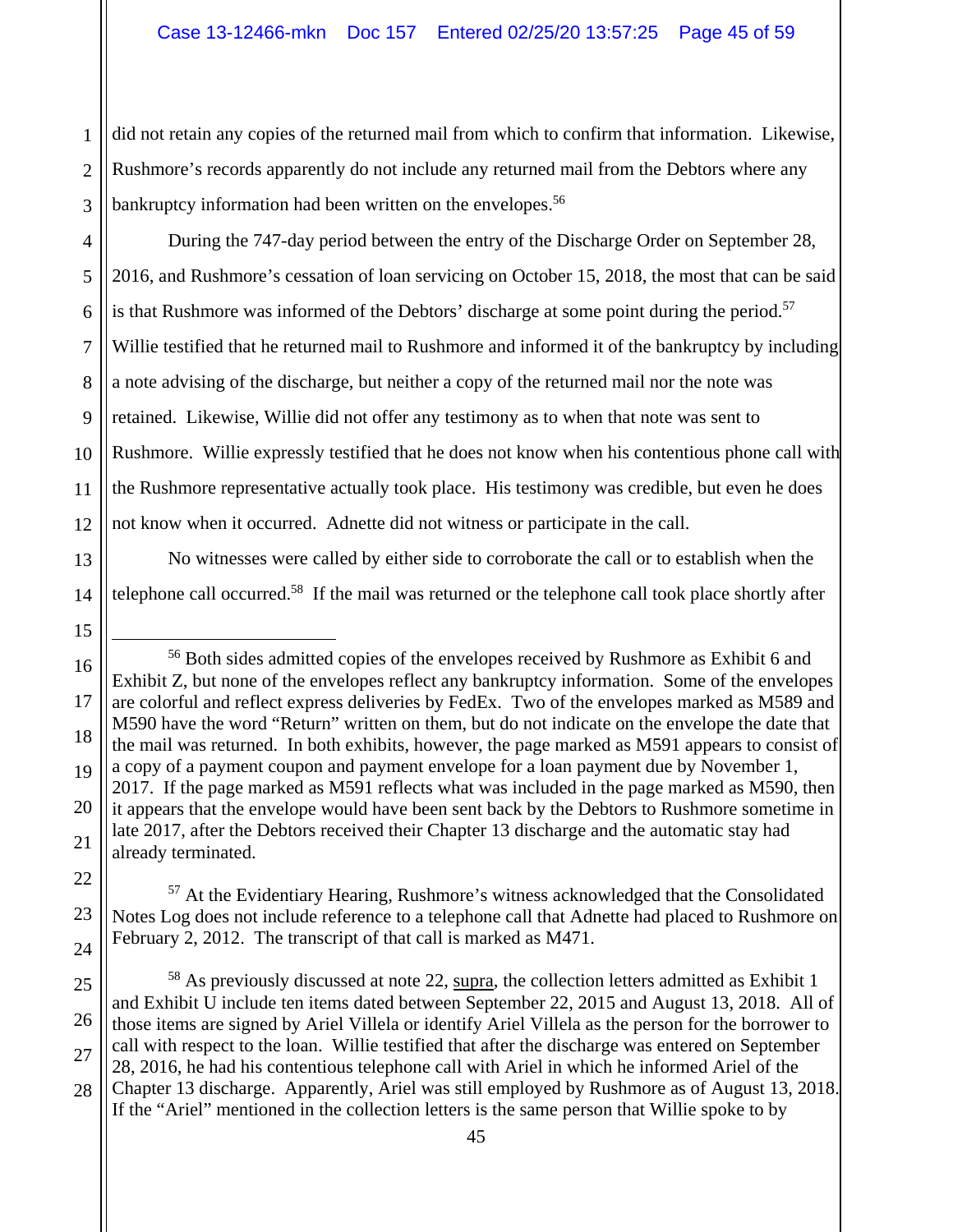1 2 3 did not retain any copies of the returned mail from which to confirm that information. Likewise, Rushmore's records apparently do not include any returned mail from the Debtors where any bankruptcy information had been written on the envelopes.<sup>56</sup>

4 5 6 7 8 9 10 11 12 During the 747-day period between the entry of the Discharge Order on September 28, 2016, and Rushmore's cessation of loan servicing on October 15, 2018, the most that can be said is that Rushmore was informed of the Debtors' discharge at some point during the period.<sup>57</sup> Willie testified that he returned mail to Rushmore and informed it of the bankruptcy by including a note advising of the discharge, but neither a copy of the returned mail nor the note was retained. Likewise, Willie did not offer any testimony as to when that note was sent to Rushmore. Willie expressly testified that he does not know when his contentious phone call with the Rushmore representative actually took place. His testimony was credible, but even he does not know when it occurred. Adnette did not witness or participate in the call.

No witnesses were called by either side to corroborate the call or to establish when the telephone call occurred.<sup>58</sup> If the mail was returned or the telephone call took place shortly after

15

16

17

18

19

20

21

22

23

24

14

13

<sup>57</sup> At the Evidentiary Hearing, Rushmore's witness acknowledged that the Consolidated Notes Log does not include reference to a telephone call that Adnette had placed to Rushmore on February 2, 2012. The transcript of that call is marked as M471.

 <sup>56</sup> Both sides admitted copies of the envelopes received by Rushmore as Exhibit 6 and Exhibit Z, but none of the envelopes reflect any bankruptcy information. Some of the envelopes are colorful and reflect express deliveries by FedEx. Two of the envelopes marked as M589 and M590 have the word "Return" written on them, but do not indicate on the envelope the date that the mail was returned. In both exhibits, however, the page marked as M591 appears to consist of a copy of a payment coupon and payment envelope for a loan payment due by November 1, 2017. If the page marked as M591 reflects what was included in the page marked as M590, then it appears that the envelope would have been sent back by the Debtors to Rushmore sometime in late 2017, after the Debtors received their Chapter 13 discharge and the automatic stay had already terminated.

<sup>25</sup> 26 27 28 <sup>58</sup> As previously discussed at note 22, supra, the collection letters admitted as Exhibit 1 and Exhibit U include ten items dated between September 22, 2015 and August 13, 2018. All of those items are signed by Ariel Villela or identify Ariel Villela as the person for the borrower to call with respect to the loan. Willie testified that after the discharge was entered on September 28, 2016, he had his contentious telephone call with Ariel in which he informed Ariel of the Chapter 13 discharge. Apparently, Ariel was still employed by Rushmore as of August 13, 2018. If the "Ariel" mentioned in the collection letters is the same person that Willie spoke to by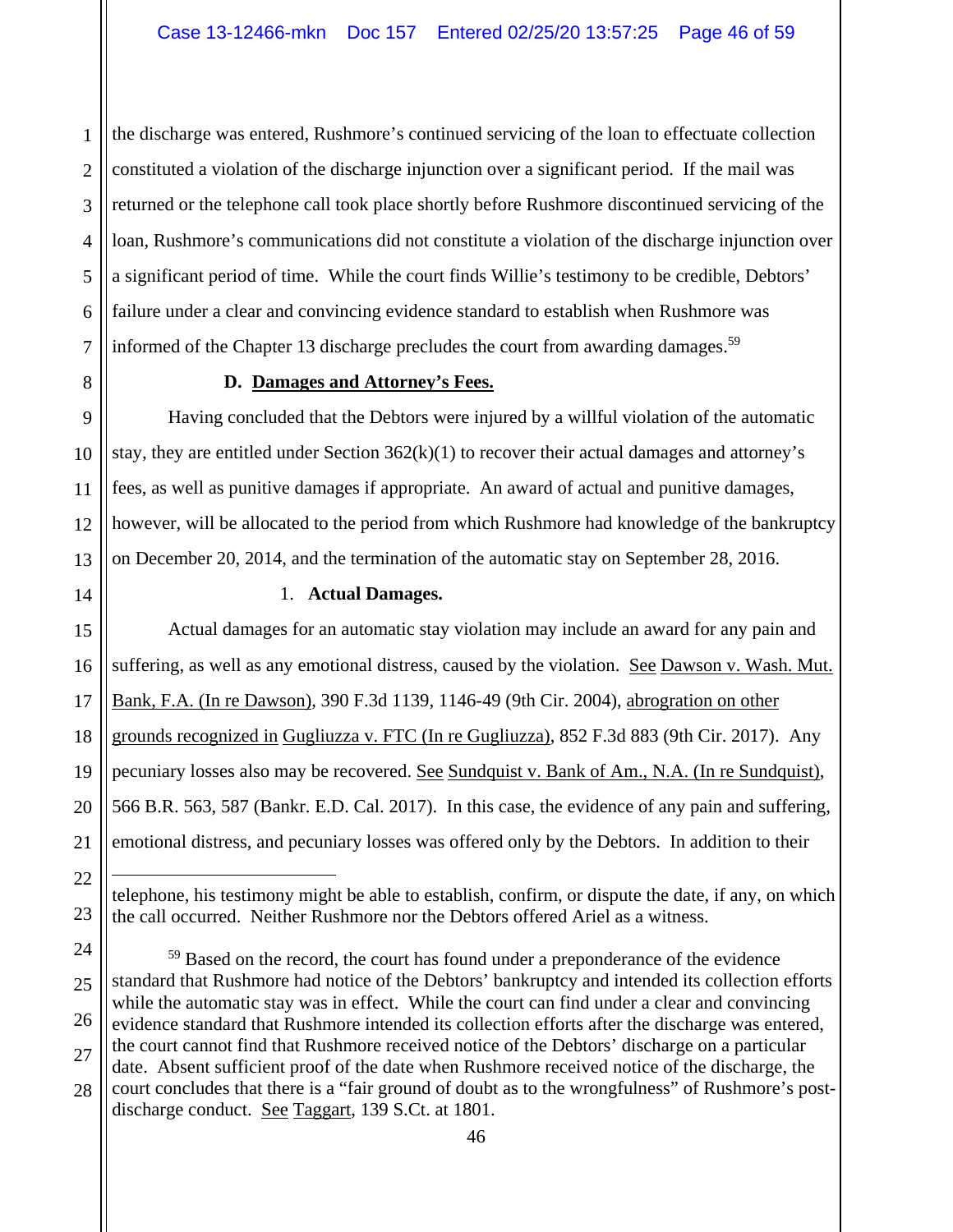1 2 3 4 5 6 7 the discharge was entered, Rushmore's continued servicing of the loan to effectuate collection constituted a violation of the discharge injunction over a significant period. If the mail was returned or the telephone call took place shortly before Rushmore discontinued servicing of the loan, Rushmore's communications did not constitute a violation of the discharge injunction over a significant period of time. While the court finds Willie's testimony to be credible, Debtors' failure under a clear and convincing evidence standard to establish when Rushmore was informed of the Chapter 13 discharge precludes the court from awarding damages.<sup>59</sup>

22

23

#### **D. Damages and Attorney's Fees.**

Having concluded that the Debtors were injured by a willful violation of the automatic stay, they are entitled under Section 362(k)(1) to recover their actual damages and attorney's fees, as well as punitive damages if appropriate. An award of actual and punitive damages, however, will be allocated to the period from which Rushmore had knowledge of the bankruptcy on December 20, 2014, and the termination of the automatic stay on September 28, 2016.

## 1. **Actual Damages.**

15 16 17 18 19 20 21 Actual damages for an automatic stay violation may include an award for any pain and suffering, as well as any emotional distress, caused by the violation. See Dawson v. Wash. Mut. Bank, F.A. (In re Dawson), 390 F.3d 1139, 1146-49 (9th Cir. 2004), abrogration on other grounds recognized in Gugliuzza v. FTC (In re Gugliuzza), 852 F.3d 883 (9th Cir. 2017). Any pecuniary losses also may be recovered. See Sundquist v. Bank of Am., N.A. (In re Sundquist), 566 B.R. 563, 587 (Bankr. E.D. Cal. 2017). In this case, the evidence of any pain and suffering, emotional distress, and pecuniary losses was offered only by the Debtors. In addition to their

 $\overline{a}$ telephone, his testimony might be able to establish, confirm, or dispute the date, if any, on which the call occurred. Neither Rushmore nor the Debtors offered Ariel as a witness.

<sup>24</sup> 25 26 27 28 <sup>59</sup> Based on the record, the court has found under a preponderance of the evidence standard that Rushmore had notice of the Debtors' bankruptcy and intended its collection efforts while the automatic stay was in effect. While the court can find under a clear and convincing evidence standard that Rushmore intended its collection efforts after the discharge was entered, the court cannot find that Rushmore received notice of the Debtors' discharge on a particular date. Absent sufficient proof of the date when Rushmore received notice of the discharge, the court concludes that there is a "fair ground of doubt as to the wrongfulness" of Rushmore's postdischarge conduct. <u>See Taggart</u>, 139 S.Ct. at 1801.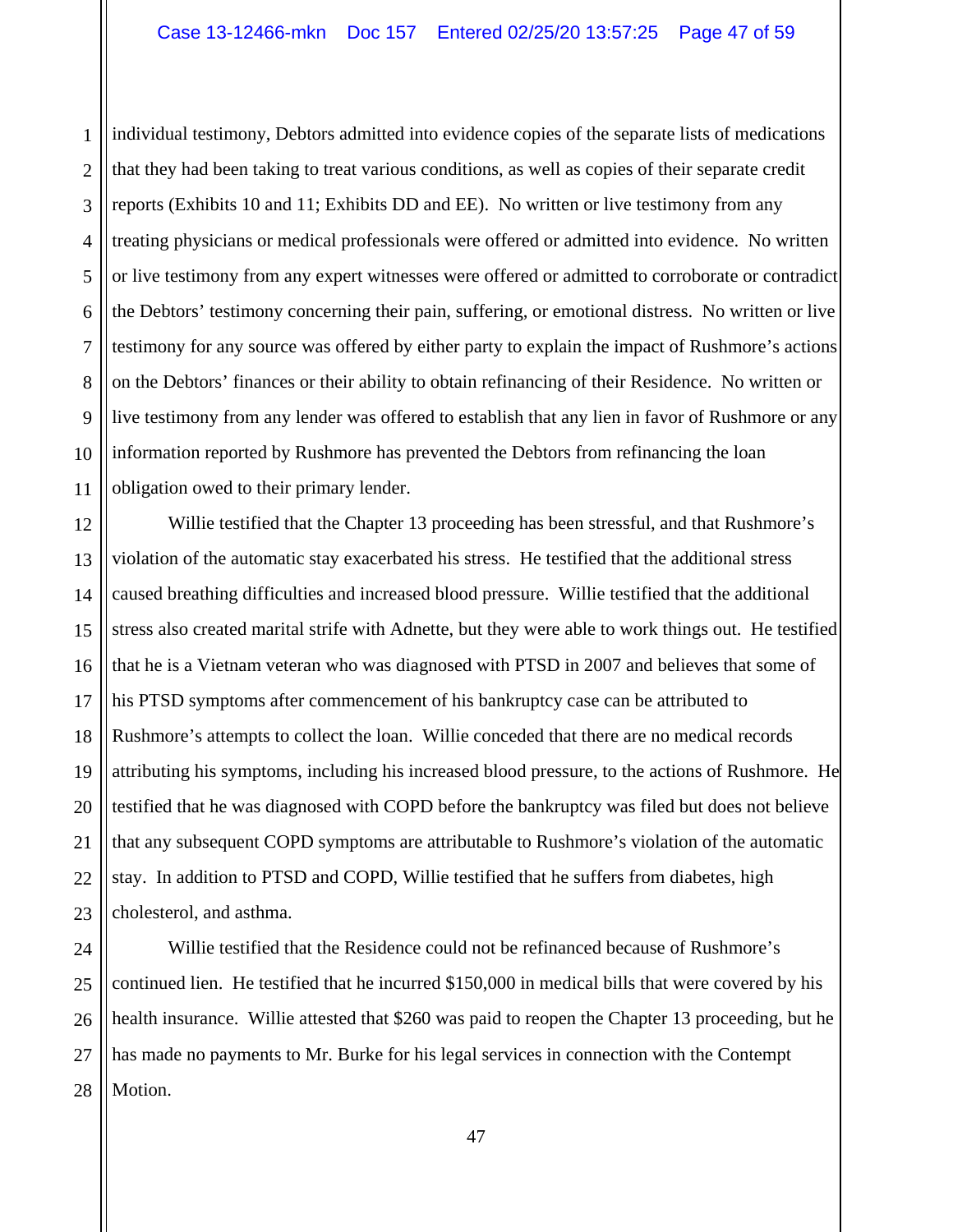1 2 3 4 5 6 7 8 9 10 11 individual testimony, Debtors admitted into evidence copies of the separate lists of medications that they had been taking to treat various conditions, as well as copies of their separate credit reports (Exhibits 10 and 11; Exhibits DD and EE). No written or live testimony from any treating physicians or medical professionals were offered or admitted into evidence. No written or live testimony from any expert witnesses were offered or admitted to corroborate or contradict the Debtors' testimony concerning their pain, suffering, or emotional distress. No written or live testimony for any source was offered by either party to explain the impact of Rushmore's actions on the Debtors' finances or their ability to obtain refinancing of their Residence. No written or live testimony from any lender was offered to establish that any lien in favor of Rushmore or any information reported by Rushmore has prevented the Debtors from refinancing the loan obligation owed to their primary lender.

12 13 14 15 16 17 18 19 20 21 22 23 Willie testified that the Chapter 13 proceeding has been stressful, and that Rushmore's violation of the automatic stay exacerbated his stress. He testified that the additional stress caused breathing difficulties and increased blood pressure. Willie testified that the additional stress also created marital strife with Adnette, but they were able to work things out. He testified that he is a Vietnam veteran who was diagnosed with PTSD in 2007 and believes that some of his PTSD symptoms after commencement of his bankruptcy case can be attributed to Rushmore's attempts to collect the loan. Willie conceded that there are no medical records attributing his symptoms, including his increased blood pressure, to the actions of Rushmore. He testified that he was diagnosed with COPD before the bankruptcy was filed but does not believe that any subsequent COPD symptoms are attributable to Rushmore's violation of the automatic stay. In addition to PTSD and COPD, Willie testified that he suffers from diabetes, high cholesterol, and asthma.

24 25 26 27 28 Willie testified that the Residence could not be refinanced because of Rushmore's continued lien. He testified that he incurred \$150,000 in medical bills that were covered by his health insurance. Willie attested that \$260 was paid to reopen the Chapter 13 proceeding, but he has made no payments to Mr. Burke for his legal services in connection with the Contempt Motion.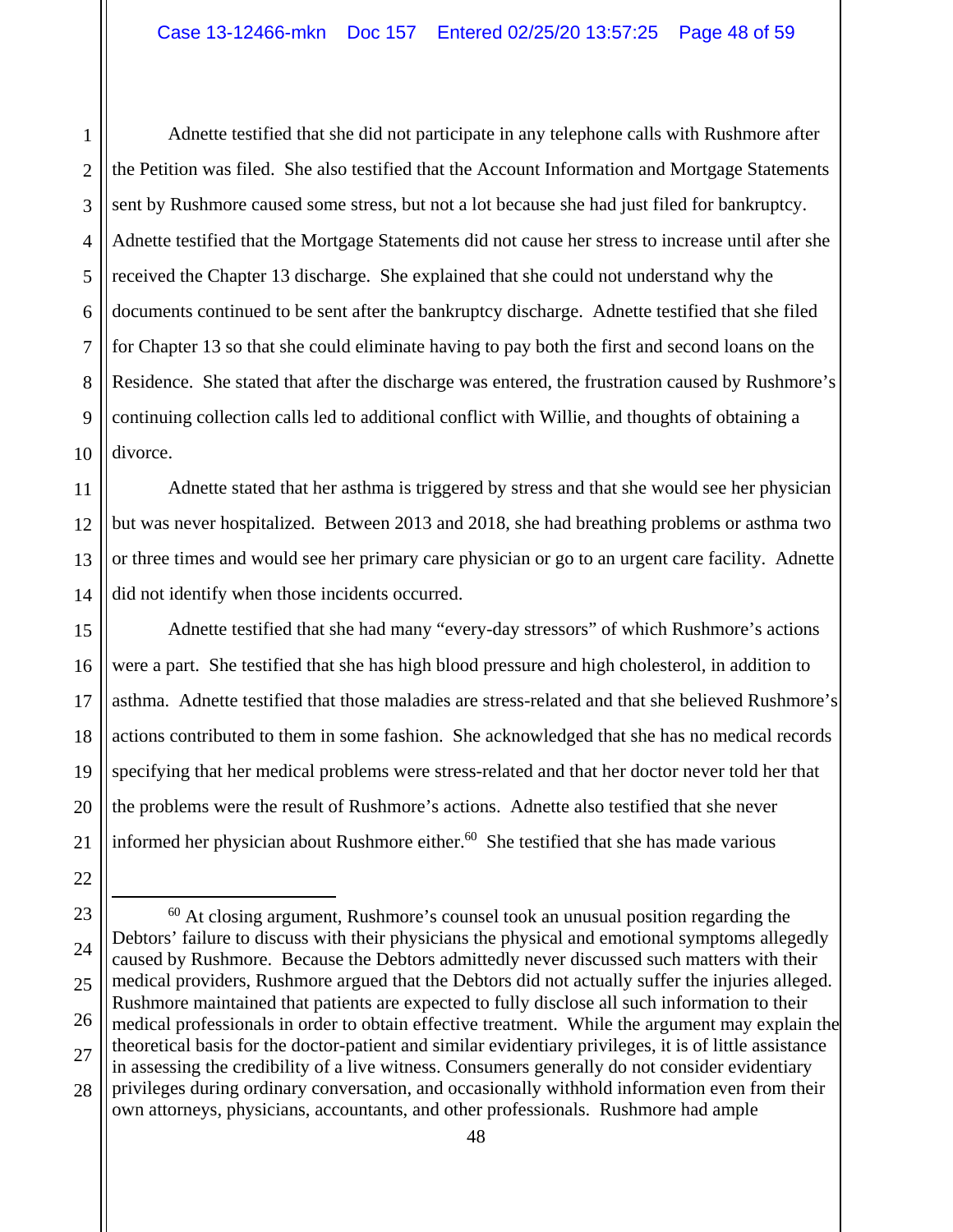2 3 5 Adnette testified that she did not participate in any telephone calls with Rushmore after the Petition was filed. She also testified that the Account Information and Mortgage Statements sent by Rushmore caused some stress, but not a lot because she had just filed for bankruptcy. Adnette testified that the Mortgage Statements did not cause her stress to increase until after she received the Chapter 13 discharge. She explained that she could not understand why the documents continued to be sent after the bankruptcy discharge. Adnette testified that she filed for Chapter 13 so that she could eliminate having to pay both the first and second loans on the Residence. She stated that after the discharge was entered, the frustration caused by Rushmore's continuing collection calls led to additional conflict with Willie, and thoughts of obtaining a divorce.

Adnette stated that her asthma is triggered by stress and that she would see her physician but was never hospitalized. Between 2013 and 2018, she had breathing problems or asthma two or three times and would see her primary care physician or go to an urgent care facility. Adnette did not identify when those incidents occurred.

Adnette testified that she had many "every-day stressors" of which Rushmore's actions were a part. She testified that she has high blood pressure and high cholesterol, in addition to asthma. Adnette testified that those maladies are stress-related and that she believed Rushmore's actions contributed to them in some fashion. She acknowledged that she has no medical records specifying that her medical problems were stress-related and that her doctor never told her that the problems were the result of Rushmore's actions. Adnette also testified that she never informed her physician about Rushmore either. $60$  She testified that she has made various

1

 $60$  At closing argument, Rushmore's counsel took an unusual position regarding the Debtors' failure to discuss with their physicians the physical and emotional symptoms allegedly caused by Rushmore. Because the Debtors admittedly never discussed such matters with their medical providers, Rushmore argued that the Debtors did not actually suffer the injuries alleged. Rushmore maintained that patients are expected to fully disclose all such information to their medical professionals in order to obtain effective treatment. While the argument may explain the theoretical basis for the doctor-patient and similar evidentiary privileges, it is of little assistance in assessing the credibility of a live witness. Consumers generally do not consider evidentiary privileges during ordinary conversation, and occasionally withhold information even from their own attorneys, physicians, accountants, and other professionals. Rushmore had ample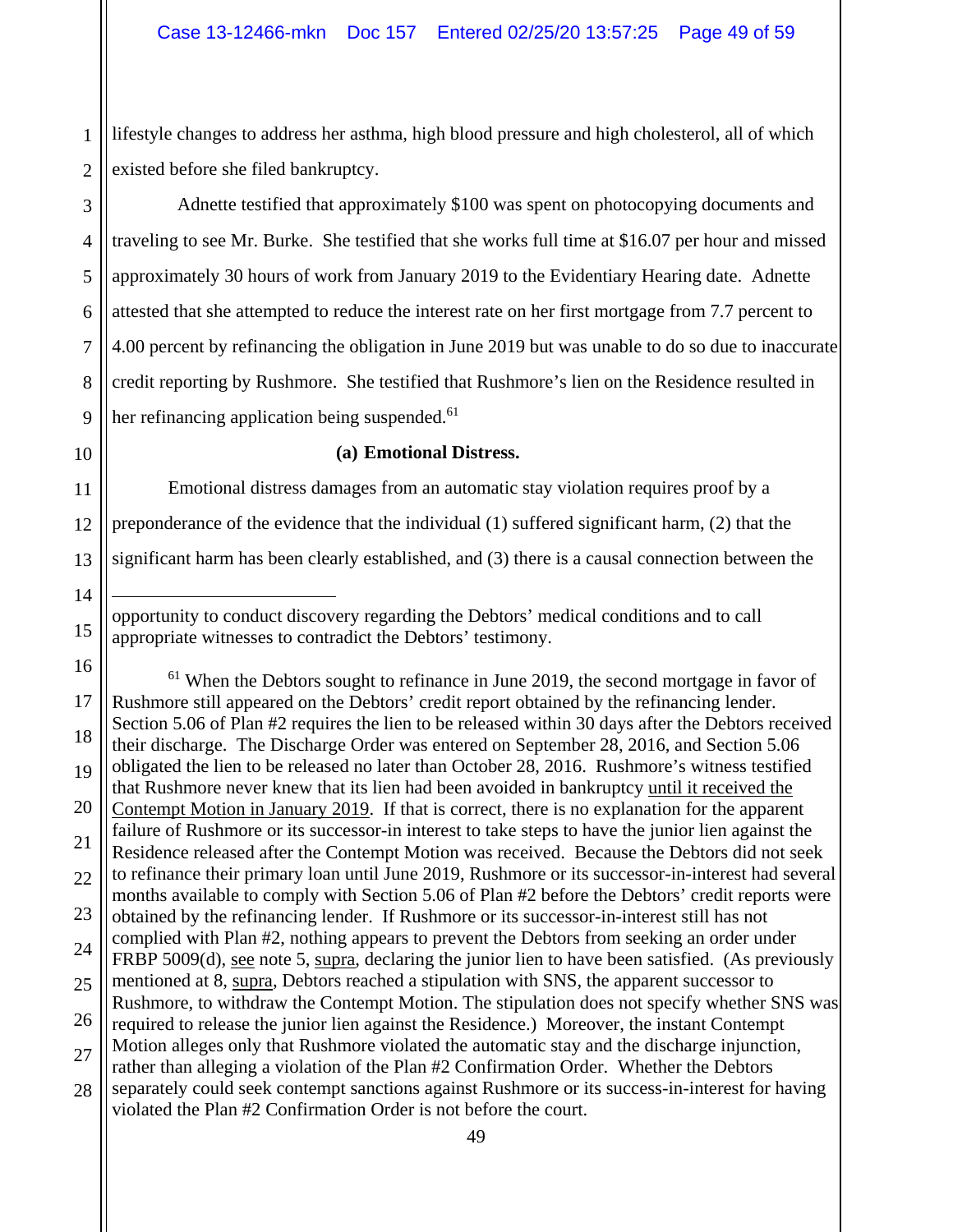1 2 lifestyle changes to address her asthma, high blood pressure and high cholesterol, all of which existed before she filed bankruptcy.

3 5 6 7 8 9 Adnette testified that approximately \$100 was spent on photocopying documents and traveling to see Mr. Burke. She testified that she works full time at \$16.07 per hour and missed approximately 30 hours of work from January 2019 to the Evidentiary Hearing date. Adnette attested that she attempted to reduce the interest rate on her first mortgage from 7.7 percent to 4.00 percent by refinancing the obligation in June 2019 but was unable to do so due to inaccurate credit reporting by Rushmore. She testified that Rushmore's lien on the Residence resulted in her refinancing application being suspended.<sup>61</sup>

10

14

 $\overline{a}$ 

15

4

#### **(a) Emotional Distress.**

11 12 13 Emotional distress damages from an automatic stay violation requires proof by a preponderance of the evidence that the individual (1) suffered significant harm, (2) that the significant harm has been clearly established, and (3) there is a causal connection between the

opportunity to conduct discovery regarding the Debtors' medical conditions and to call appropriate witnesses to contradict the Debtors' testimony.

16 17 18 19 20 21 22 23 24 25 26 27 28  $61$  When the Debtors sought to refinance in June 2019, the second mortgage in favor of Rushmore still appeared on the Debtors' credit report obtained by the refinancing lender. Section 5.06 of Plan #2 requires the lien to be released within 30 days after the Debtors received their discharge. The Discharge Order was entered on September 28, 2016, and Section 5.06 obligated the lien to be released no later than October 28, 2016. Rushmore's witness testified that Rushmore never knew that its lien had been avoided in bankruptcy until it received the Contempt Motion in January 2019. If that is correct, there is no explanation for the apparent failure of Rushmore or its successor-in interest to take steps to have the junior lien against the Residence released after the Contempt Motion was received. Because the Debtors did not seek to refinance their primary loan until June 2019, Rushmore or its successor-in-interest had several months available to comply with Section 5.06 of Plan #2 before the Debtors' credit reports were obtained by the refinancing lender. If Rushmore or its successor-in-interest still has not complied with Plan #2, nothing appears to prevent the Debtors from seeking an order under FRBP 5009(d), see note 5, supra, declaring the junior lien to have been satisfied. (As previously mentioned at 8, supra, Debtors reached a stipulation with SNS, the apparent successor to Rushmore, to withdraw the Contempt Motion. The stipulation does not specify whether SNS was required to release the junior lien against the Residence.) Moreover, the instant Contempt Motion alleges only that Rushmore violated the automatic stay and the discharge injunction, rather than alleging a violation of the Plan #2 Confirmation Order. Whether the Debtors separately could seek contempt sanctions against Rushmore or its success-in-interest for having violated the Plan #2 Confirmation Order is not before the court.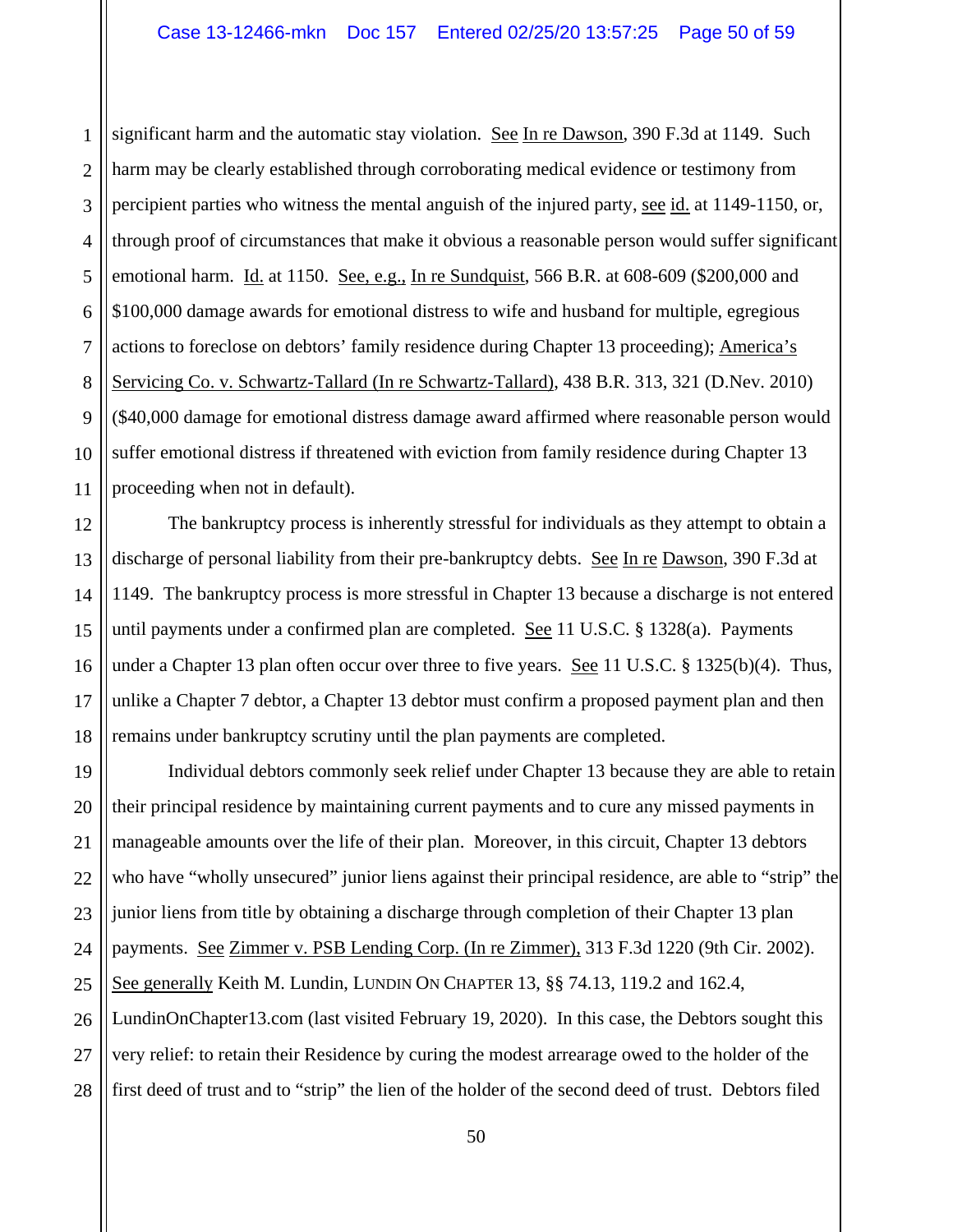1 2 3 4 5 6 7 8 9 10 11 significant harm and the automatic stay violation. See In re Dawson, 390 F.3d at 1149. Such harm may be clearly established through corroborating medical evidence or testimony from percipient parties who witness the mental anguish of the injured party, see id. at 1149-1150, or, through proof of circumstances that make it obvious a reasonable person would suffer significant emotional harm. Id. at 1150. See, e.g., In re Sundquist, 566 B.R. at 608-609 (\$200,000 and \$100,000 damage awards for emotional distress to wife and husband for multiple, egregious actions to foreclose on debtors' family residence during Chapter 13 proceeding); America's Servicing Co. v. Schwartz-Tallard (In re Schwartz-Tallard), 438 B.R. 313, 321 (D.Nev. 2010) (\$40,000 damage for emotional distress damage award affirmed where reasonable person would suffer emotional distress if threatened with eviction from family residence during Chapter 13 proceeding when not in default).

12 13 14 15 16 17 18 The bankruptcy process is inherently stressful for individuals as they attempt to obtain a discharge of personal liability from their pre-bankruptcy debts. See In re Dawson, 390 F.3d at 1149. The bankruptcy process is more stressful in Chapter 13 because a discharge is not entered until payments under a confirmed plan are completed. See 11 U.S.C. § 1328(a). Payments under a Chapter 13 plan often occur over three to five years. See 11 U.S.C. § 1325(b)(4). Thus, unlike a Chapter 7 debtor, a Chapter 13 debtor must confirm a proposed payment plan and then remains under bankruptcy scrutiny until the plan payments are completed.

19 20 21 22 23 24 25 26 27 28 Individual debtors commonly seek relief under Chapter 13 because they are able to retain their principal residence by maintaining current payments and to cure any missed payments in manageable amounts over the life of their plan. Moreover, in this circuit, Chapter 13 debtors who have "wholly unsecured" junior liens against their principal residence, are able to "strip" the junior liens from title by obtaining a discharge through completion of their Chapter 13 plan payments. See Zimmer v. PSB Lending Corp. (In re Zimmer), 313 F.3d 1220 (9th Cir. 2002). See generally Keith M. Lundin, LUNDIN ON CHAPTER 13, §§ 74.13, 119.2 and 162.4, LundinOnChapter13.com (last visited February 19, 2020). In this case, the Debtors sought this very relief: to retain their Residence by curing the modest arrearage owed to the holder of the first deed of trust and to "strip" the lien of the holder of the second deed of trust. Debtors filed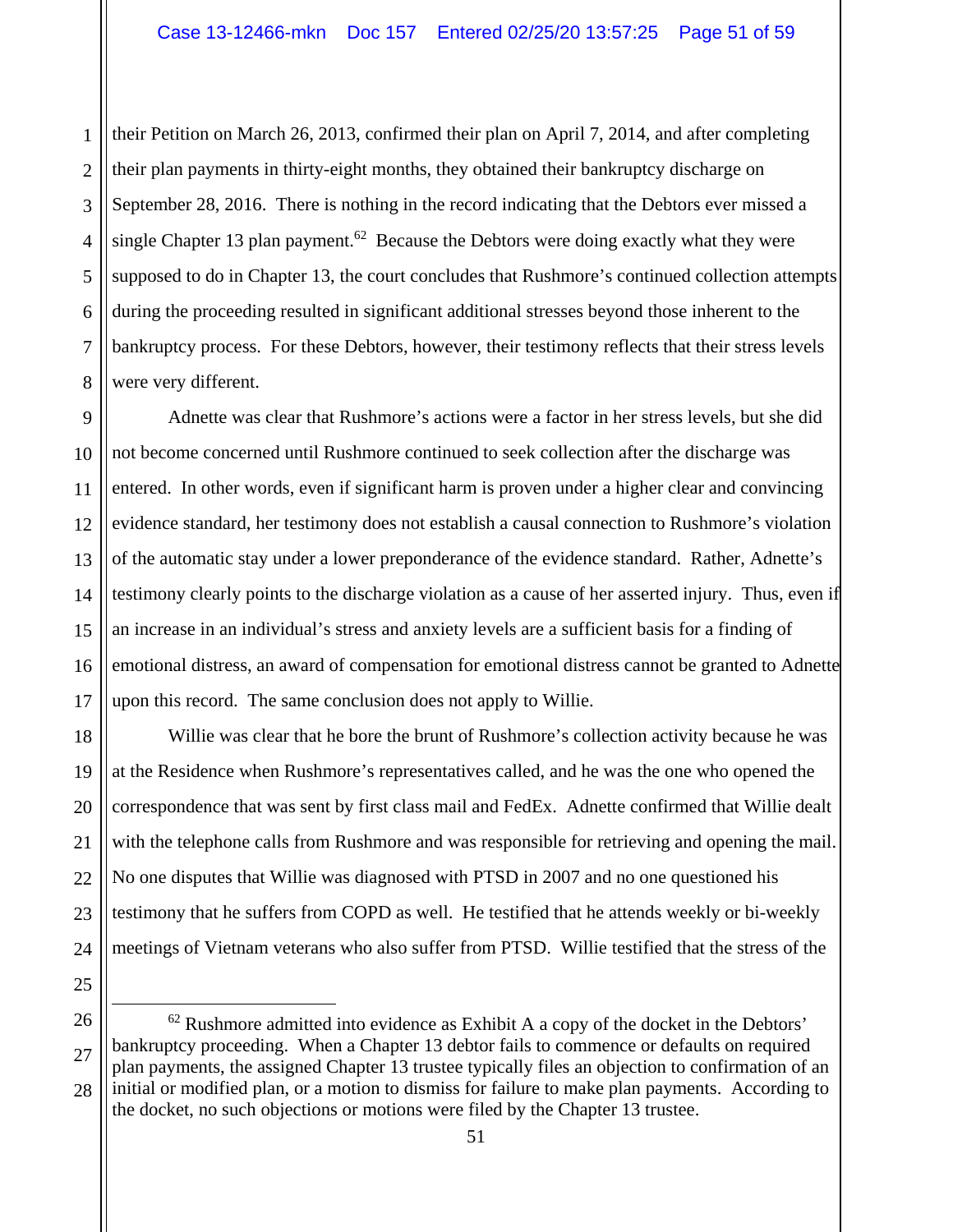1 2 3 4 5 6 7 8 their Petition on March 26, 2013, confirmed their plan on April 7, 2014, and after completing their plan payments in thirty-eight months, they obtained their bankruptcy discharge on September 28, 2016. There is nothing in the record indicating that the Debtors ever missed a single Chapter 13 plan payment.<sup>62</sup> Because the Debtors were doing exactly what they were supposed to do in Chapter 13, the court concludes that Rushmore's continued collection attempts during the proceeding resulted in significant additional stresses beyond those inherent to the bankruptcy process. For these Debtors, however, their testimony reflects that their stress levels were very different.

9 10 11 12 13 14 15 16 17 Adnette was clear that Rushmore's actions were a factor in her stress levels, but she did not become concerned until Rushmore continued to seek collection after the discharge was entered. In other words, even if significant harm is proven under a higher clear and convincing evidence standard, her testimony does not establish a causal connection to Rushmore's violation of the automatic stay under a lower preponderance of the evidence standard. Rather, Adnette's testimony clearly points to the discharge violation as a cause of her asserted injury. Thus, even if an increase in an individual's stress and anxiety levels are a sufficient basis for a finding of emotional distress, an award of compensation for emotional distress cannot be granted to Adnette upon this record. The same conclusion does not apply to Willie.

Willie was clear that he bore the brunt of Rushmore's collection activity because he was at the Residence when Rushmore's representatives called, and he was the one who opened the correspondence that was sent by first class mail and FedEx. Adnette confirmed that Willie dealt with the telephone calls from Rushmore and was responsible for retrieving and opening the mail. No one disputes that Willie was diagnosed with PTSD in 2007 and no one questioned his testimony that he suffers from COPD as well. He testified that he attends weekly or bi-weekly meetings of Vietnam veterans who also suffer from PTSD. Willie testified that the stress of the

25 26

18

19

20

21

22

23

<sup>27</sup> 28  $62$  Rushmore admitted into evidence as Exhibit A a copy of the docket in the Debtors' bankruptcy proceeding. When a Chapter 13 debtor fails to commence or defaults on required plan payments, the assigned Chapter 13 trustee typically files an objection to confirmation of an initial or modified plan, or a motion to dismiss for failure to make plan payments. According to the docket, no such objections or motions were filed by the Chapter 13 trustee.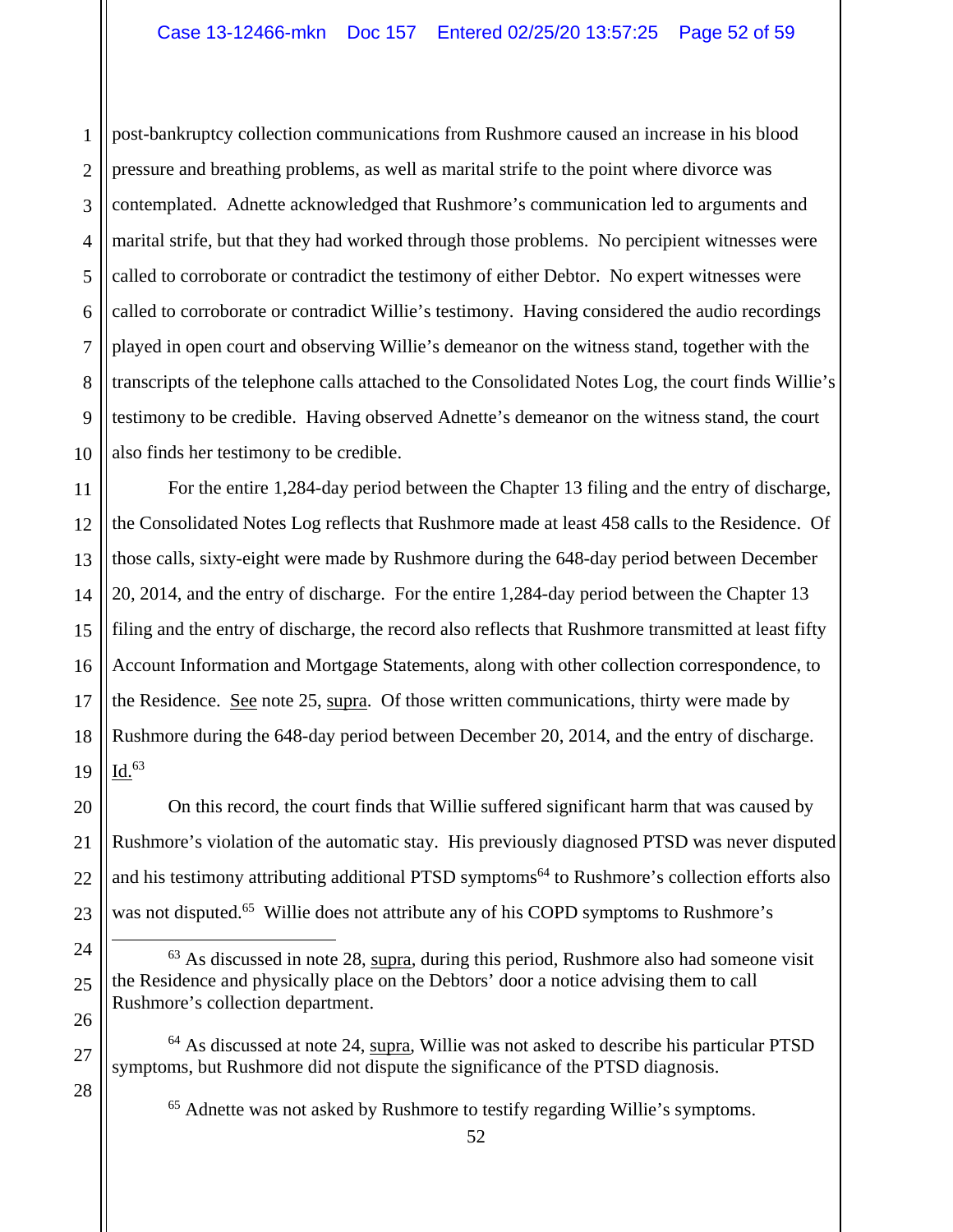1 2 3 4 5 6 7 8 9 10 post-bankruptcy collection communications from Rushmore caused an increase in his blood pressure and breathing problems, as well as marital strife to the point where divorce was contemplated. Adnette acknowledged that Rushmore's communication led to arguments and marital strife, but that they had worked through those problems. No percipient witnesses were called to corroborate or contradict the testimony of either Debtor. No expert witnesses were called to corroborate or contradict Willie's testimony. Having considered the audio recordings played in open court and observing Willie's demeanor on the witness stand, together with the transcripts of the telephone calls attached to the Consolidated Notes Log, the court finds Willie's testimony to be credible. Having observed Adnette's demeanor on the witness stand, the court also finds her testimony to be credible.

11 12 13 14 15 16 17 18 19 For the entire 1,284-day period between the Chapter 13 filing and the entry of discharge, the Consolidated Notes Log reflects that Rushmore made at least 458 calls to the Residence. Of those calls, sixty-eight were made by Rushmore during the 648-day period between December 20, 2014, and the entry of discharge. For the entire 1,284-day period between the Chapter 13 filing and the entry of discharge, the record also reflects that Rushmore transmitted at least fifty Account Information and Mortgage Statements, along with other collection correspondence, to the Residence. See note 25, supra. Of those written communications, thirty were made by Rushmore during the 648-day period between December 20, 2014, and the entry of discharge.  $Id.<sup>63</sup>$ 

20 21 22 23 On this record, the court finds that Willie suffered significant harm that was caused by Rushmore's violation of the automatic stay. His previously diagnosed PTSD was never disputed and his testimony attributing additional PTSD symptoms<sup>64</sup> to Rushmore's collection efforts also was not disputed.<sup>65</sup> Willie does not attribute any of his COPD symptoms to Rushmore's

24 25 26  $63$  As discussed in note 28, supra, during this period, Rushmore also had someone visit the Residence and physically place on the Debtors' door a notice advising them to call Rushmore's collection department.

64 As discussed at note 24, supra, Willie was not asked to describe his particular PTSD symptoms, but Rushmore did not dispute the significance of the PTSD diagnosis.

27

28

65 Adnette was not asked by Rushmore to testify regarding Willie's symptoms.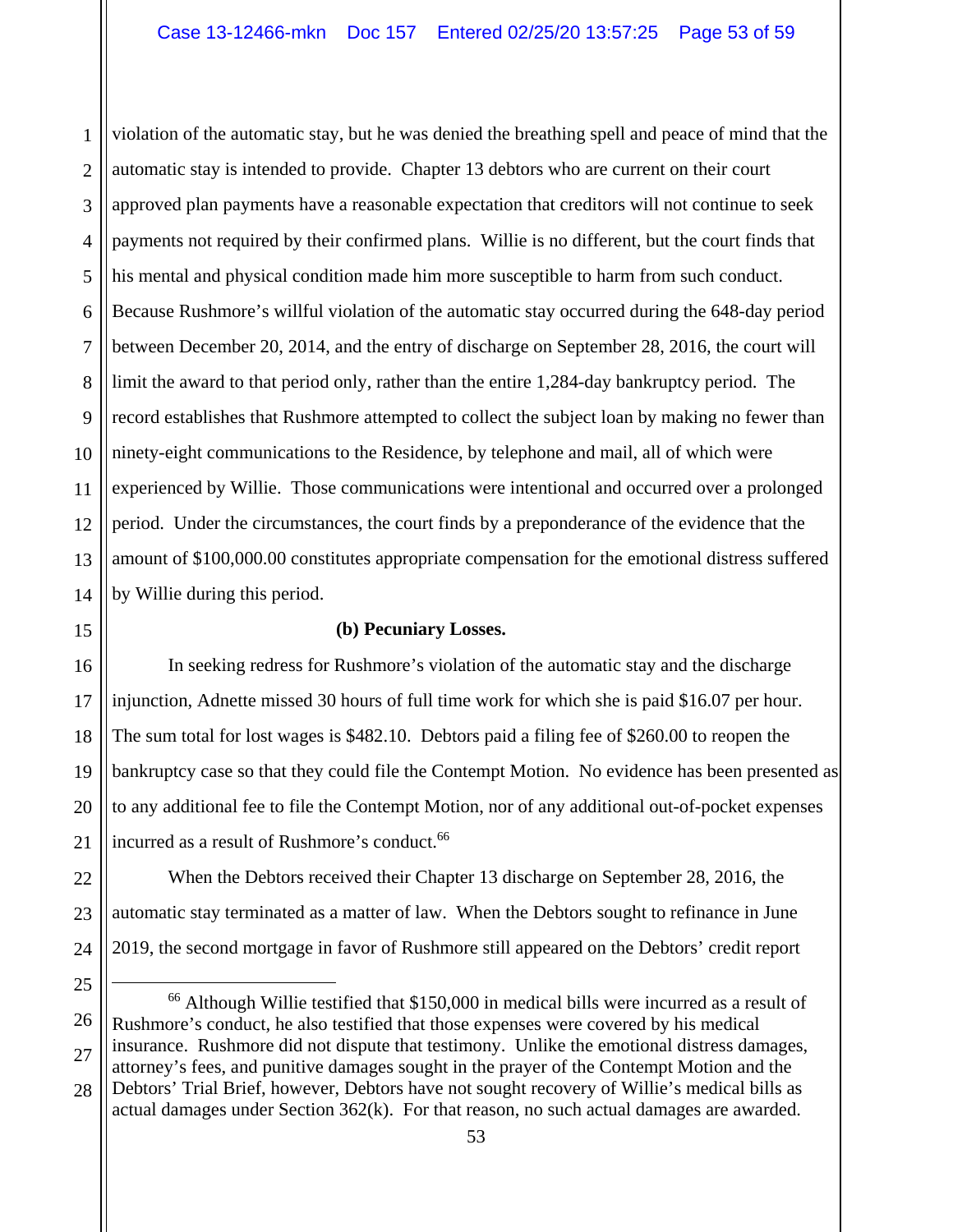1 2 3 4 5 6 7 8 9 10 11 12 13 14 violation of the automatic stay, but he was denied the breathing spell and peace of mind that the automatic stay is intended to provide. Chapter 13 debtors who are current on their court approved plan payments have a reasonable expectation that creditors will not continue to seek payments not required by their confirmed plans. Willie is no different, but the court finds that his mental and physical condition made him more susceptible to harm from such conduct. Because Rushmore's willful violation of the automatic stay occurred during the 648-day period between December 20, 2014, and the entry of discharge on September 28, 2016, the court will limit the award to that period only, rather than the entire 1,284-day bankruptcy period. The record establishes that Rushmore attempted to collect the subject loan by making no fewer than ninety-eight communications to the Residence, by telephone and mail, all of which were experienced by Willie. Those communications were intentional and occurred over a prolonged period. Under the circumstances, the court finds by a preponderance of the evidence that the amount of \$100,000.00 constitutes appropriate compensation for the emotional distress suffered by Willie during this period.

15

17

18

20

21

22

23

24

25

## **(b) Pecuniary Losses.**

16 19 In seeking redress for Rushmore's violation of the automatic stay and the discharge injunction, Adnette missed 30 hours of full time work for which she is paid \$16.07 per hour. The sum total for lost wages is \$482.10. Debtors paid a filing fee of \$260.00 to reopen the bankruptcy case so that they could file the Contempt Motion. No evidence has been presented as to any additional fee to file the Contempt Motion, nor of any additional out-of-pocket expenses incurred as a result of Rushmore's conduct.<sup>66</sup>

When the Debtors received their Chapter 13 discharge on September 28, 2016, the automatic stay terminated as a matter of law. When the Debtors sought to refinance in June 2019, the second mortgage in favor of Rushmore still appeared on the Debtors' credit report

<sup>26</sup> 27 28 66 Although Willie testified that \$150,000 in medical bills were incurred as a result of Rushmore's conduct, he also testified that those expenses were covered by his medical insurance. Rushmore did not dispute that testimony. Unlike the emotional distress damages, attorney's fees, and punitive damages sought in the prayer of the Contempt Motion and the Debtors' Trial Brief, however, Debtors have not sought recovery of Willie's medical bills as

actual damages under Section 362(k). For that reason, no such actual damages are awarded.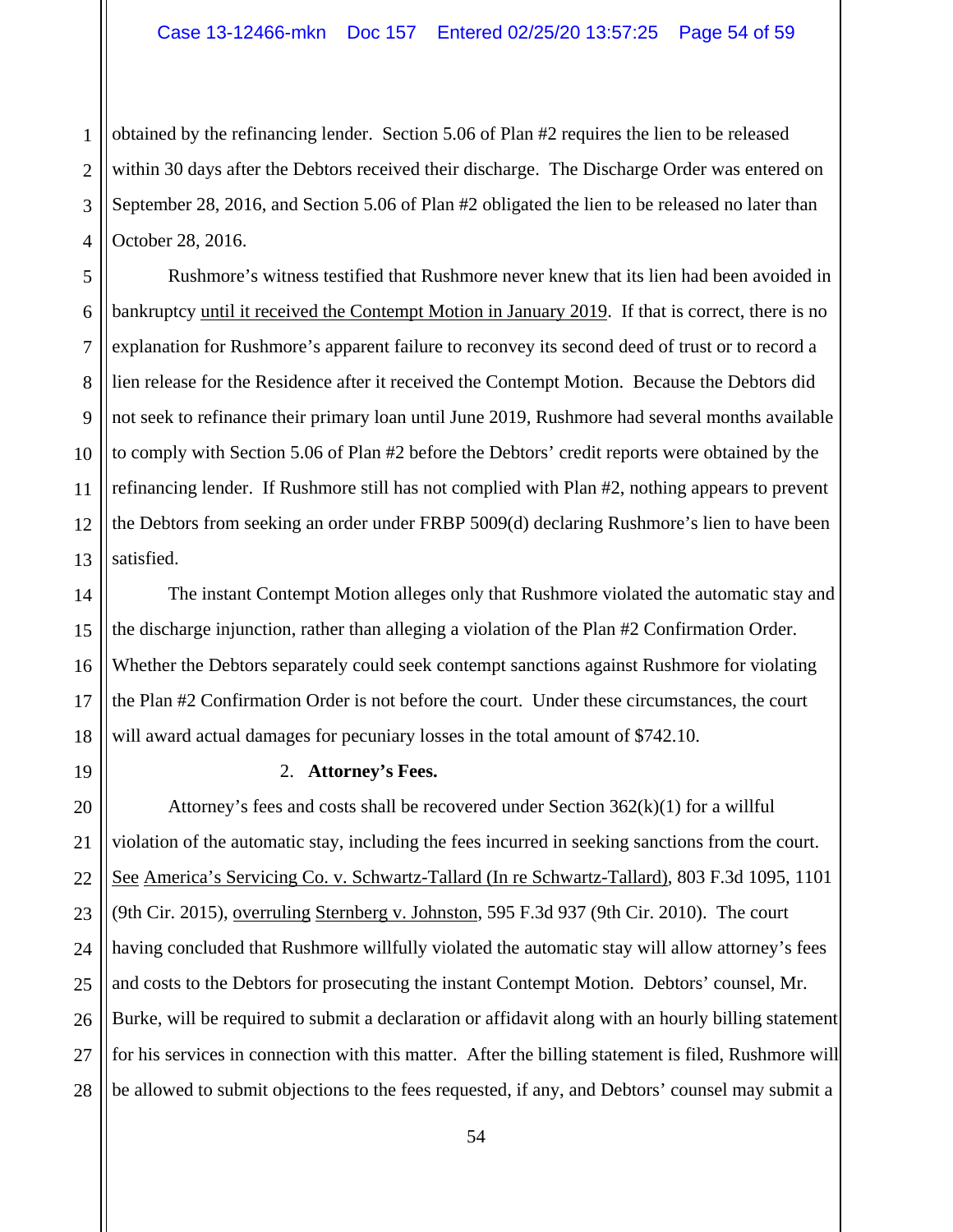1 2 3 4 obtained by the refinancing lender. Section 5.06 of Plan #2 requires the lien to be released within 30 days after the Debtors received their discharge. The Discharge Order was entered on September 28, 2016, and Section 5.06 of Plan #2 obligated the lien to be released no later than October 28, 2016.

5 6 7 8 9 10 11 12 13 Rushmore's witness testified that Rushmore never knew that its lien had been avoided in bankruptcy until it received the Contempt Motion in January 2019. If that is correct, there is no explanation for Rushmore's apparent failure to reconvey its second deed of trust or to record a lien release for the Residence after it received the Contempt Motion. Because the Debtors did not seek to refinance their primary loan until June 2019, Rushmore had several months available to comply with Section 5.06 of Plan #2 before the Debtors' credit reports were obtained by the refinancing lender. If Rushmore still has not complied with Plan #2, nothing appears to prevent the Debtors from seeking an order under FRBP 5009(d) declaring Rushmore's lien to have been satisfied.

14 16 18 The instant Contempt Motion alleges only that Rushmore violated the automatic stay and the discharge injunction, rather than alleging a violation of the Plan #2 Confirmation Order. Whether the Debtors separately could seek contempt sanctions against Rushmore for violating the Plan #2 Confirmation Order is not before the court. Under these circumstances, the court will award actual damages for pecuniary losses in the total amount of \$742.10.

15

17

19

## 2. **Attorney's Fees.**

20 21 22 23 24 25 26 27 28 Attorney's fees and costs shall be recovered under Section  $362(k)(1)$  for a willful violation of the automatic stay, including the fees incurred in seeking sanctions from the court. See America's Servicing Co. v. Schwartz-Tallard (In re Schwartz-Tallard), 803 F.3d 1095, 1101 (9th Cir. 2015), overruling Sternberg v. Johnston, 595 F.3d 937 (9th Cir. 2010). The court having concluded that Rushmore willfully violated the automatic stay will allow attorney's fees and costs to the Debtors for prosecuting the instant Contempt Motion. Debtors' counsel, Mr. Burke, will be required to submit a declaration or affidavit along with an hourly billing statement for his services in connection with this matter. After the billing statement is filed, Rushmore will be allowed to submit objections to the fees requested, if any, and Debtors' counsel may submit a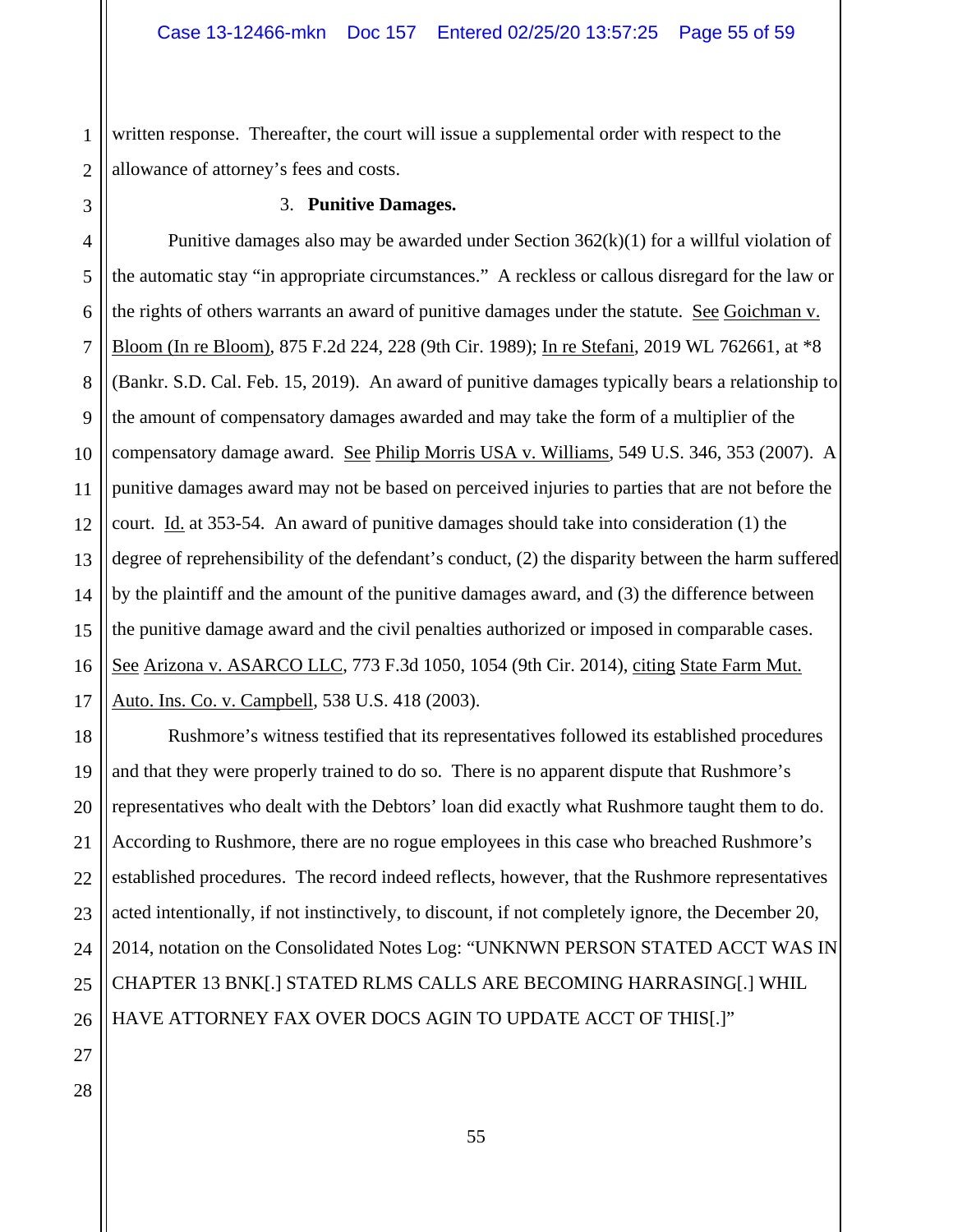1 2 written response. Thereafter, the court will issue a supplemental order with respect to the allowance of attorney's fees and costs.

#### 3. **Punitive Damages.**

4 5 6 7 8 9 Punitive damages also may be awarded under Section  $362(k)(1)$  for a willful violation of the automatic stay "in appropriate circumstances." A reckless or callous disregard for the law or the rights of others warrants an award of punitive damages under the statute. See Goichman v. Bloom (In re Bloom), 875 F.2d 224, 228 (9th Cir. 1989); In re Stefani, 2019 WL 762661, at \*8 (Bankr. S.D. Cal. Feb. 15, 2019). An award of punitive damages typically bears a relationship to the amount of compensatory damages awarded and may take the form of a multiplier of the compensatory damage award. See Philip Morris USA v. Williams, 549 U.S. 346, 353 (2007). A punitive damages award may not be based on perceived injuries to parties that are not before the court. Id. at 353-54. An award of punitive damages should take into consideration (1) the degree of reprehensibility of the defendant's conduct, (2) the disparity between the harm suffered by the plaintiff and the amount of the punitive damages award, and (3) the difference between the punitive damage award and the civil penalties authorized or imposed in comparable cases. See Arizona v. ASARCO LLC, 773 F.3d 1050, 1054 (9th Cir. 2014), citing State Farm Mut. Auto. Ins. Co. v. Campbell, 538 U.S. 418 (2003).

Rushmore's witness testified that its representatives followed its established procedures and that they were properly trained to do so. There is no apparent dispute that Rushmore's representatives who dealt with the Debtors' loan did exactly what Rushmore taught them to do. According to Rushmore, there are no rogue employees in this case who breached Rushmore's established procedures. The record indeed reflects, however, that the Rushmore representatives acted intentionally, if not instinctively, to discount, if not completely ignore, the December 20, 2014, notation on the Consolidated Notes Log: "UNKNWN PERSON STATED ACCT WAS IN CHAPTER 13 BNK[.] STATED RLMS CALLS ARE BECOMING HARRASING[.] WHIL HAVE ATTORNEY FAX OVER DOCS AGIN TO UPDATE ACCT OF THIS[.]"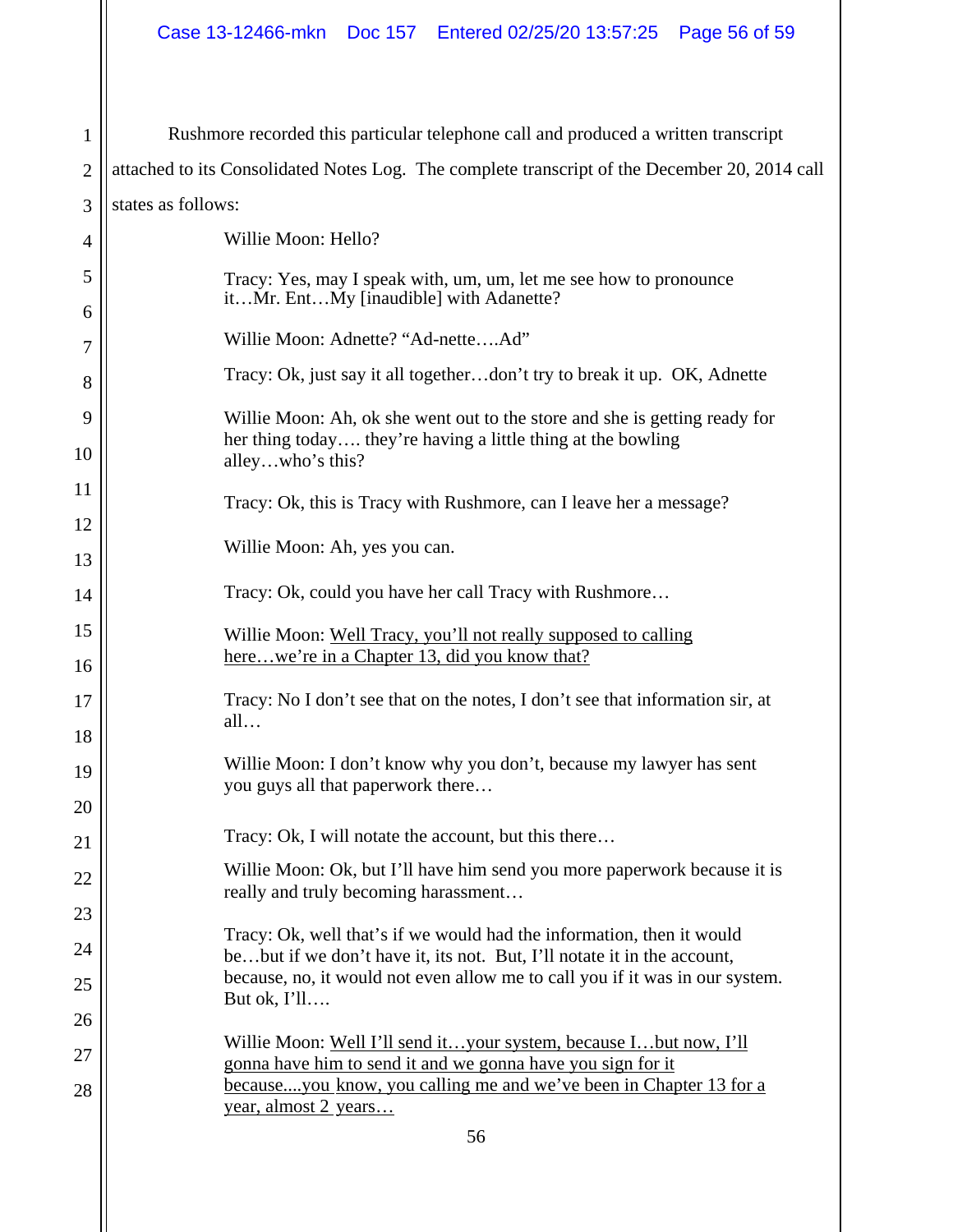| $\mathbf{1}$   | Rushmore recorded this particular telephone call and produced a written transcript                                                                             |
|----------------|----------------------------------------------------------------------------------------------------------------------------------------------------------------|
| $\overline{2}$ | attached to its Consolidated Notes Log. The complete transcript of the December 20, 2014 call                                                                  |
| 3              | states as follows:                                                                                                                                             |
| 4              | Willie Moon: Hello?                                                                                                                                            |
| 5              | Tracy: Yes, may I speak with, um, um, let me see how to pronounce<br>itMr. EntMy [inaudible] with Adanette?                                                    |
| 6              | Willie Moon: Adnette? "Ad-netteAd"                                                                                                                             |
| 7              | Tracy: Ok, just say it all togetherdon't try to break it up. OK, Adnette                                                                                       |
| 8              |                                                                                                                                                                |
| 9              | Willie Moon: Ah, ok she went out to the store and she is getting ready for<br>her thing today they're having a little thing at the bowling<br>alleywho's this? |
| 10             |                                                                                                                                                                |
| 11             | Tracy: Ok, this is Tracy with Rushmore, can I leave her a message?                                                                                             |
| 12             | Willie Moon: Ah, yes you can.                                                                                                                                  |
| 13             |                                                                                                                                                                |
| 14             | Tracy: Ok, could you have her call Tracy with Rushmore                                                                                                         |
| 15             | Willie Moon: Well Tracy, you'll not really supposed to calling                                                                                                 |
| 16             | herewe're in a Chapter 13, did you know that?                                                                                                                  |
| 17             | Tracy: No I don't see that on the notes, I don't see that information sir, at                                                                                  |
| 18             | all                                                                                                                                                            |
| 19             | Willie Moon: I don't know why you don't, because my lawyer has sent                                                                                            |
| $20\,$         | you guys all that paperwork there                                                                                                                              |
| 21             | Tracy: Ok, I will notate the account, but this there                                                                                                           |
| 22             | Willie Moon: Ok, but I'll have him send you more paperwork because it is                                                                                       |
| 23             | really and truly becoming harassment                                                                                                                           |
| 24             | Tracy: Ok, well that's if we would had the information, then it would<br>bebut if we don't have it, its not. But, I'll notate it in the account,               |
| 25             | because, no, it would not even allow me to call you if it was in our system.<br>But ok, I'll                                                                   |
| 26             |                                                                                                                                                                |
| 27             | Willie Moon: Well I'll send ityour system, because Ibut now, I'll                                                                                              |
| 28             | gonna have him to send it and we gonna have you sign for it<br>becauseyou know, you calling me and we've been in Chapter 13 for a                              |
|                | year, almost 2 years                                                                                                                                           |
|                | 56                                                                                                                                                             |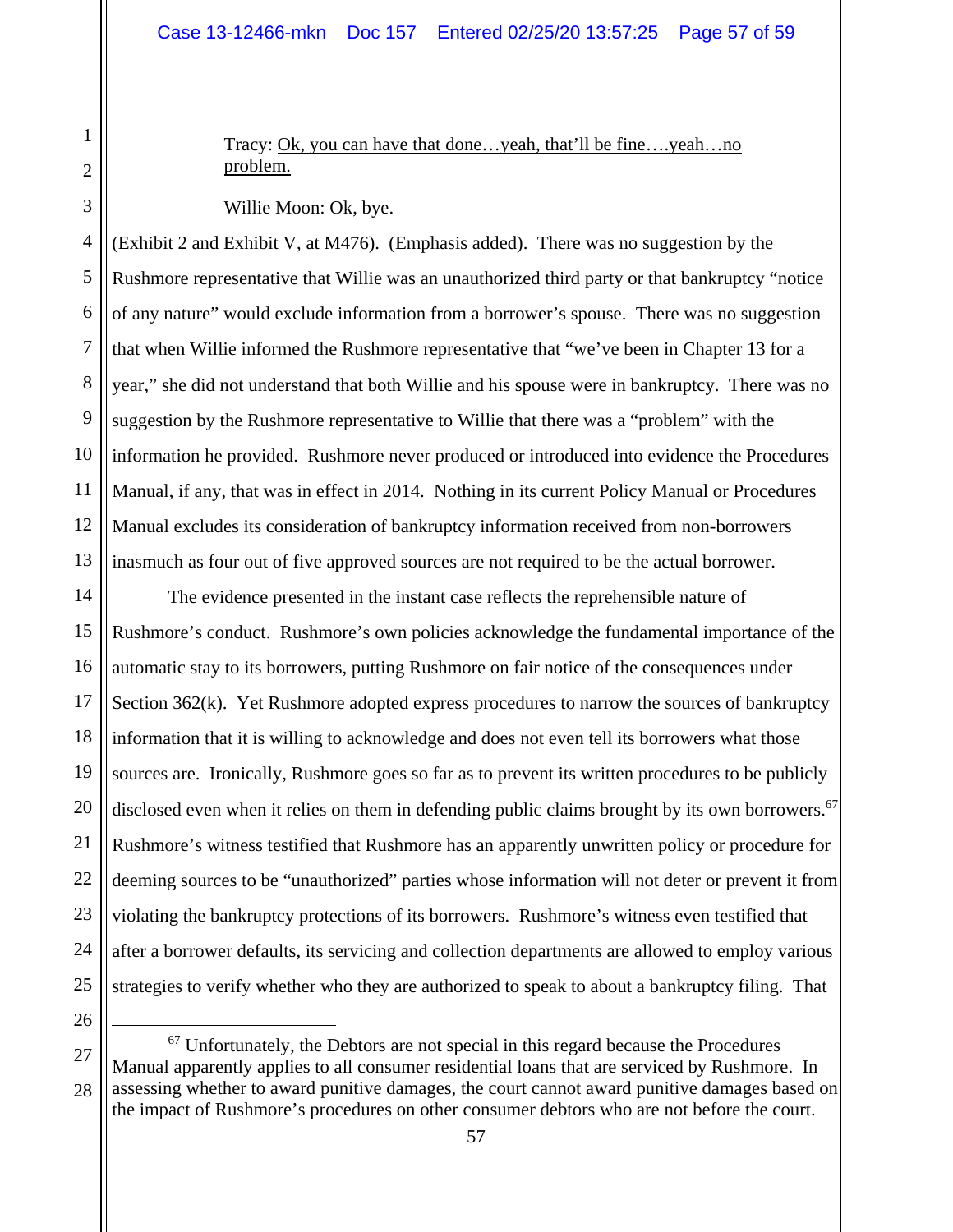Tracy: Ok, you can have that done…yeah, that'll be fine….yeah…no problem.

Willie Moon: Ok, bye.

4 5 6 7 8 9 10 11 12 13 (Exhibit 2 and Exhibit V, at M476). (Emphasis added). There was no suggestion by the Rushmore representative that Willie was an unauthorized third party or that bankruptcy "notice of any nature" would exclude information from a borrower's spouse. There was no suggestion that when Willie informed the Rushmore representative that "we've been in Chapter 13 for a year," she did not understand that both Willie and his spouse were in bankruptcy. There was no suggestion by the Rushmore representative to Willie that there was a "problem" with the information he provided. Rushmore never produced or introduced into evidence the Procedures Manual, if any, that was in effect in 2014. Nothing in its current Policy Manual or Procedures Manual excludes its consideration of bankruptcy information received from non-borrowers inasmuch as four out of five approved sources are not required to be the actual borrower.

14 15 16 17 18 19 20 21 22 23 24 25 The evidence presented in the instant case reflects the reprehensible nature of Rushmore's conduct. Rushmore's own policies acknowledge the fundamental importance of the automatic stay to its borrowers, putting Rushmore on fair notice of the consequences under Section 362(k). Yet Rushmore adopted express procedures to narrow the sources of bankruptcy information that it is willing to acknowledge and does not even tell its borrowers what those sources are. Ironically, Rushmore goes so far as to prevent its written procedures to be publicly disclosed even when it relies on them in defending public claims brought by its own borrowers.<sup>67</sup> Rushmore's witness testified that Rushmore has an apparently unwritten policy or procedure for deeming sources to be "unauthorized" parties whose information will not deter or prevent it from violating the bankruptcy protections of its borrowers. Rushmore's witness even testified that after a borrower defaults, its servicing and collection departments are allowed to employ various strategies to verify whether who they are authorized to speak to about a bankruptcy filing. That

26

1

2

3

<sup>27</sup> 28  $67$  Unfortunately, the Debtors are not special in this regard because the Procedures Manual apparently applies to all consumer residential loans that are serviced by Rushmore. In assessing whether to award punitive damages, the court cannot award punitive damages based on the impact of Rushmore's procedures on other consumer debtors who are not before the court.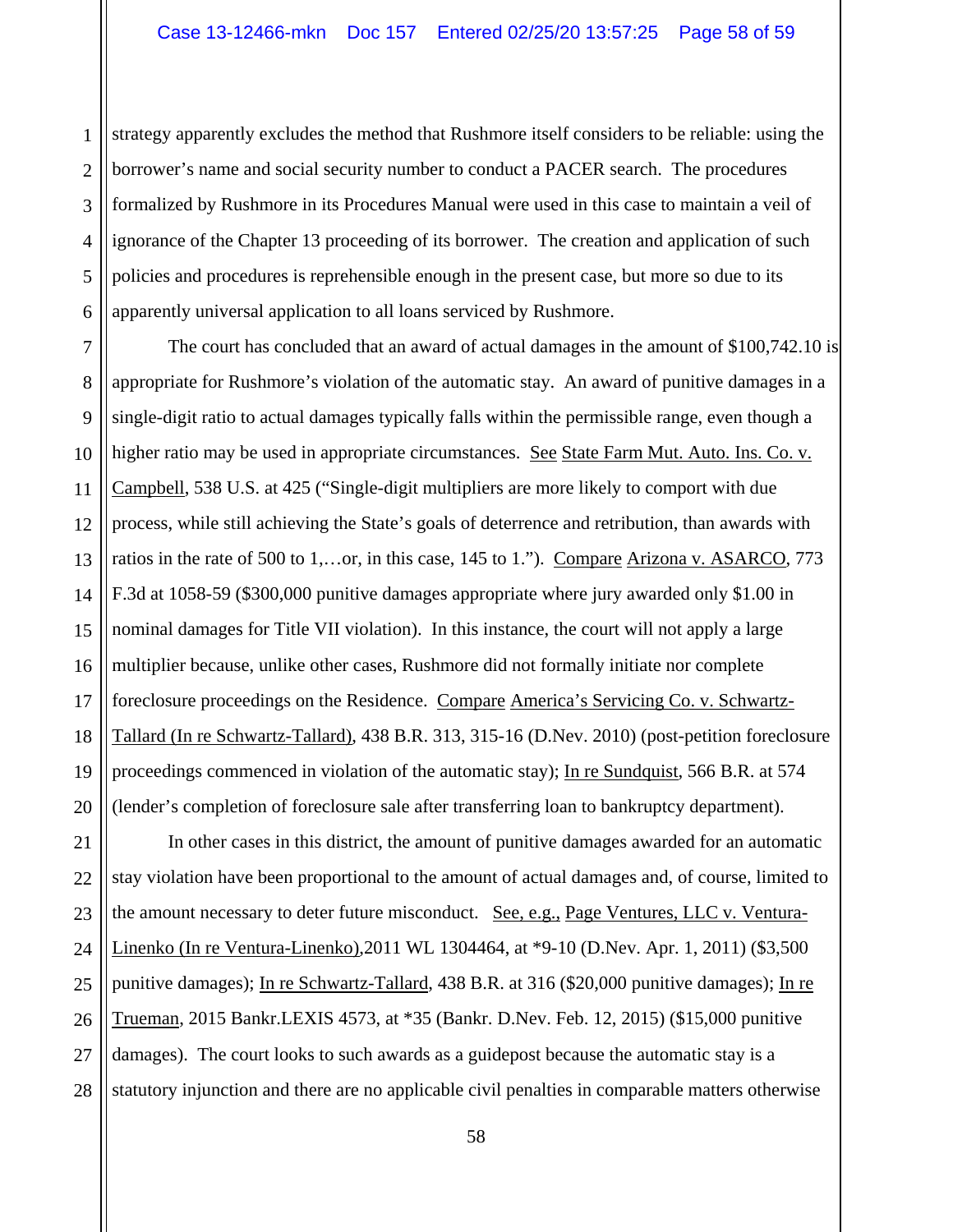1 2 3 4 5 strategy apparently excludes the method that Rushmore itself considers to be reliable: using the borrower's name and social security number to conduct a PACER search. The procedures formalized by Rushmore in its Procedures Manual were used in this case to maintain a veil of ignorance of the Chapter 13 proceeding of its borrower. The creation and application of such policies and procedures is reprehensible enough in the present case, but more so due to its apparently universal application to all loans serviced by Rushmore.

 The court has concluded that an award of actual damages in the amount of \$100,742.10 is appropriate for Rushmore's violation of the automatic stay. An award of punitive damages in a single-digit ratio to actual damages typically falls within the permissible range, even though a higher ratio may be used in appropriate circumstances. See State Farm Mut. Auto. Ins. Co. v. Campbell, 538 U.S. at 425 ("Single-digit multipliers are more likely to comport with due process, while still achieving the State's goals of deterrence and retribution, than awards with ratios in the rate of 500 to 1,…or, in this case, 145 to 1."). Compare Arizona v. ASARCO, 773 F.3d at 1058-59 (\$300,000 punitive damages appropriate where jury awarded only \$1.00 in nominal damages for Title VII violation). In this instance, the court will not apply a large multiplier because, unlike other cases, Rushmore did not formally initiate nor complete foreclosure proceedings on the Residence. Compare America's Servicing Co. v. Schwartz-Tallard (In re Schwartz-Tallard), 438 B.R. 313, 315-16 (D.Nev. 2010) (post-petition foreclosure proceedings commenced in violation of the automatic stay); In re Sundquist, 566 B.R. at 574 (lender's completion of foreclosure sale after transferring loan to bankruptcy department).

28 In other cases in this district, the amount of punitive damages awarded for an automatic stay violation have been proportional to the amount of actual damages and, of course, limited to the amount necessary to deter future misconduct. See, e.g., Page Ventures, LLC v. Ventura-Linenko (In re Ventura-Linenko),2011 WL 1304464, at \*9-10 (D.Nev. Apr. 1, 2011) (\$3,500 punitive damages); In re Schwartz-Tallard, 438 B.R. at 316 (\$20,000 punitive damages); In re Trueman, 2015 Bankr.LEXIS 4573, at \*35 (Bankr. D.Nev. Feb. 12, 2015) (\$15,000 punitive damages). The court looks to such awards as a guidepost because the automatic stay is a statutory injunction and there are no applicable civil penalties in comparable matters otherwise